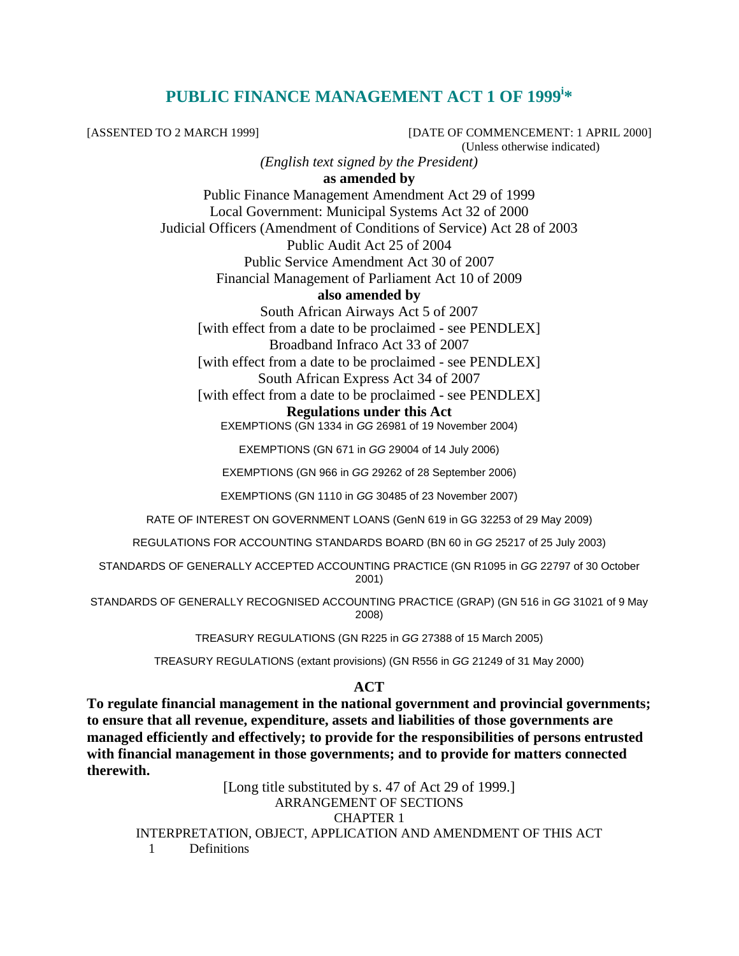# **PUBLIC FINANCE MANAGEMENT ACT 1 OF 1999<sup>i</sup> \***

[ASSENTED TO 2 MARCH 1999] [DATE OF COMMENCEMENT: 1 APRIL 2000] (Unless otherwise indicated)

*(English text signed by the President)* 

**as amended by** 

Public Finance Management Amendment Act 29 of 1999 Local Government: Municipal Systems Act 32 of 2000 Judicial Officers (Amendment of Conditions of Service) Act 28 of 2003 Public Audit Act 25 of 2004 Public Service Amendment Act 30 of 2007 Financial Management of Parliament Act 10 of 2009

### **also amended by**

South African Airways Act 5 of 2007 [with effect from a date to be proclaimed - see PENDLEX] Broadband Infraco Act 33 of 2007

[with effect from a date to be proclaimed - see PENDLEX] South African Express Act 34 of 2007

[with effect from a date to be proclaimed - see PENDLEX]

#### **Regulations under this Act**

EXEMPTIONS (GN 1334 in GG 26981 of 19 November 2004)

EXEMPTIONS (GN 671 in GG 29004 of 14 July 2006)

EXEMPTIONS (GN 966 in GG 29262 of 28 September 2006)

EXEMPTIONS (GN 1110 in GG 30485 of 23 November 2007)

RATE OF INTEREST ON GOVERNMENT LOANS (GenN 619 in GG 32253 of 29 May 2009)

REGULATIONS FOR ACCOUNTING STANDARDS BOARD (BN 60 in GG 25217 of 25 July 2003)

STANDARDS OF GENERALLY ACCEPTED ACCOUNTING PRACTICE (GN R1095 in GG 22797 of 30 October 2001)

STANDARDS OF GENERALLY RECOGNISED ACCOUNTING PRACTICE (GRAP) (GN 516 in GG 31021 of 9 May 2008)

TREASURY REGULATIONS (GN R225 in GG 27388 of 15 March 2005)

TREASURY REGULATIONS (extant provisions) (GN R556 in GG 21249 of 31 May 2000)

### **ACT**

**To regulate financial management in the national government and provincial governments; to ensure that all revenue, expenditure, assets and liabilities of those governments are managed efficiently and effectively; to provide for the responsibilities of persons entrusted with financial management in those governments; and to provide for matters connected therewith.** 

[Long title substituted by s. 47 of Act 29 of 1999.] ARRANGEMENT OF SECTIONS CHAPTER 1 INTERPRETATION, OBJECT, APPLICATION AND AMENDMENT OF THIS ACT 1 Definitions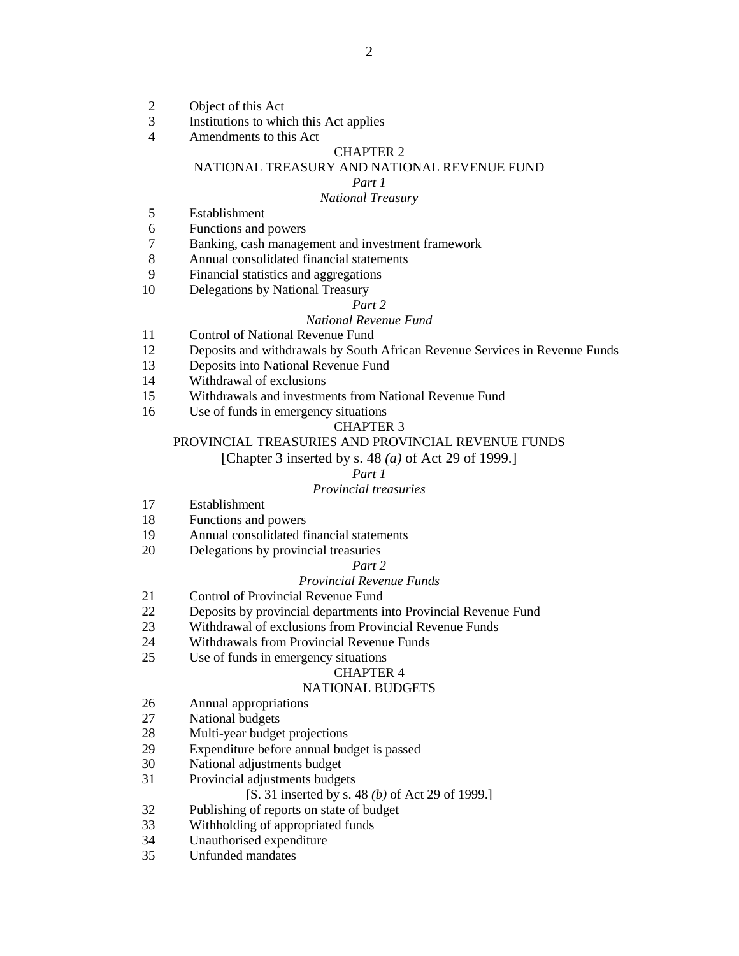- 2 Object of this Act<br>3 Institutions to whi
- Institutions to which this Act applies
- 4 Amendments to this Act

### CHAPTER 2

## NATIONAL TREASURY AND NATIONAL REVENUE FUND

#### *Part 1*

#### *National Treasury*

- 5 Establishment
- 6 Functions and powers
- 7 Banking, cash management and investment framework
- 8 Annual consolidated financial statements
- 9 Financial statistics and aggregations
- 10 Delegations by National Treasury

#### *Part 2*

#### *National Revenue Fund*

- 11 Control of National Revenue Fund
- 12 Deposits and withdrawals by South African Revenue Services in Revenue Funds
- 13 Deposits into National Revenue Fund
- 14 Withdrawal of exclusions
- 15 Withdrawals and investments from National Revenue Fund
- 16 Use of funds in emergency situations

#### CHAPTER 3

#### PROVINCIAL TREASURIES AND PROVINCIAL REVENUE FUNDS

[Chapter 3 inserted by s. 48 *(a)* of Act 29 of 1999.]

#### *Part 1*

#### *Provincial treasuries*

- 17 Establishment
- 18 Functions and powers
- 19 Annual consolidated financial statements
- 20 Delegations by provincial treasuries

#### *Part 2*

### *Provincial Revenue Funds*

- 21 Control of Provincial Revenue Fund<br>22 Deposits by provincial departments in
- Deposits by provincial departments into Provincial Revenue Fund
- 23 Withdrawal of exclusions from Provincial Revenue Funds
- 24 Withdrawals from Provincial Revenue Funds
- 25 Use of funds in emergency situations

#### CHAPTER 4

#### NATIONAL BUDGETS

- 26 Annual appropriations
- 27 National budgets
- 28 Multi-year budget projections
- 29 Expenditure before annual budget is passed
- 30 National adjustments budget
- 31 Provincial adjustments budgets

#### [S. 31 inserted by s. 48 *(b)* of Act 29 of 1999.]

- 32 Publishing of reports on state of budget
- 33 Withholding of appropriated funds
- 34 Unauthorised expenditure
- 35 Unfunded mandates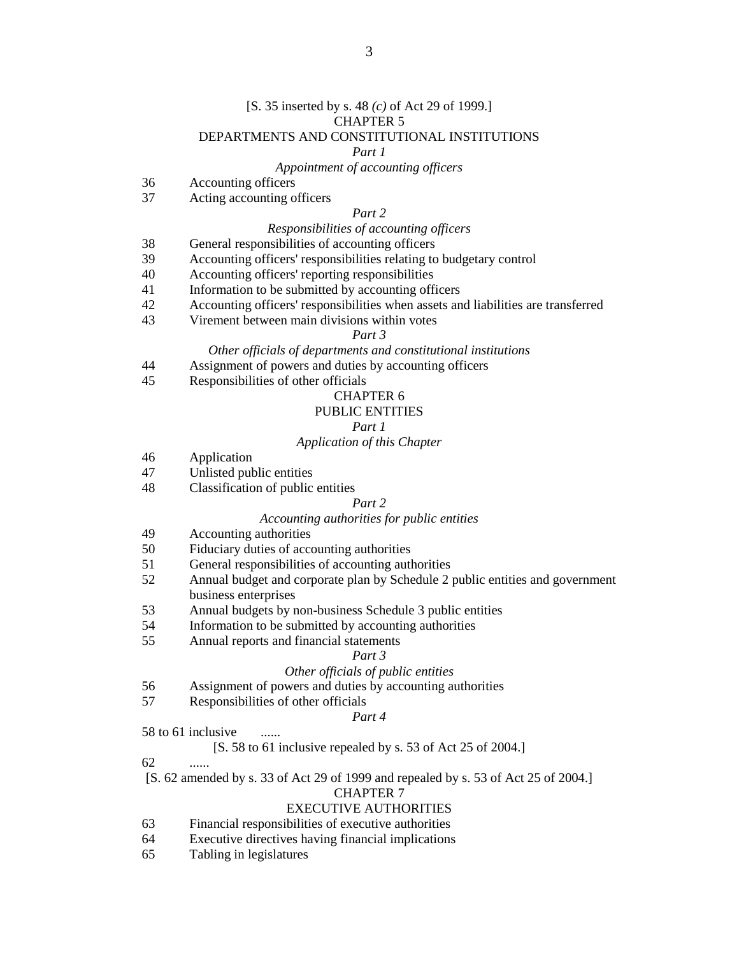#### [S. 35 inserted by s. 48 *(c)* of Act 29 of 1999.] CHAPTER 5

### DEPARTMENTS AND CONSTITUTIONAL INSTITUTIONS

#### *Part 1*

#### *Appointment of accounting officers*

- 36 Accounting officers
- 37 Acting accounting officers

#### *Part 2*

#### *Responsibilities of accounting officers*

- 38 General responsibilities of accounting officers
- 39 Accounting officers' responsibilities relating to budgetary control
- 40 Accounting officers' reporting responsibilities
- 41 Information to be submitted by accounting officers
- 42 Accounting officers' responsibilities when assets and liabilities are transferred
- 43 Virement between main divisions within votes

#### *Part 3*

#### *Other officials of departments and constitutional institutions*

- 44 Assignment of powers and duties by accounting officers
- 45 Responsibilities of other officials

#### CHAPTER 6

### PUBLIC ENTITIES

### *Part 1*

#### *Application of this Chapter*

- 46 Application
- 47 Unlisted public entities
- 48 Classification of public entities

#### *Part 2*

#### *Accounting authorities for public entities*

- 49 Accounting authorities
- 50 Fiduciary duties of accounting authorities
- 51 General responsibilities of accounting authorities
- 52 Annual budget and corporate plan by Schedule 2 public entities and government business enterprises
- 53 Annual budgets by non-business Schedule 3 public entities
- 54 Information to be submitted by accounting authorities
- 55 Annual reports and financial statements

#### *Part 3*

#### *Other officials of public entities*

- 56 Assignment of powers and duties by accounting authorities
- 57 Responsibilities of other officials

#### *Part 4*

#### 58 to 61 inclusive

#### [S. 58 to 61 inclusive repealed by s. 53 of Act 25 of 2004.]

62 ......

[S. 62 amended by s. 33 of Act 29 of 1999 and repealed by s. 53 of Act 25 of 2004.]

#### CHAPTER 7

#### EXECUTIVE AUTHORITIES

- 63 Financial responsibilities of executive authorities
- 64 Executive directives having financial implications
- 65 Tabling in legislatures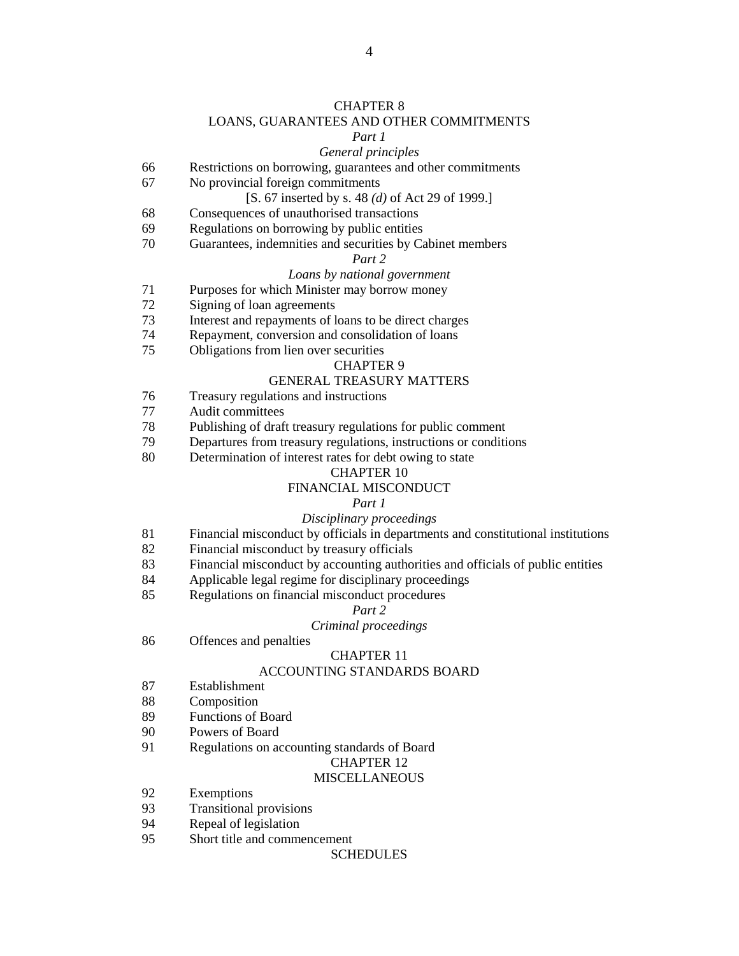#### CHAPTER 8

#### LOANS, GUARANTEES AND OTHER COMMITMENTS

#### *Part 1*

## *General principles*

- 66 Restrictions on borrowing, guarantees and other commitments
- 67 No provincial foreign commitments

#### [S. 67 inserted by s. 48 *(d)* of Act 29 of 1999.]

- 68 Consequences of unauthorised transactions
- 69 Regulations on borrowing by public entities
- 70 Guarantees, indemnities and securities by Cabinet members

#### *Part 2*

#### *Loans by national government*

- 71 Purposes for which Minister may borrow money
- 72 Signing of loan agreements
- 73 Interest and repayments of loans to be direct charges
- 74 Repayment, conversion and consolidation of loans
- 75 Obligations from lien over securities

#### CHAPTER 9

#### GENERAL TREASURY MATTERS

- 76 Treasury regulations and instructions
- 77 Audit committees
- 78 Publishing of draft treasury regulations for public comment
- 79 Departures from treasury regulations, instructions or conditions
- 80 Determination of interest rates for debt owing to state

#### CHAPTER 10

#### FINANCIAL MISCONDUCT

#### *Part 1*

#### *Disciplinary proceedings*

- 81 Financial misconduct by officials in departments and constitutional institutions
- 82 Financial misconduct by treasury officials
- 83 Financial misconduct by accounting authorities and officials of public entities
- 84 Applicable legal regime for disciplinary proceedings
- 85 Regulations on financial misconduct procedures

#### *Part 2*

### *Criminal proceedings*

86 Offences and penalties

#### CHAPTER 11

#### ACCOUNTING STANDARDS BOARD

- 87 Establishment
- 88 Composition
- 89 Functions of Board
- 90 Powers of Board
- 91 Regulations on accounting standards of Board

#### CHAPTER 12

#### **MISCELLANEOUS**

- 92 Exemptions
- 93 Transitional provisions
- 94 Repeal of legislation
- 95 Short title and commencement

#### SCHEDULES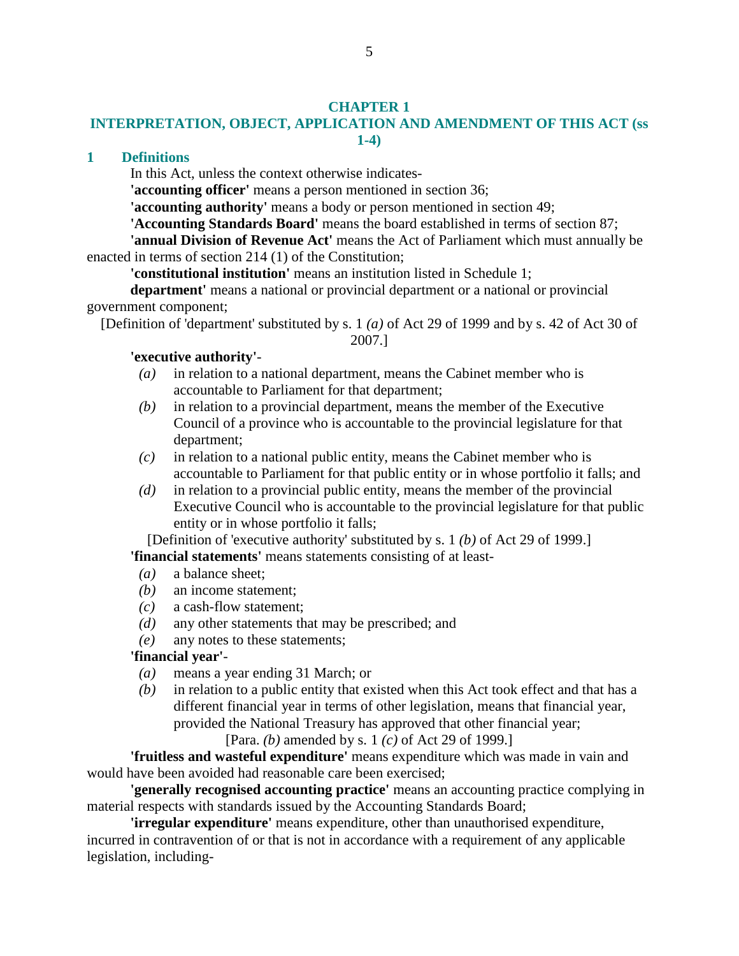### **CHAPTER 1**

# **INTERPRETATION, OBJECT, APPLICATION AND AMENDMENT OF THIS ACT (ss 1-4)**

### **1 Definitions**

In this Act, unless the context otherwise indicates-

**'accounting officer'** means a person mentioned in section 36;

**'accounting authority'** means a body or person mentioned in section 49;

**'Accounting Standards Board'** means the board established in terms of section 87;

**'annual Division of Revenue Act'** means the Act of Parliament which must annually be enacted in terms of section 214 (1) of the Constitution;

**'constitutional institution'** means an institution listed in Schedule 1;

**department'** means a national or provincial department or a national or provincial government component;

[Definition of 'department' substituted by s. 1 *(a)* of Act 29 of 1999 and by s. 42 of Act 30 of

2007.]

## **'executive authority'**-

- *(a)* in relation to a national department, means the Cabinet member who is accountable to Parliament for that department;
- *(b)* in relation to a provincial department, means the member of the Executive Council of a province who is accountable to the provincial legislature for that department;
- *(c)* in relation to a national public entity, means the Cabinet member who is accountable to Parliament for that public entity or in whose portfolio it falls; and
- *(d)* in relation to a provincial public entity, means the member of the provincial Executive Council who is accountable to the provincial legislature for that public entity or in whose portfolio it falls;

[Definition of 'executive authority' substituted by s. 1 *(b)* of Act 29 of 1999.] **'financial statements'** means statements consisting of at least-

- *(a)* a balance sheet;
- *(b)* an income statement;
- *(c)* a cash-flow statement;
- *(d)* any other statements that may be prescribed; and
- *(e)* any notes to these statements;

### **'financial year'**-

- *(a)* means a year ending 31 March; or
- *(b)* in relation to a public entity that existed when this Act took effect and that has a different financial year in terms of other legislation, means that financial year, provided the National Treasury has approved that other financial year;

[Para. *(b)* amended by s. 1 *(c)* of Act 29 of 1999.]

**'fruitless and wasteful expenditure'** means expenditure which was made in vain and would have been avoided had reasonable care been exercised;

**'generally recognised accounting practice'** means an accounting practice complying in material respects with standards issued by the Accounting Standards Board;

**'irregular expenditure'** means expenditure, other than unauthorised expenditure, incurred in contravention of or that is not in accordance with a requirement of any applicable legislation, including-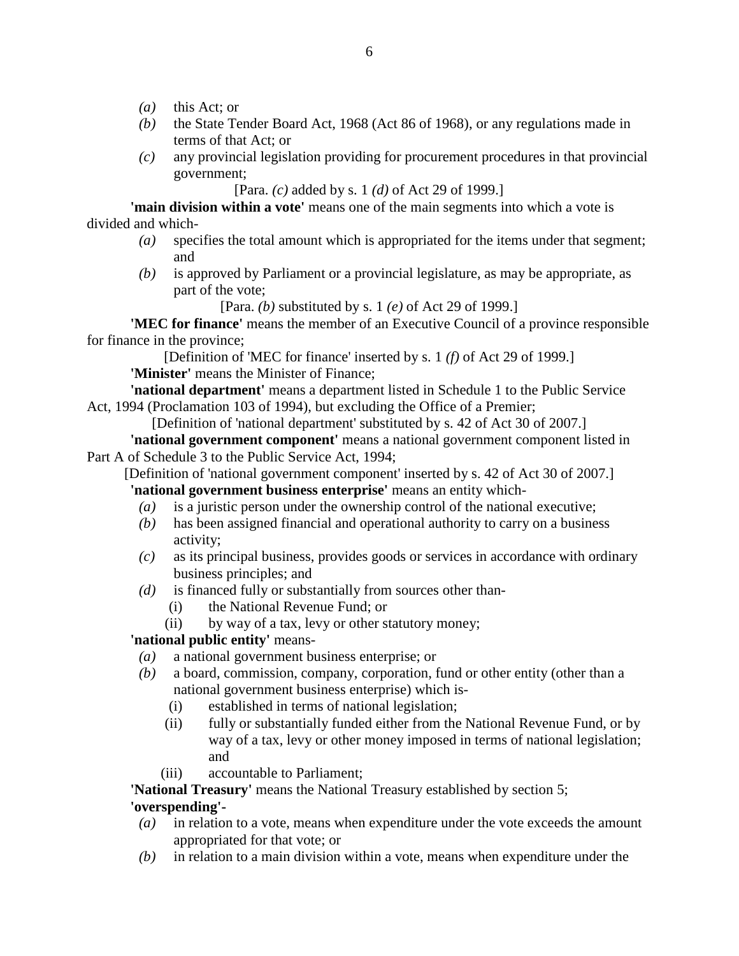- *(a)* this Act; or
- *(b)* the State Tender Board Act, 1968 (Act 86 of 1968), or any regulations made in terms of that Act; or
- *(c)* any provincial legislation providing for procurement procedures in that provincial government;

[Para. *(c)* added by s. 1 *(d)* of Act 29 of 1999.]

**'main division within a vote'** means one of the main segments into which a vote is divided and which-

- *(a)* specifies the total amount which is appropriated for the items under that segment; and
- *(b)* is approved by Parliament or a provincial legislature, as may be appropriate, as part of the vote;

[Para. *(b)* substituted by s. 1 *(e)* of Act 29 of 1999.]

**'MEC for finance'** means the member of an Executive Council of a province responsible for finance in the province;

[Definition of 'MEC for finance' inserted by s. 1 *(f)* of Act 29 of 1999.] **'Minister'** means the Minister of Finance;

**'national department'** means a department listed in Schedule 1 to the Public Service Act, 1994 (Proclamation 103 of 1994), but excluding the Office of a Premier;

[Definition of 'national department' substituted by s. 42 of Act 30 of 2007.]

**'national government component'** means a national government component listed in Part A of Schedule 3 to the Public Service Act, 1994;

[Definition of 'national government component' inserted by s. 42 of Act 30 of 2007.]

**'national government business enterprise'** means an entity which-

- *(a)* is a juristic person under the ownership control of the national executive;
- *(b)* has been assigned financial and operational authority to carry on a business activity;
- *(c)* as its principal business, provides goods or services in accordance with ordinary business principles; and
- *(d)* is financed fully or substantially from sources other than-
	- (i) the National Revenue Fund; or
	- (ii) by way of a tax, levy or other statutory money;

**'national public entity'** means-

- *(a)* a national government business enterprise; or
- *(b)* a board, commission, company, corporation, fund or other entity (other than a national government business enterprise) which is-
	- (i) established in terms of national legislation;
	- (ii) fully or substantially funded either from the National Revenue Fund, or by way of a tax, levy or other money imposed in terms of national legislation; and
	- (iii) accountable to Parliament;

**'National Treasury'** means the National Treasury established by section 5;

# **'overspending'-**

- *(a)* in relation to a vote, means when expenditure under the vote exceeds the amount appropriated for that vote; or
- *(b)* in relation to a main division within a vote, means when expenditure under the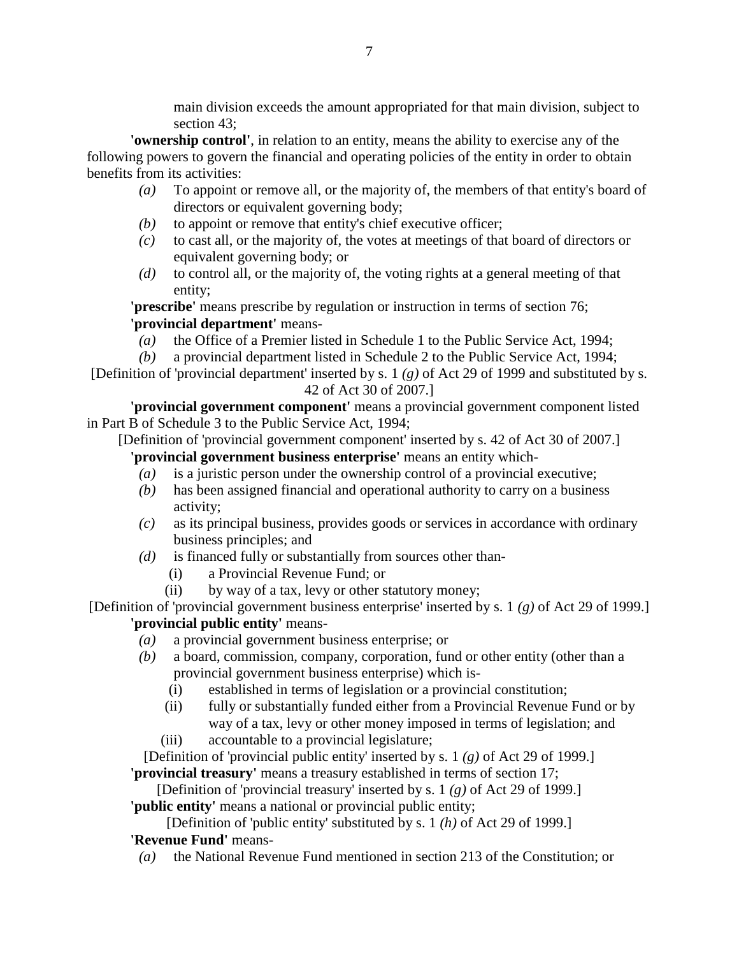main division exceeds the amount appropriated for that main division, subject to section 43;

**'ownership control'**, in relation to an entity, means the ability to exercise any of the following powers to govern the financial and operating policies of the entity in order to obtain benefits from its activities:

- *(a)* To appoint or remove all, or the majority of, the members of that entity's board of directors or equivalent governing body;
- *(b)* to appoint or remove that entity's chief executive officer;
- *(c)* to cast all, or the majority of, the votes at meetings of that board of directors or equivalent governing body; or
- *(d)* to control all, or the majority of, the voting rights at a general meeting of that entity;

**'prescribe'** means prescribe by regulation or instruction in terms of section 76; **'provincial department'** means-

*(a)* the Office of a Premier listed in Schedule 1 to the Public Service Act, 1994;

*(b)* a provincial department listed in Schedule 2 to the Public Service Act, 1994;

[Definition of 'provincial department' inserted by s. 1 *(g)* of Act 29 of 1999 and substituted by s. 42 of Act 30 of 2007.]

**'provincial government component'** means a provincial government component listed in Part B of Schedule 3 to the Public Service Act, 1994;

[Definition of 'provincial government component' inserted by s. 42 of Act 30 of 2007.]

**'provincial government business enterprise'** means an entity which-

- *(a)* is a juristic person under the ownership control of a provincial executive;
- *(b)* has been assigned financial and operational authority to carry on a business activity;
- *(c)* as its principal business, provides goods or services in accordance with ordinary business principles; and
- *(d)* is financed fully or substantially from sources other than-
	- (i) a Provincial Revenue Fund; or
	- (ii) by way of a tax, levy or other statutory money;

[Definition of 'provincial government business enterprise' inserted by s. 1 *(g)* of Act 29 of 1999.] **'provincial public entity'** means-

- *(a)* a provincial government business enterprise; or
- *(b)* a board, commission, company, corporation, fund or other entity (other than a provincial government business enterprise) which is-
	- (i) established in terms of legislation or a provincial constitution;
	- (ii) fully or substantially funded either from a Provincial Revenue Fund or by way of a tax, levy or other money imposed in terms of legislation; and
	- (iii) accountable to a provincial legislature;

[Definition of 'provincial public entity' inserted by s. 1 *(g)* of Act 29 of 1999.] **'provincial treasury'** means a treasury established in terms of section 17;

[Definition of 'provincial treasury' inserted by s. 1 *(g)* of Act 29 of 1999.]

**'public entity'** means a national or provincial public entity;

[Definition of 'public entity' substituted by s. 1 *(h)* of Act 29 of 1999.] **'Revenue Fund'** means-

*(a)* the National Revenue Fund mentioned in section 213 of the Constitution; or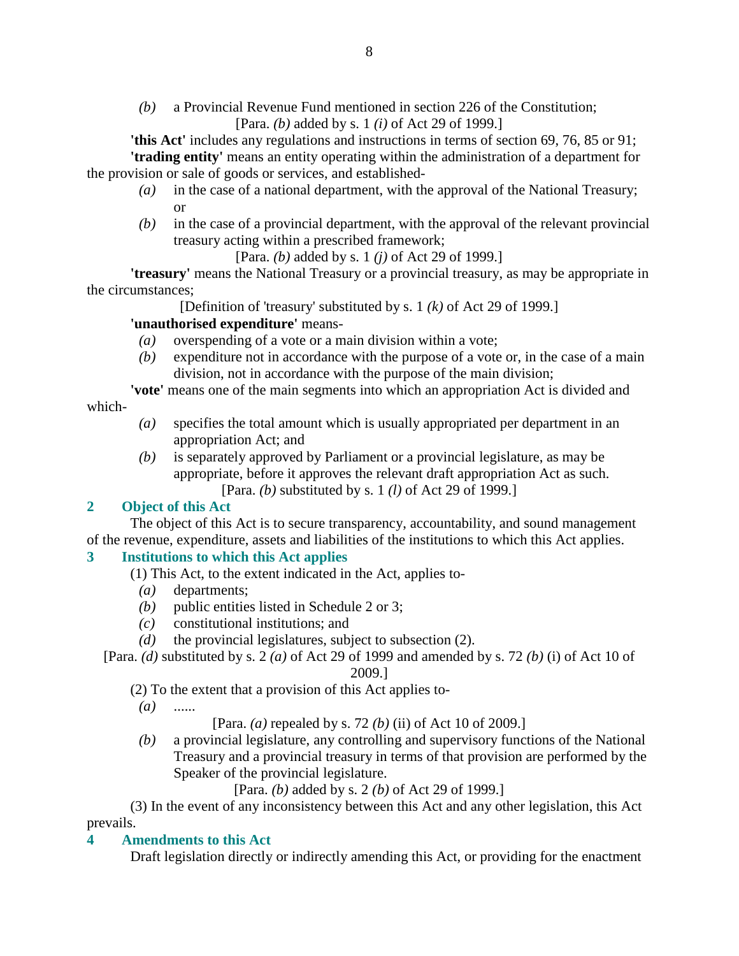*(b)* a Provincial Revenue Fund mentioned in section 226 of the Constitution; [Para. *(b)* added by s. 1 *(i)* of Act 29 of 1999.]

**'this Act'** includes any regulations and instructions in terms of section 69, 76, 85 or 91; **'trading entity'** means an entity operating within the administration of a department for the provision or sale of goods or services, and established-

- *(a)* in the case of a national department, with the approval of the National Treasury; or
- *(b)* in the case of a provincial department, with the approval of the relevant provincial treasury acting within a prescribed framework;

[Para. *(b)* added by s. 1 *(j)* of Act 29 of 1999.]

**'treasury'** means the National Treasury or a provincial treasury, as may be appropriate in the circumstances;

[Definition of 'treasury' substituted by s. 1 *(k)* of Act 29 of 1999.]

### **'unauthorised expenditure'** means-

- *(a)* overspending of a vote or a main division within a vote;
- *(b)* expenditure not in accordance with the purpose of a vote or, in the case of a main division, not in accordance with the purpose of the main division;

**'vote'** means one of the main segments into which an appropriation Act is divided and

### which-

- *(a)* specifies the total amount which is usually appropriated per department in an appropriation Act; and
- *(b)* is separately approved by Parliament or a provincial legislature, as may be appropriate, before it approves the relevant draft appropriation Act as such. [Para. *(b)* substituted by s. 1 *(l)* of Act 29 of 1999.]

### **2 Object of this Act**

 The object of this Act is to secure transparency, accountability, and sound management of the revenue, expenditure, assets and liabilities of the institutions to which this Act applies.

# **3 Institutions to which this Act applies**

- (1) This Act, to the extent indicated in the Act, applies to-
	- *(a)* departments;
	- *(b)* public entities listed in Schedule 2 or 3;
	- *(c)* constitutional institutions; and
	- *(d)* the provincial legislatures, subject to subsection (2).
- [Para. *(d)* substituted by s. 2 *(a)* of Act 29 of 1999 and amended by s. 72 *(b)* (i) of Act 10 of

#### 2009.]

(2) To the extent that a provision of this Act applies to-

*(a)* ......

[Para. *(a)* repealed by s. 72 *(b)* (ii) of Act 10 of 2009.]

 *(b)* a provincial legislature, any controlling and supervisory functions of the National Treasury and a provincial treasury in terms of that provision are performed by the Speaker of the provincial legislature.

[Para. *(b)* added by s. 2 *(b)* of Act 29 of 1999.]

 (3) In the event of any inconsistency between this Act and any other legislation, this Act prevails.

### **4 Amendments to this Act**

Draft legislation directly or indirectly amending this Act, or providing for the enactment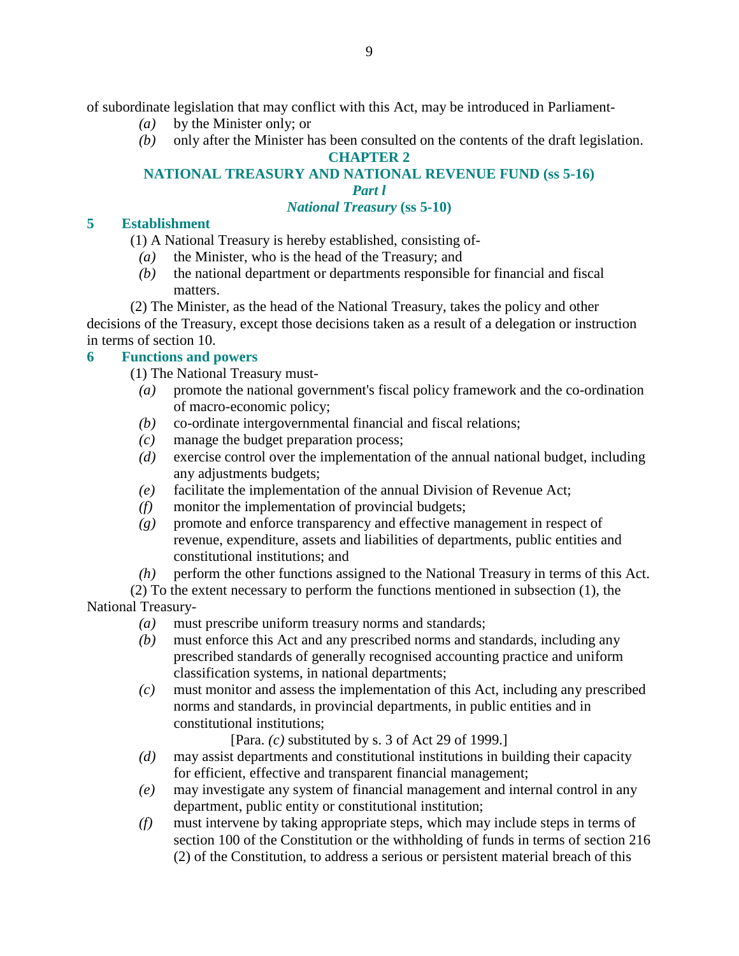of subordinate legislation that may conflict with this Act, may be introduced in Parliament-

- *(a)* by the Minister only; or
- *(b)* only after the Minister has been consulted on the contents of the draft legislation.

**CHAPTER 2** 

# **NATIONAL TREASURY AND NATIONAL REVENUE FUND (ss 5-16)**

*Part l* 

## *National Treasury* **(ss 5-10)**

## **5 Establishment**

(1) A National Treasury is hereby established, consisting of-

- *(a)* the Minister, who is the head of the Treasury; and
- *(b)* the national department or departments responsible for financial and fiscal matters.

 (2) The Minister, as the head of the National Treasury, takes the policy and other decisions of the Treasury, except those decisions taken as a result of a delegation or instruction in terms of section 10.

# **6 Functions and powers**

- (1) The National Treasury must-
	- *(a)* promote the national government's fiscal policy framework and the co-ordination of macro-economic policy;
	- *(b)* co-ordinate intergovernmental financial and fiscal relations;
	- *(c)* manage the budget preparation process;
	- *(d)* exercise control over the implementation of the annual national budget, including any adjustments budgets;
- *(e)* facilitate the implementation of the annual Division of Revenue Act;
- *(f)* monitor the implementation of provincial budgets;
- *(g)* promote and enforce transparency and effective management in respect of revenue, expenditure, assets and liabilities of departments, public entities and constitutional institutions; and
- *(h)* perform the other functions assigned to the National Treasury in terms of this Act.

 (2) To the extent necessary to perform the functions mentioned in subsection (1), the National Treasury-

- *(a)* must prescribe uniform treasury norms and standards;
- *(b)* must enforce this Act and any prescribed norms and standards, including any prescribed standards of generally recognised accounting practice and uniform classification systems, in national departments;
- *(c)* must monitor and assess the implementation of this Act, including any prescribed norms and standards, in provincial departments, in public entities and in constitutional institutions;

[Para. *(c)* substituted by s. 3 of Act 29 of 1999.]

- *(d)* may assist departments and constitutional institutions in building their capacity for efficient, effective and transparent financial management;
- *(e)* may investigate any system of financial management and internal control in any department, public entity or constitutional institution;
- *(f)* must intervene by taking appropriate steps, which may include steps in terms of section 100 of the Constitution or the withholding of funds in terms of section 216 (2) of the Constitution, to address a serious or persistent material breach of this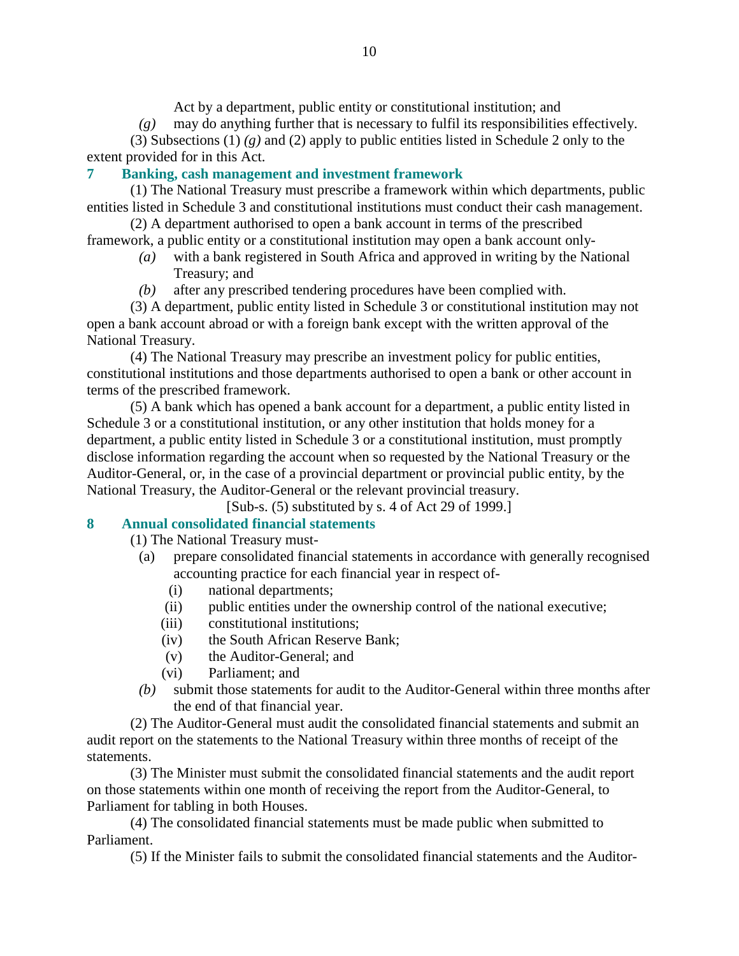Act by a department, public entity or constitutional institution; and

*(g)* may do anything further that is necessary to fulfil its responsibilities effectively.

 (3) Subsections (1) *(g)* and (2) apply to public entities listed in Schedule 2 only to the extent provided for in this Act.

# **7 Banking, cash management and investment framework**

 (1) The National Treasury must prescribe a framework within which departments, public entities listed in Schedule 3 and constitutional institutions must conduct their cash management.

 (2) A department authorised to open a bank account in terms of the prescribed framework, a public entity or a constitutional institution may open a bank account only-

- *(a)* with a bank registered in South Africa and approved in writing by the National Treasury; and
- *(b)* after any prescribed tendering procedures have been complied with.

 (3) A department, public entity listed in Schedule 3 or constitutional institution may not open a bank account abroad or with a foreign bank except with the written approval of the National Treasury.

 (4) The National Treasury may prescribe an investment policy for public entities, constitutional institutions and those departments authorised to open a bank or other account in terms of the prescribed framework.

 (5) A bank which has opened a bank account for a department, a public entity listed in Schedule 3 or a constitutional institution, or any other institution that holds money for a department, a public entity listed in Schedule 3 or a constitutional institution, must promptly disclose information regarding the account when so requested by the National Treasury or the Auditor-General, or, in the case of a provincial department or provincial public entity, by the National Treasury, the Auditor-General or the relevant provincial treasury.

[Sub-s. (5) substituted by s. 4 of Act 29 of 1999.]

# **8 Annual consolidated financial statements**

(1) The National Treasury must-

- (a) prepare consolidated financial statements in accordance with generally recognised accounting practice for each financial year in respect of-
	- (i) national departments;
	- (ii) public entities under the ownership control of the national executive;
	- (iii) constitutional institutions;
	- (iv) the South African Reserve Bank;
	- (v) the Auditor-General; and
	- (vi) Parliament; and
- *(b)* submit those statements for audit to the Auditor-General within three months after the end of that financial year.

 (2) The Auditor-General must audit the consolidated financial statements and submit an audit report on the statements to the National Treasury within three months of receipt of the statements.

 (3) The Minister must submit the consolidated financial statements and the audit report on those statements within one month of receiving the report from the Auditor-General, to Parliament for tabling in both Houses.

 (4) The consolidated financial statements must be made public when submitted to Parliament.

(5) If the Minister fails to submit the consolidated financial statements and the Auditor-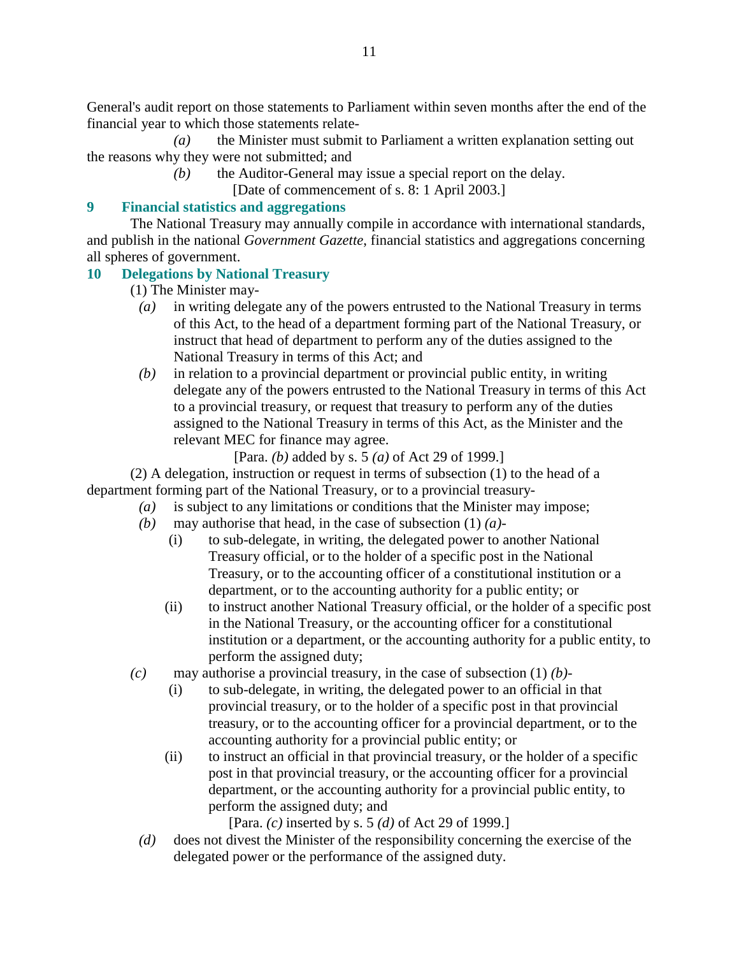General's audit report on those statements to Parliament within seven months after the end of the financial year to which those statements relate-

 *(a)* the Minister must submit to Parliament a written explanation setting out the reasons why they were not submitted; and

*(b)* the Auditor-General may issue a special report on the delay.

[Date of commencement of s. 8: 1 April 2003.]

# **9 Financial statistics and aggregations**

 The National Treasury may annually compile in accordance with international standards, and publish in the national *Government Gazette*, financial statistics and aggregations concerning all spheres of government.

# **10 Delegations by National Treasury**

(1) The Minister may-

- *(a)* in writing delegate any of the powers entrusted to the National Treasury in terms of this Act, to the head of a department forming part of the National Treasury, or instruct that head of department to perform any of the duties assigned to the National Treasury in terms of this Act; and
- *(b)* in relation to a provincial department or provincial public entity, in writing delegate any of the powers entrusted to the National Treasury in terms of this Act to a provincial treasury, or request that treasury to perform any of the duties assigned to the National Treasury in terms of this Act, as the Minister and the relevant MEC for finance may agree.

[Para. *(b)* added by s. 5 *(a)* of Act 29 of 1999.]

 (2) A delegation, instruction or request in terms of subsection (1) to the head of a department forming part of the National Treasury, or to a provincial treasury-

- *(a)* is subject to any limitations or conditions that the Minister may impose;
- *(b)* may authorise that head, in the case of subsection (1) *(a)*
	- (i) to sub-delegate, in writing, the delegated power to another National Treasury official, or to the holder of a specific post in the National Treasury, or to the accounting officer of a constitutional institution or a department, or to the accounting authority for a public entity; or
	- (ii) to instruct another National Treasury official, or the holder of a specific post in the National Treasury, or the accounting officer for a constitutional institution or a department, or the accounting authority for a public entity, to perform the assigned duty;
- *(c)* may authorise a provincial treasury, in the case of subsection (1) *(b)*
	- (i) to sub-delegate, in writing, the delegated power to an official in that provincial treasury, or to the holder of a specific post in that provincial treasury, or to the accounting officer for a provincial department, or to the accounting authority for a provincial public entity; or
	- (ii) to instruct an official in that provincial treasury, or the holder of a specific post in that provincial treasury, or the accounting officer for a provincial department, or the accounting authority for a provincial public entity, to perform the assigned duty; and

[Para. *(c)* inserted by s. 5 *(d)* of Act 29 of 1999.]

 *(d)* does not divest the Minister of the responsibility concerning the exercise of the delegated power or the performance of the assigned duty.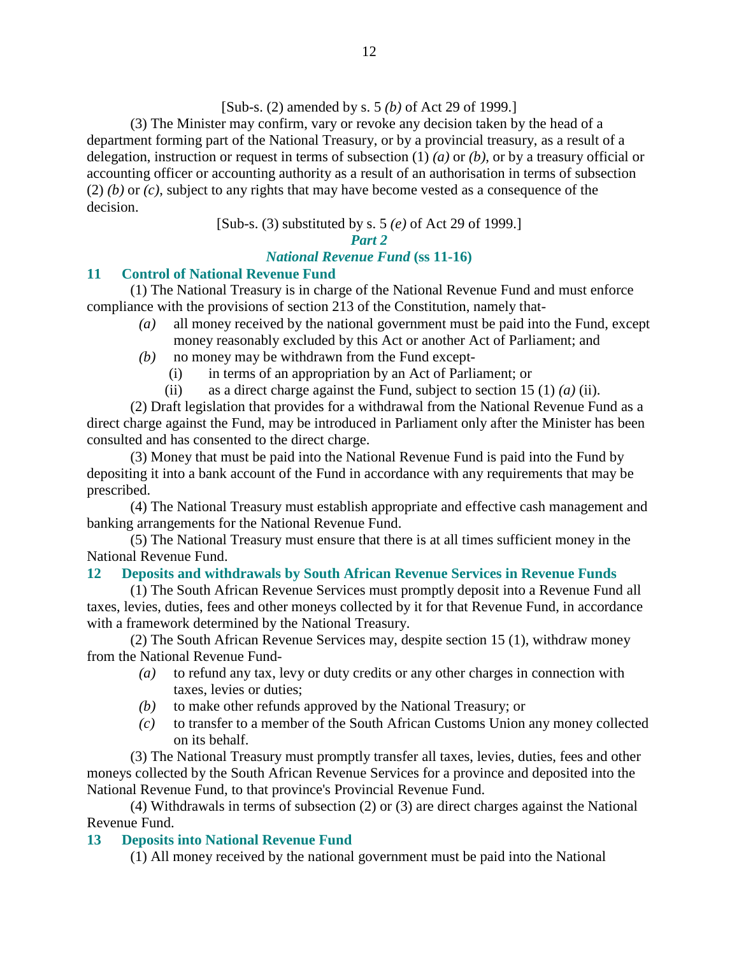### [Sub-s. (2) amended by s. 5 *(b)* of Act 29 of 1999.]

 (3) The Minister may confirm, vary or revoke any decision taken by the head of a department forming part of the National Treasury, or by a provincial treasury, as a result of a delegation, instruction or request in terms of subsection (1) *(a)* or *(b)*, or by a treasury official or accounting officer or accounting authority as a result of an authorisation in terms of subsection (2) *(b)* or *(c)*, subject to any rights that may have become vested as a consequence of the decision.

[Sub-s. (3) substituted by s. 5 *(e)* of Act 29 of 1999.]

#### *Part 2*

### *National Revenue Fund* **(ss 11-16)**

### **11 Control of National Revenue Fund**

 (1) The National Treasury is in charge of the National Revenue Fund and must enforce compliance with the provisions of section 213 of the Constitution, namely that-

- *(a)* all money received by the national government must be paid into the Fund, except money reasonably excluded by this Act or another Act of Parliament; and
- *(b)* no money may be withdrawn from the Fund except-
	- (i) in terms of an appropriation by an Act of Parliament; or
	- (ii) as a direct charge against the Fund, subject to section 15 (1) *(a)* (ii).

 (2) Draft legislation that provides for a withdrawal from the National Revenue Fund as a direct charge against the Fund, may be introduced in Parliament only after the Minister has been consulted and has consented to the direct charge.

 (3) Money that must be paid into the National Revenue Fund is paid into the Fund by depositing it into a bank account of the Fund in accordance with any requirements that may be prescribed.

 (4) The National Treasury must establish appropriate and effective cash management and banking arrangements for the National Revenue Fund.

 (5) The National Treasury must ensure that there is at all times sufficient money in the National Revenue Fund.

### **12 Deposits and withdrawals by South African Revenue Services in Revenue Funds**

 (1) The South African Revenue Services must promptly deposit into a Revenue Fund all taxes, levies, duties, fees and other moneys collected by it for that Revenue Fund, in accordance with a framework determined by the National Treasury.

 (2) The South African Revenue Services may, despite section 15 (1), withdraw money from the National Revenue Fund-

- *(a)* to refund any tax, levy or duty credits or any other charges in connection with taxes, levies or duties;
- *(b)* to make other refunds approved by the National Treasury; or
- *(c)* to transfer to a member of the South African Customs Union any money collected on its behalf.

 (3) The National Treasury must promptly transfer all taxes, levies, duties, fees and other moneys collected by the South African Revenue Services for a province and deposited into the National Revenue Fund, to that province's Provincial Revenue Fund.

 (4) Withdrawals in terms of subsection (2) or (3) are direct charges against the National Revenue Fund.

#### **13 Deposits into National Revenue Fund**

(1) All money received by the national government must be paid into the National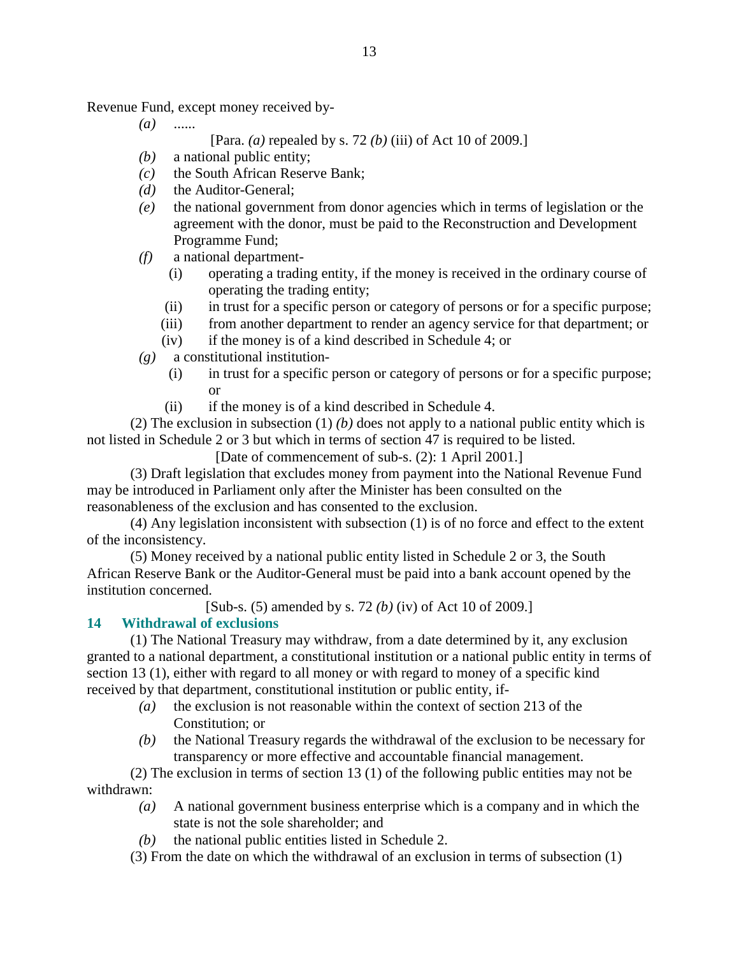Revenue Fund, except money received by-

*(a)* ......

[Para. *(a)* repealed by s. 72 *(b)* (iii) of Act 10 of 2009.]

- *(b)* a national public entity;
- *(c)* the South African Reserve Bank;
- *(d)* the Auditor-General;
- *(e)* the national government from donor agencies which in terms of legislation or the agreement with the donor, must be paid to the Reconstruction and Development Programme Fund;
- *(f)* a national department-
	- (i) operating a trading entity, if the money is received in the ordinary course of operating the trading entity;
	- (ii) in trust for a specific person or category of persons or for a specific purpose;
	- (iii) from another department to render an agency service for that department; or
	- (iv) if the money is of a kind described in Schedule 4; or
- *(g)* a constitutional institution-
	- (i) in trust for a specific person or category of persons or for a specific purpose; or
	- (ii) if the money is of a kind described in Schedule 4.

 (2) The exclusion in subsection (1) *(b)* does not apply to a national public entity which is not listed in Schedule 2 or 3 but which in terms of section 47 is required to be listed.

[Date of commencement of sub-s. (2): 1 April 2001.]

 (3) Draft legislation that excludes money from payment into the National Revenue Fund may be introduced in Parliament only after the Minister has been consulted on the reasonableness of the exclusion and has consented to the exclusion.

 (4) Any legislation inconsistent with subsection (1) is of no force and effect to the extent of the inconsistency.

 (5) Money received by a national public entity listed in Schedule 2 or 3, the South African Reserve Bank or the Auditor-General must be paid into a bank account opened by the institution concerned.

[Sub-s. (5) amended by s. 72 *(b)* (iv) of Act 10 of 2009.]

### **14 Withdrawal of exclusions**

 (1) The National Treasury may withdraw, from a date determined by it, any exclusion granted to a national department, a constitutional institution or a national public entity in terms of section 13 (1), either with regard to all money or with regard to money of a specific kind received by that department, constitutional institution or public entity, if-

- *(a)* the exclusion is not reasonable within the context of section 213 of the Constitution; or
- *(b)* the National Treasury regards the withdrawal of the exclusion to be necessary for transparency or more effective and accountable financial management.

 (2) The exclusion in terms of section 13 (1) of the following public entities may not be withdrawn:

- *(a)* A national government business enterprise which is a company and in which the state is not the sole shareholder; and
- *(b)* the national public entities listed in Schedule 2.

(3) From the date on which the withdrawal of an exclusion in terms of subsection (1)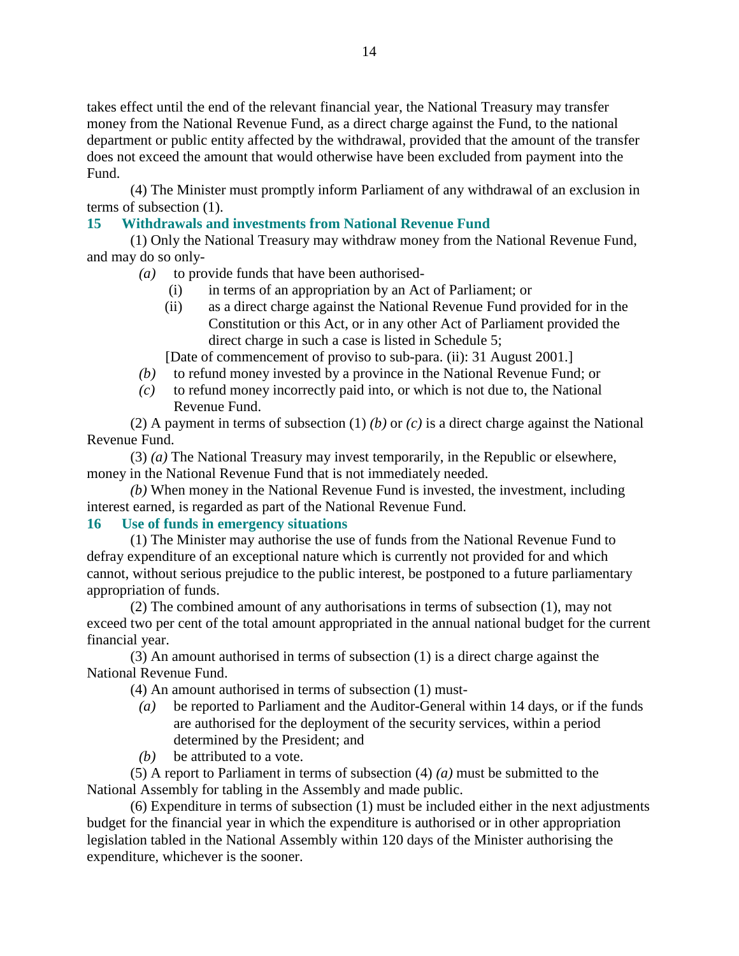takes effect until the end of the relevant financial year, the National Treasury may transfer money from the National Revenue Fund, as a direct charge against the Fund, to the national department or public entity affected by the withdrawal, provided that the amount of the transfer does not exceed the amount that would otherwise have been excluded from payment into the Fund.

 (4) The Minister must promptly inform Parliament of any withdrawal of an exclusion in terms of subsection (1).

## **15 Withdrawals and investments from National Revenue Fund**

 (1) Only the National Treasury may withdraw money from the National Revenue Fund, and may do so only-

- *(a)* to provide funds that have been authorised-
	- (i) in terms of an appropriation by an Act of Parliament; or
	- (ii) as a direct charge against the National Revenue Fund provided for in the Constitution or this Act, or in any other Act of Parliament provided the direct charge in such a case is listed in Schedule 5;

[Date of commencement of proviso to sub-para. (ii): 31 August 2001.]

- *(b)* to refund money invested by a province in the National Revenue Fund; or
- *(c)* to refund money incorrectly paid into, or which is not due to, the National Revenue Fund.

 (2) A payment in terms of subsection (1) *(b)* or *(c)* is a direct charge against the National Revenue Fund.

 (3) *(a)* The National Treasury may invest temporarily, in the Republic or elsewhere, money in the National Revenue Fund that is not immediately needed.

*(b)* When money in the National Revenue Fund is invested, the investment, including interest earned, is regarded as part of the National Revenue Fund.

# **16 Use of funds in emergency situations**

 (1) The Minister may authorise the use of funds from the National Revenue Fund to defray expenditure of an exceptional nature which is currently not provided for and which cannot, without serious prejudice to the public interest, be postponed to a future parliamentary appropriation of funds.

 (2) The combined amount of any authorisations in terms of subsection (1), may not exceed two per cent of the total amount appropriated in the annual national budget for the current financial year.

 (3) An amount authorised in terms of subsection (1) is a direct charge against the National Revenue Fund.

(4) An amount authorised in terms of subsection (1) must-

- *(a)* be reported to Parliament and the Auditor-General within 14 days, or if the funds are authorised for the deployment of the security services, within a period determined by the President; and
- *(b)* be attributed to a vote.

 (5) A report to Parliament in terms of subsection (4) *(a)* must be submitted to the National Assembly for tabling in the Assembly and made public.

 (6) Expenditure in terms of subsection (1) must be included either in the next adjustments budget for the financial year in which the expenditure is authorised or in other appropriation legislation tabled in the National Assembly within 120 days of the Minister authorising the expenditure, whichever is the sooner.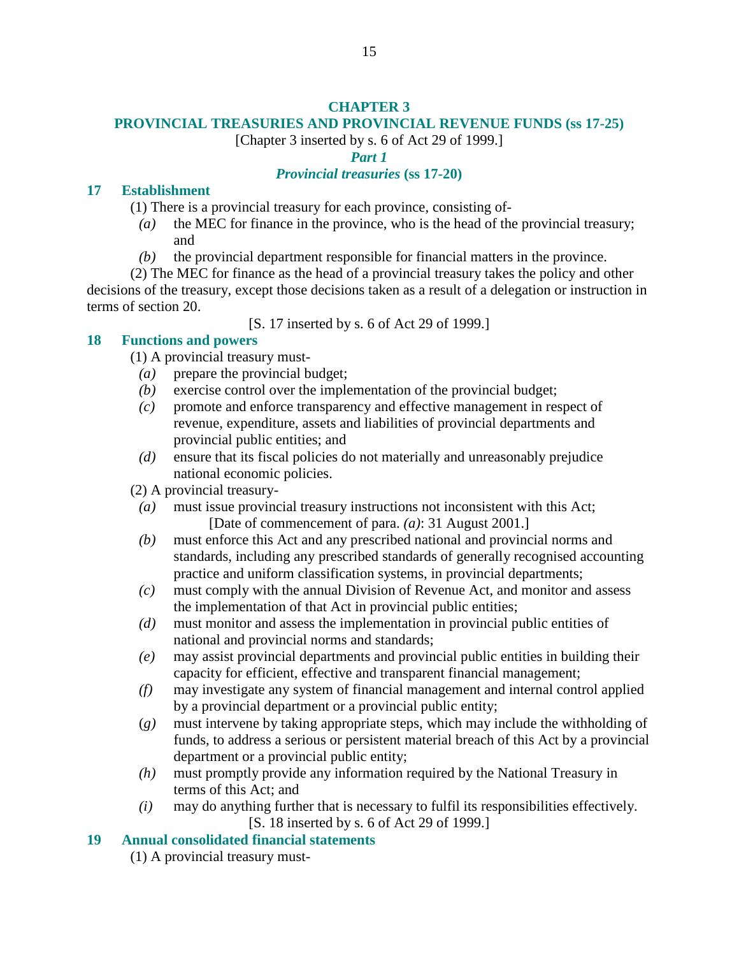## **CHAPTER 3**

# **PROVINCIAL TREASURIES AND PROVINCIAL REVENUE FUNDS (ss 17-25)**

[Chapter 3 inserted by s. 6 of Act 29 of 1999.]

*Part 1* 

## *Provincial treasuries* **(ss 17-20)**

## **17 Establishment**

- (1) There is a provincial treasury for each province, consisting of-
	- *(a)* the MEC for finance in the province, who is the head of the provincial treasury; and
	- *(b)* the provincial department responsible for financial matters in the province.
- (2) The MEC for finance as the head of a provincial treasury takes the policy and other decisions of the treasury, except those decisions taken as a result of a delegation or instruction in terms of section 20.

[S. 17 inserted by s. 6 of Act 29 of 1999.]

# **18 Functions and powers**

(1) A provincial treasury must-

- *(a)* prepare the provincial budget;
- *(b)* exercise control over the implementation of the provincial budget;
- *(c)* promote and enforce transparency and effective management in respect of revenue, expenditure, assets and liabilities of provincial departments and provincial public entities; and
- *(d)* ensure that its fiscal policies do not materially and unreasonably prejudice national economic policies.

(2) A provincial treasury-

- *(a)* must issue provincial treasury instructions not inconsistent with this Act; [Date of commencement of para. *(a)*: 31 August 2001.]
- *(b)* must enforce this Act and any prescribed national and provincial norms and standards, including any prescribed standards of generally recognised accounting practice and uniform classification systems, in provincial departments;
- *(c)* must comply with the annual Division of Revenue Act, and monitor and assess the implementation of that Act in provincial public entities;
- *(d)* must monitor and assess the implementation in provincial public entities of national and provincial norms and standards;
- *(e)* may assist provincial departments and provincial public entities in building their capacity for efficient, effective and transparent financial management;
- *(f)* may investigate any system of financial management and internal control applied by a provincial department or a provincial public entity;
- (*g)* must intervene by taking appropriate steps, which may include the withholding of funds, to address a serious or persistent material breach of this Act by a provincial department or a provincial public entity;
- *(h)* must promptly provide any information required by the National Treasury in terms of this Act; and
- *(i)* may do anything further that is necessary to fulfil its responsibilities effectively. [S. 18 inserted by s. 6 of Act 29 of 1999.]

# **19 Annual consolidated financial statements**

(1) A provincial treasury must-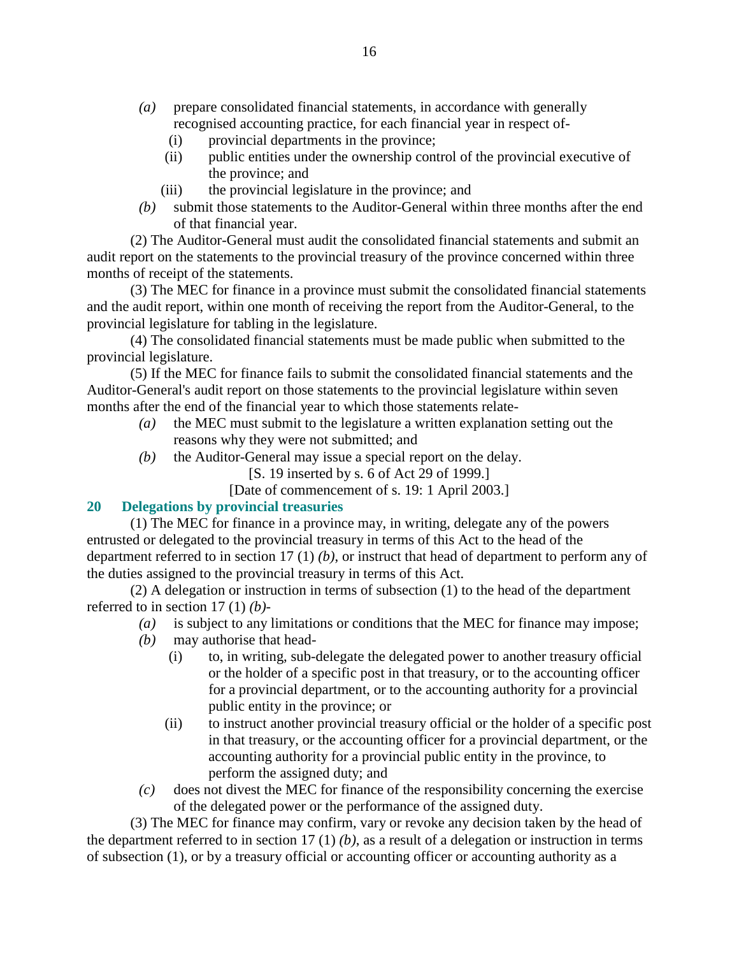- *(a)* prepare consolidated financial statements, in accordance with generally recognised accounting practice, for each financial year in respect of-
	- (i) provincial departments in the province;
	- (ii) public entities under the ownership control of the provincial executive of the province; and
	- (iii) the provincial legislature in the province; and
- *(b)* submit those statements to the Auditor-General within three months after the end of that financial year.

 (2) The Auditor-General must audit the consolidated financial statements and submit an audit report on the statements to the provincial treasury of the province concerned within three months of receipt of the statements.

 (3) The MEC for finance in a province must submit the consolidated financial statements and the audit report, within one month of receiving the report from the Auditor-General, to the provincial legislature for tabling in the legislature.

 (4) The consolidated financial statements must be made public when submitted to the provincial legislature.

 (5) If the MEC for finance fails to submit the consolidated financial statements and the Auditor-General's audit report on those statements to the provincial legislature within seven months after the end of the financial year to which those statements relate-

- *(a)* the MEC must submit to the legislature a written explanation setting out the reasons why they were not submitted; and
- *(b)* the Auditor-General may issue a special report on the delay.
	- [S. 19 inserted by s. 6 of Act 29 of 1999.]
	- [Date of commencement of s. 19: 1 April 2003.]

### **20 Delegations by provincial treasuries**

 (1) The MEC for finance in a province may, in writing, delegate any of the powers entrusted or delegated to the provincial treasury in terms of this Act to the head of the department referred to in section 17 (1) *(b)*, or instruct that head of department to perform any of the duties assigned to the provincial treasury in terms of this Act.

 (2) A delegation or instruction in terms of subsection (1) to the head of the department referred to in section 17 (1) *(b)*-

- *(a)* is subject to any limitations or conditions that the MEC for finance may impose;
- *(b)* may authorise that head-
	- (i) to, in writing, sub-delegate the delegated power to another treasury official or the holder of a specific post in that treasury, or to the accounting officer for a provincial department, or to the accounting authority for a provincial public entity in the province; or
	- (ii) to instruct another provincial treasury official or the holder of a specific post in that treasury, or the accounting officer for a provincial department, or the accounting authority for a provincial public entity in the province, to perform the assigned duty; and
- *(c)* does not divest the MEC for finance of the responsibility concerning the exercise of the delegated power or the performance of the assigned duty.

 (3) The MEC for finance may confirm, vary or revoke any decision taken by the head of the department referred to in section 17 (1) *(b)*, as a result of a delegation or instruction in terms of subsection (1), or by a treasury official or accounting officer or accounting authority as a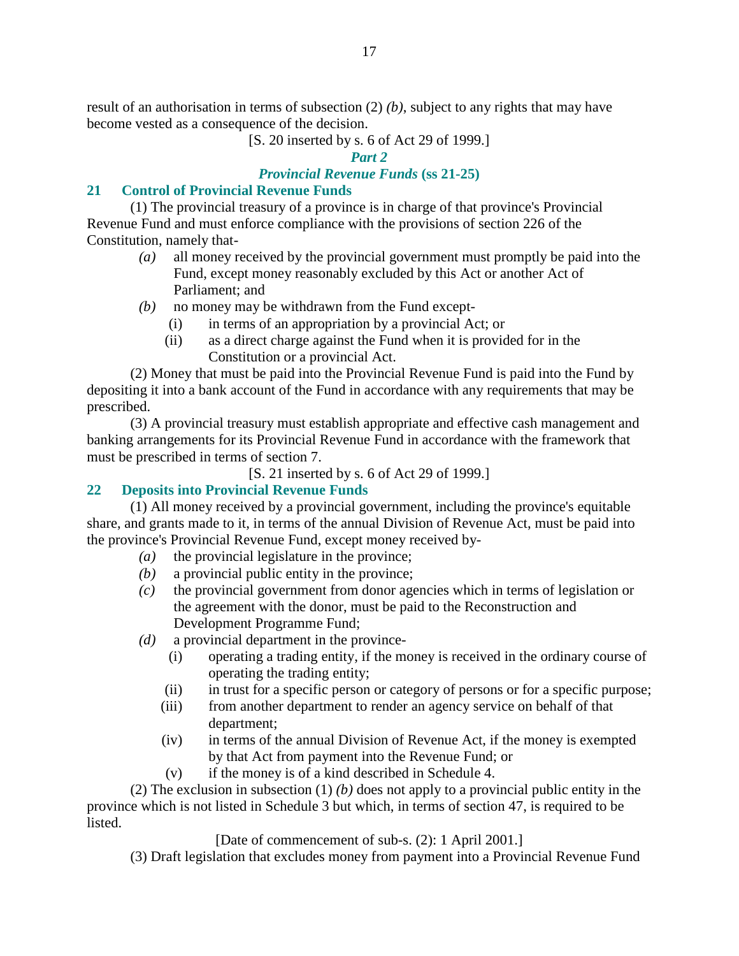result of an authorisation in terms of subsection (2) *(b)*, subject to any rights that may have become vested as a consequence of the decision.

[S. 20 inserted by s. 6 of Act 29 of 1999.]

#### *Part 2*

## *Provincial Revenue Funds* **(ss 21-25)**

## **21 Control of Provincial Revenue Funds**

 (1) The provincial treasury of a province is in charge of that province's Provincial Revenue Fund and must enforce compliance with the provisions of section 226 of the Constitution, namely that-

- *(a)* all money received by the provincial government must promptly be paid into the Fund, except money reasonably excluded by this Act or another Act of Parliament; and
- *(b)* no money may be withdrawn from the Fund except-
	- (i) in terms of an appropriation by a provincial Act; or
	- (ii) as a direct charge against the Fund when it is provided for in the Constitution or a provincial Act.

 (2) Money that must be paid into the Provincial Revenue Fund is paid into the Fund by depositing it into a bank account of the Fund in accordance with any requirements that may be prescribed.

 (3) A provincial treasury must establish appropriate and effective cash management and banking arrangements for its Provincial Revenue Fund in accordance with the framework that must be prescribed in terms of section 7.

[S. 21 inserted by s. 6 of Act 29 of 1999.]

# **22 Deposits into Provincial Revenue Funds**

 (1) All money received by a provincial government, including the province's equitable share, and grants made to it, in terms of the annual Division of Revenue Act, must be paid into the province's Provincial Revenue Fund, except money received by-

- *(a)* the provincial legislature in the province;
- *(b)* a provincial public entity in the province;
- *(c)* the provincial government from donor agencies which in terms of legislation or the agreement with the donor, must be paid to the Reconstruction and Development Programme Fund;
- *(d)* a provincial department in the province-
	- (i) operating a trading entity, if the money is received in the ordinary course of operating the trading entity;
	- (ii) in trust for a specific person or category of persons or for a specific purpose;
	- (iii) from another department to render an agency service on behalf of that department;
	- (iv) in terms of the annual Division of Revenue Act, if the money is exempted by that Act from payment into the Revenue Fund; or
	- (v) if the money is of a kind described in Schedule 4.

 (2) The exclusion in subsection (1) *(b)* does not apply to a provincial public entity in the province which is not listed in Schedule 3 but which, in terms of section 47, is required to be listed.

## [Date of commencement of sub-s. (2): 1 April 2001.]

(3) Draft legislation that excludes money from payment into a Provincial Revenue Fund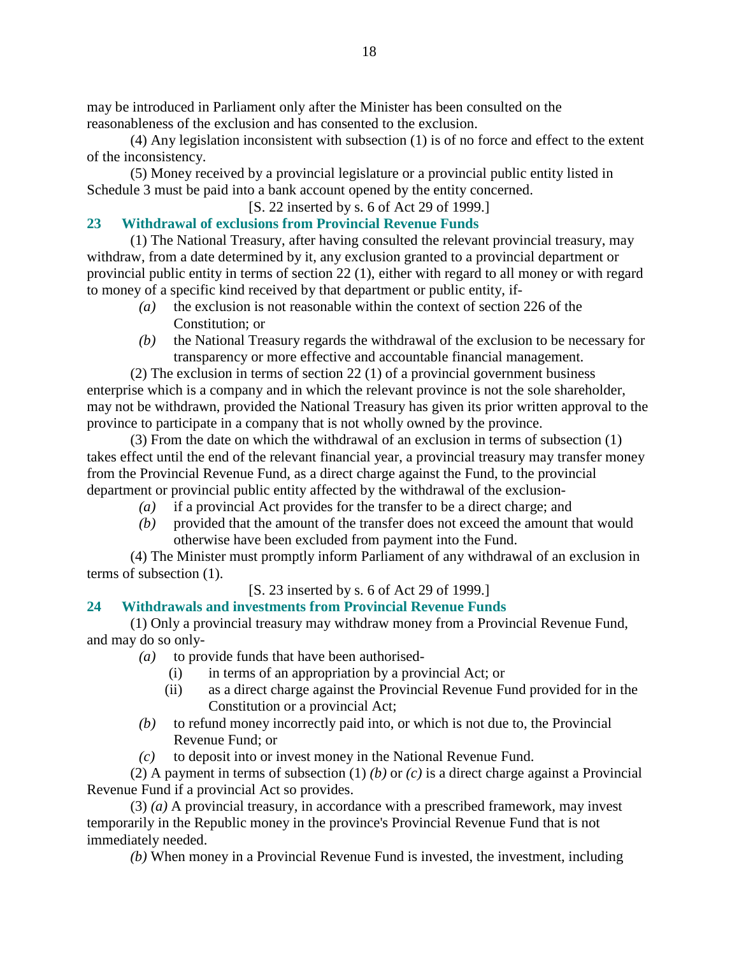may be introduced in Parliament only after the Minister has been consulted on the reasonableness of the exclusion and has consented to the exclusion.

 (4) Any legislation inconsistent with subsection (1) is of no force and effect to the extent of the inconsistency.

 (5) Money received by a provincial legislature or a provincial public entity listed in Schedule 3 must be paid into a bank account opened by the entity concerned.

# [S. 22 inserted by s. 6 of Act 29 of 1999.]

## **23 Withdrawal of exclusions from Provincial Revenue Funds**

 (1) The National Treasury, after having consulted the relevant provincial treasury, may withdraw, from a date determined by it, any exclusion granted to a provincial department or provincial public entity in terms of section 22 (1), either with regard to all money or with regard to money of a specific kind received by that department or public entity, if-

- *(a)* the exclusion is not reasonable within the context of section 226 of the Constitution; or
- *(b)* the National Treasury regards the withdrawal of the exclusion to be necessary for transparency or more effective and accountable financial management.

 (2) The exclusion in terms of section 22 (1) of a provincial government business enterprise which is a company and in which the relevant province is not the sole shareholder, may not be withdrawn, provided the National Treasury has given its prior written approval to the province to participate in a company that is not wholly owned by the province.

 (3) From the date on which the withdrawal of an exclusion in terms of subsection (1) takes effect until the end of the relevant financial year, a provincial treasury may transfer money from the Provincial Revenue Fund, as a direct charge against the Fund, to the provincial department or provincial public entity affected by the withdrawal of the exclusion-

- *(a)* if a provincial Act provides for the transfer to be a direct charge; and
- *(b)* provided that the amount of the transfer does not exceed the amount that would otherwise have been excluded from payment into the Fund.

 (4) The Minister must promptly inform Parliament of any withdrawal of an exclusion in terms of subsection (1).

[S. 23 inserted by s. 6 of Act 29 of 1999.]

# **24 Withdrawals and investments from Provincial Revenue Funds**

 (1) Only a provincial treasury may withdraw money from a Provincial Revenue Fund, and may do so only-

- *(a)* to provide funds that have been authorised-
	- (i) in terms of an appropriation by a provincial Act; or
	- (ii) as a direct charge against the Provincial Revenue Fund provided for in the Constitution or a provincial Act;
- *(b)* to refund money incorrectly paid into, or which is not due to, the Provincial Revenue Fund; or
- *(c)* to deposit into or invest money in the National Revenue Fund.

 (2) A payment in terms of subsection (1) *(b)* or *(c)* is a direct charge against a Provincial Revenue Fund if a provincial Act so provides.

 (3) *(a)* A provincial treasury, in accordance with a prescribed framework, may invest temporarily in the Republic money in the province's Provincial Revenue Fund that is not immediately needed.

*(b)* When money in a Provincial Revenue Fund is invested, the investment, including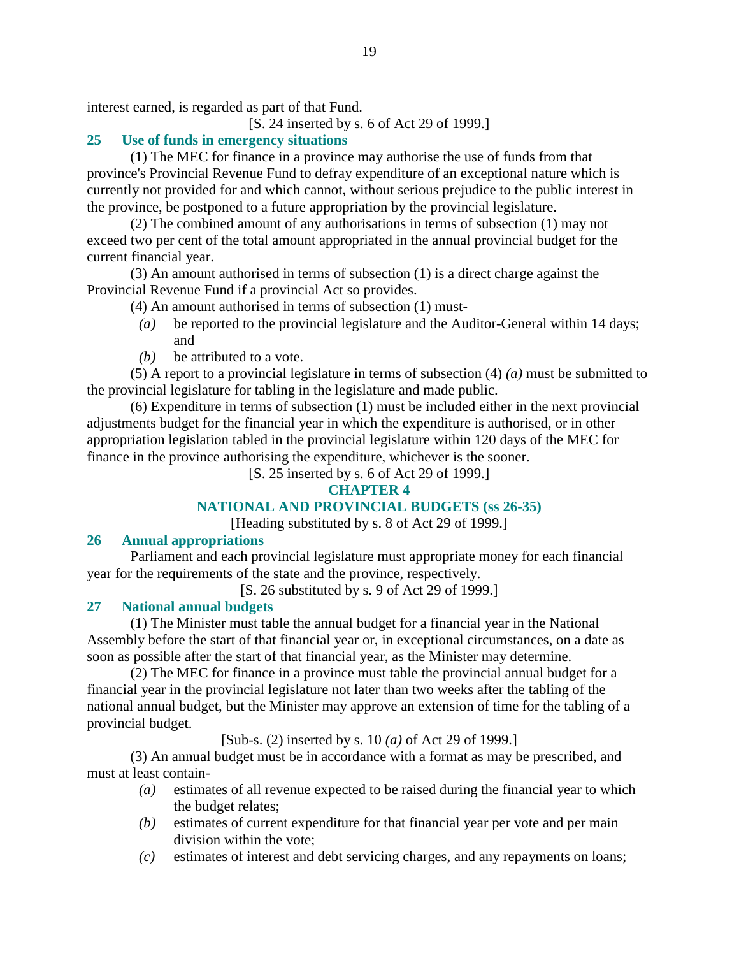interest earned, is regarded as part of that Fund.

[S. 24 inserted by s. 6 of Act 29 of 1999.]

# **25 Use of funds in emergency situations**

 (1) The MEC for finance in a province may authorise the use of funds from that province's Provincial Revenue Fund to defray expenditure of an exceptional nature which is currently not provided for and which cannot, without serious prejudice to the public interest in the province, be postponed to a future appropriation by the provincial legislature.

 (2) The combined amount of any authorisations in terms of subsection (1) may not exceed two per cent of the total amount appropriated in the annual provincial budget for the current financial year.

 (3) An amount authorised in terms of subsection (1) is a direct charge against the Provincial Revenue Fund if a provincial Act so provides.

(4) An amount authorised in terms of subsection (1) must-

- *(a)* be reported to the provincial legislature and the Auditor-General within 14 days; and
- *(b)* be attributed to a vote.

 (5) A report to a provincial legislature in terms of subsection (4) *(a)* must be submitted to the provincial legislature for tabling in the legislature and made public.

 (6) Expenditure in terms of subsection (1) must be included either in the next provincial adjustments budget for the financial year in which the expenditure is authorised, or in other appropriation legislation tabled in the provincial legislature within 120 days of the MEC for finance in the province authorising the expenditure, whichever is the sooner.

[S. 25 inserted by s. 6 of Act 29 of 1999.]

# **CHAPTER 4**

# **NATIONAL AND PROVINCIAL BUDGETS (ss 26-35)**

[Heading substituted by s. 8 of Act 29 of 1999.]

### **26 Annual appropriations**

 Parliament and each provincial legislature must appropriate money for each financial year for the requirements of the state and the province, respectively.

[S. 26 substituted by s. 9 of Act 29 of 1999.]

# **27 National annual budgets**

 (1) The Minister must table the annual budget for a financial year in the National Assembly before the start of that financial year or, in exceptional circumstances, on a date as soon as possible after the start of that financial year, as the Minister may determine.

 (2) The MEC for finance in a province must table the provincial annual budget for a financial year in the provincial legislature not later than two weeks after the tabling of the national annual budget, but the Minister may approve an extension of time for the tabling of a provincial budget.

[Sub-s. (2) inserted by s. 10 *(a)* of Act 29 of 1999.]

 (3) An annual budget must be in accordance with a format as may be prescribed, and must at least contain-

- *(a)* estimates of all revenue expected to be raised during the financial year to which the budget relates;
- *(b)* estimates of current expenditure for that financial year per vote and per main division within the vote;
- *(c)* estimates of interest and debt servicing charges, and any repayments on loans;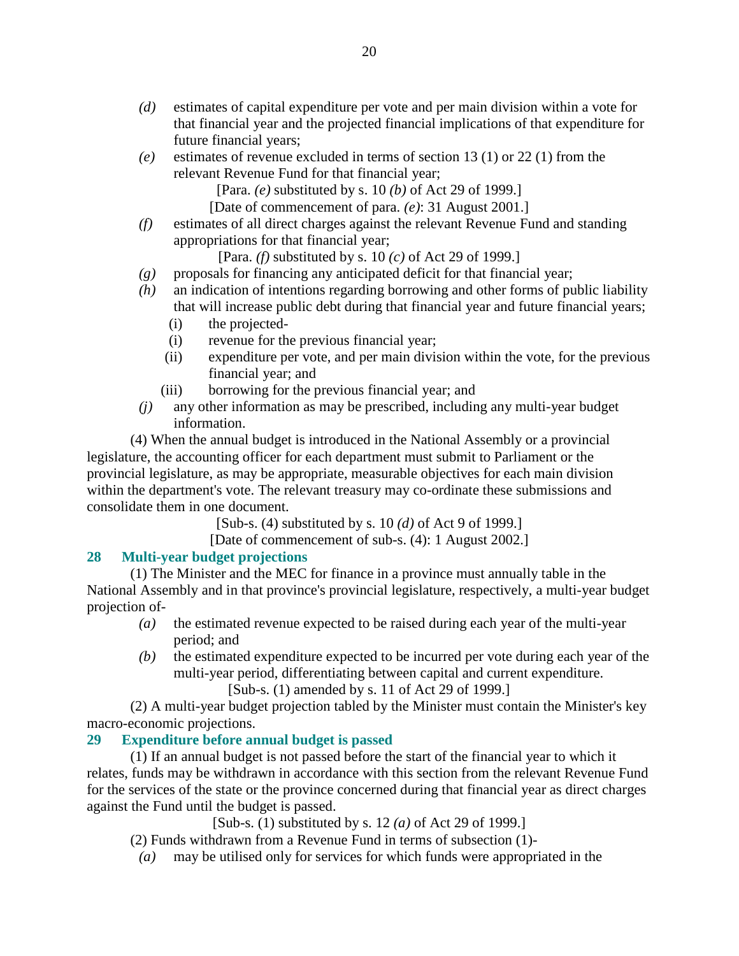- *(d)* estimates of capital expenditure per vote and per main division within a vote for that financial year and the projected financial implications of that expenditure for future financial years;
- *(e)* estimates of revenue excluded in terms of section 13 (1) or 22 (1) from the relevant Revenue Fund for that financial year;

[Para. *(e)* substituted by s. 10 *(b)* of Act 29 of 1999.]

[Date of commencement of para. *(e)*: 31 August 2001.]

 *(f)* estimates of all direct charges against the relevant Revenue Fund and standing appropriations for that financial year;

[Para. *(f)* substituted by s. 10 *(c)* of Act 29 of 1999.]

- $(g)$  proposals for financing any anticipated deficit for that financial year;
- *(h)* an indication of intentions regarding borrowing and other forms of public liability that will increase public debt during that financial year and future financial years;
	- (i) the projected-
	- (i) revenue for the previous financial year;
	- (ii) expenditure per vote, and per main division within the vote, for the previous financial year; and
	- (iii) borrowing for the previous financial year; and
- *(j)* any other information as may be prescribed, including any multi-year budget information.

 (4) When the annual budget is introduced in the National Assembly or a provincial legislature, the accounting officer for each department must submit to Parliament or the provincial legislature, as may be appropriate, measurable objectives for each main division within the department's vote. The relevant treasury may co-ordinate these submissions and consolidate them in one document.

[Sub-s. (4) substituted by s. 10 *(d)* of Act 9 of 1999.]

[Date of commencement of sub-s. (4): 1 August 2002.]

# **28 Multi-year budget projections**

 (1) The Minister and the MEC for finance in a province must annually table in the National Assembly and in that province's provincial legislature, respectively, a multi-year budget projection of-

- *(a)* the estimated revenue expected to be raised during each year of the multi-year period; and
- *(b)* the estimated expenditure expected to be incurred per vote during each year of the multi-year period, differentiating between capital and current expenditure.

[Sub-s. (1) amended by s. 11 of Act 29 of 1999.]

 (2) A multi-year budget projection tabled by the Minister must contain the Minister's key macro-economic projections.

# **29 Expenditure before annual budget is passed**

 (1) If an annual budget is not passed before the start of the financial year to which it relates, funds may be withdrawn in accordance with this section from the relevant Revenue Fund for the services of the state or the province concerned during that financial year as direct charges against the Fund until the budget is passed.

[Sub-s. (1) substituted by s. 12 *(a)* of Act 29 of 1999.]

(2) Funds withdrawn from a Revenue Fund in terms of subsection (1)-

*(a)* may be utilised only for services for which funds were appropriated in the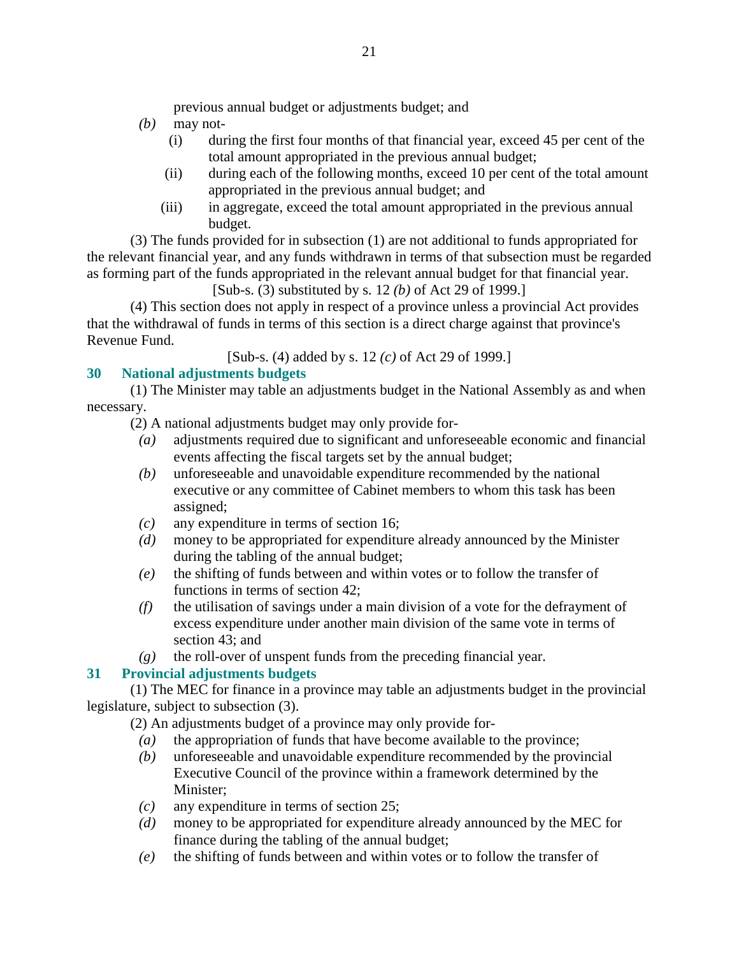previous annual budget or adjustments budget; and

- *(b)* may not-
	- (i) during the first four months of that financial year, exceed 45 per cent of the total amount appropriated in the previous annual budget;
	- (ii) during each of the following months, exceed 10 per cent of the total amount appropriated in the previous annual budget; and
	- (iii) in aggregate, exceed the total amount appropriated in the previous annual budget.

 (3) The funds provided for in subsection (1) are not additional to funds appropriated for the relevant financial year, and any funds withdrawn in terms of that subsection must be regarded as forming part of the funds appropriated in the relevant annual budget for that financial year.

[Sub-s. (3) substituted by s. 12 *(b)* of Act 29 of 1999.]

 (4) This section does not apply in respect of a province unless a provincial Act provides that the withdrawal of funds in terms of this section is a direct charge against that province's Revenue Fund.

[Sub-s. (4) added by s. 12 *(c)* of Act 29 of 1999.]

# **30 National adjustments budgets**

 (1) The Minister may table an adjustments budget in the National Assembly as and when necessary.

- (2) A national adjustments budget may only provide for-
	- *(a)* adjustments required due to significant and unforeseeable economic and financial events affecting the fiscal targets set by the annual budget;
	- *(b)* unforeseeable and unavoidable expenditure recommended by the national executive or any committee of Cabinet members to whom this task has been assigned;
	- *(c)* any expenditure in terms of section 16;
	- *(d)* money to be appropriated for expenditure already announced by the Minister during the tabling of the annual budget;
	- *(e)* the shifting of funds between and within votes or to follow the transfer of functions in terms of section 42;
	- *(f)* the utilisation of savings under a main division of a vote for the defrayment of excess expenditure under another main division of the same vote in terms of section 43; and
- *(g)* the roll-over of unspent funds from the preceding financial year.

# **31 Provincial adjustments budgets**

 (1) The MEC for finance in a province may table an adjustments budget in the provincial legislature, subject to subsection (3).

(2) An adjustments budget of a province may only provide for-

- *(a)* the appropriation of funds that have become available to the province;
- *(b)* unforeseeable and unavoidable expenditure recommended by the provincial Executive Council of the province within a framework determined by the Minister;
- *(c)* any expenditure in terms of section 25;
- *(d)* money to be appropriated for expenditure already announced by the MEC for finance during the tabling of the annual budget;
- *(e)* the shifting of funds between and within votes or to follow the transfer of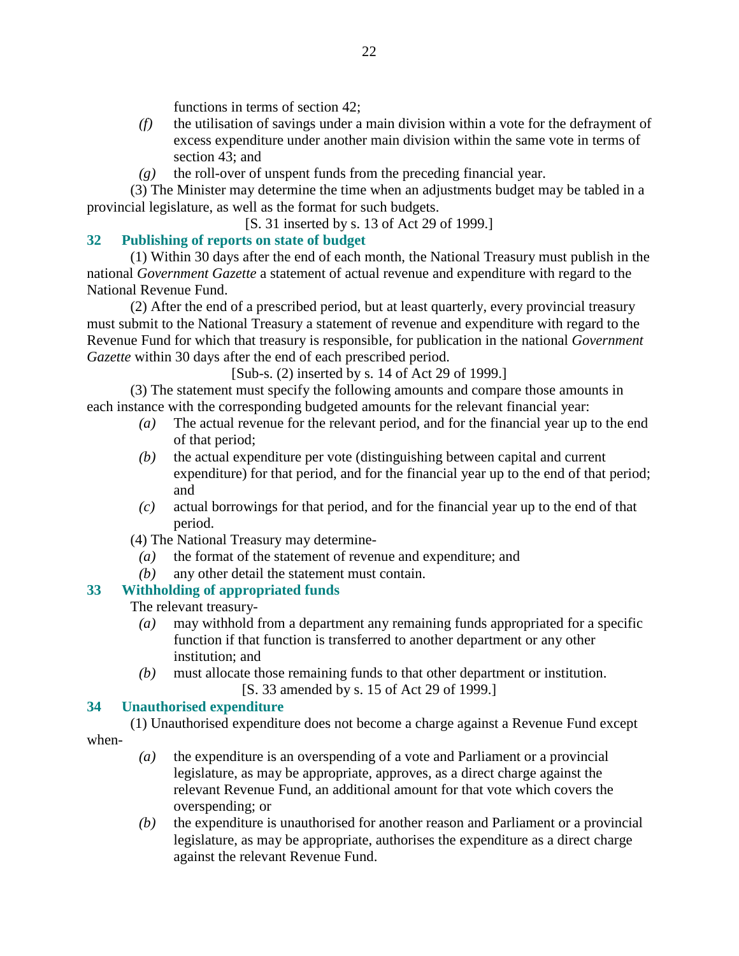functions in terms of section 42;

- *(f)* the utilisation of savings under a main division within a vote for the defrayment of excess expenditure under another main division within the same vote in terms of section 43; and
- *(g)* the roll-over of unspent funds from the preceding financial year.

 (3) The Minister may determine the time when an adjustments budget may be tabled in a provincial legislature, as well as the format for such budgets.

[S. 31 inserted by s. 13 of Act 29 of 1999.]

# **32 Publishing of reports on state of budget**

 (1) Within 30 days after the end of each month, the National Treasury must publish in the national *Government Gazette* a statement of actual revenue and expenditure with regard to the National Revenue Fund.

 (2) After the end of a prescribed period, but at least quarterly, every provincial treasury must submit to the National Treasury a statement of revenue and expenditure with regard to the Revenue Fund for which that treasury is responsible, for publication in the national *Government Gazette* within 30 days after the end of each prescribed period.

[Sub-s. (2) inserted by s. 14 of Act 29 of 1999.]

 (3) The statement must specify the following amounts and compare those amounts in each instance with the corresponding budgeted amounts for the relevant financial year:

- *(a)* The actual revenue for the relevant period, and for the financial year up to the end of that period;
- *(b)* the actual expenditure per vote (distinguishing between capital and current expenditure) for that period, and for the financial year up to the end of that period; and
- *(c)* actual borrowings for that period, and for the financial year up to the end of that period.
- (4) The National Treasury may determine-
- *(a)* the format of the statement of revenue and expenditure; and
- *(b)* any other detail the statement must contain.

# **33 Withholding of appropriated funds**

The relevant treasury-

- *(a)* may withhold from a department any remaining funds appropriated for a specific function if that function is transferred to another department or any other institution; and
- *(b)* must allocate those remaining funds to that other department or institution. [S. 33 amended by s. 15 of Act 29 of 1999.]

# **34 Unauthorised expenditure**

 (1) Unauthorised expenditure does not become a charge against a Revenue Fund except when-

- *(a)* the expenditure is an overspending of a vote and Parliament or a provincial legislature, as may be appropriate, approves, as a direct charge against the relevant Revenue Fund, an additional amount for that vote which covers the overspending; or
- *(b)* the expenditure is unauthorised for another reason and Parliament or a provincial legislature, as may be appropriate, authorises the expenditure as a direct charge against the relevant Revenue Fund.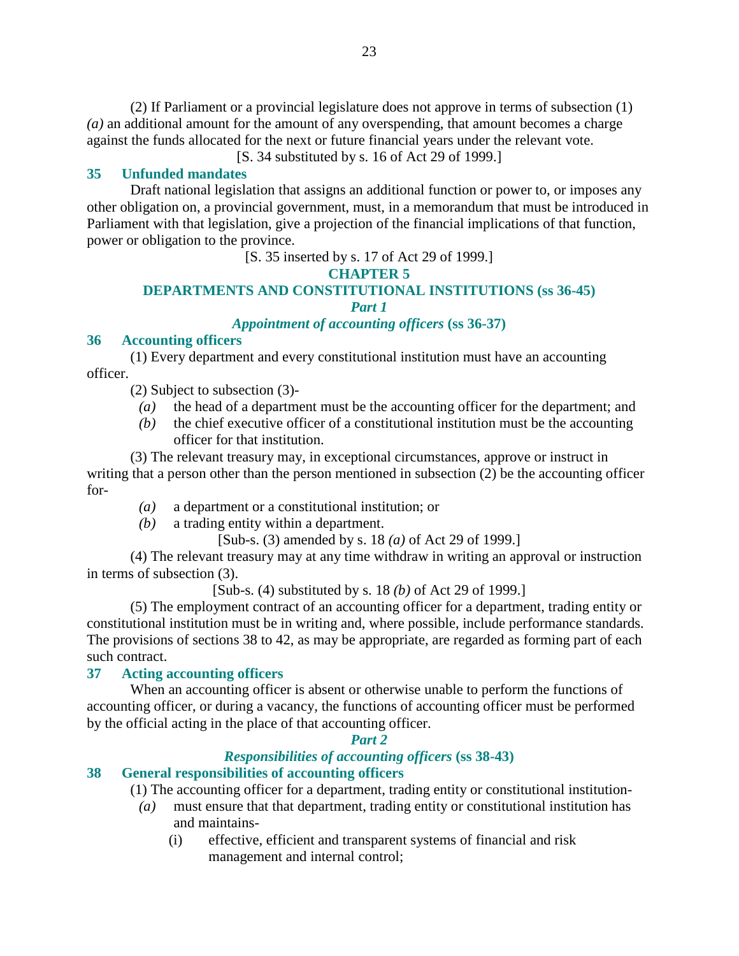(2) If Parliament or a provincial legislature does not approve in terms of subsection (1) *(a)* an additional amount for the amount of any overspending, that amount becomes a charge against the funds allocated for the next or future financial years under the relevant vote.

[S. 34 substituted by s. 16 of Act 29 of 1999.]

## **35 Unfunded mandates**

 Draft national legislation that assigns an additional function or power to, or imposes any other obligation on, a provincial government, must, in a memorandum that must be introduced in Parliament with that legislation, give a projection of the financial implications of that function, power or obligation to the province.

[S. 35 inserted by s. 17 of Act 29 of 1999.]

### **CHAPTER 5**

#### **DEPARTMENTS AND CONSTITUTIONAL INSTITUTIONS (ss 36-45)**  *Part 1*

## *Appointment of accounting officers* **(ss 36-37)**

### **36 Accounting officers**

 (1) Every department and every constitutional institution must have an accounting officer.

- (2) Subject to subsection (3)-
	- *(a)* the head of a department must be the accounting officer for the department; and
	- *(b)* the chief executive officer of a constitutional institution must be the accounting officer for that institution.

 (3) The relevant treasury may, in exceptional circumstances, approve or instruct in writing that a person other than the person mentioned in subsection (2) be the accounting officer for-

- *(a)* a department or a constitutional institution; or
- *(b)* a trading entity within a department.

[Sub-s. (3) amended by s. 18 *(a)* of Act 29 of 1999.]

 (4) The relevant treasury may at any time withdraw in writing an approval or instruction in terms of subsection (3).

[Sub-s. (4) substituted by s. 18 *(b)* of Act 29 of 1999.]

 (5) The employment contract of an accounting officer for a department, trading entity or constitutional institution must be in writing and, where possible, include performance standards. The provisions of sections 38 to 42, as may be appropriate, are regarded as forming part of each such contract.

### **37 Acting accounting officers**

 When an accounting officer is absent or otherwise unable to perform the functions of accounting officer, or during a vacancy, the functions of accounting officer must be performed by the official acting in the place of that accounting officer.

### *Part 2*

## *Responsibilities of accounting officers* **(ss 38-43)**

## **38 General responsibilities of accounting officers**

(1) The accounting officer for a department, trading entity or constitutional institution-

- *(a)* must ensure that that department, trading entity or constitutional institution has and maintains-
	- (i) effective, efficient and transparent systems of financial and risk management and internal control;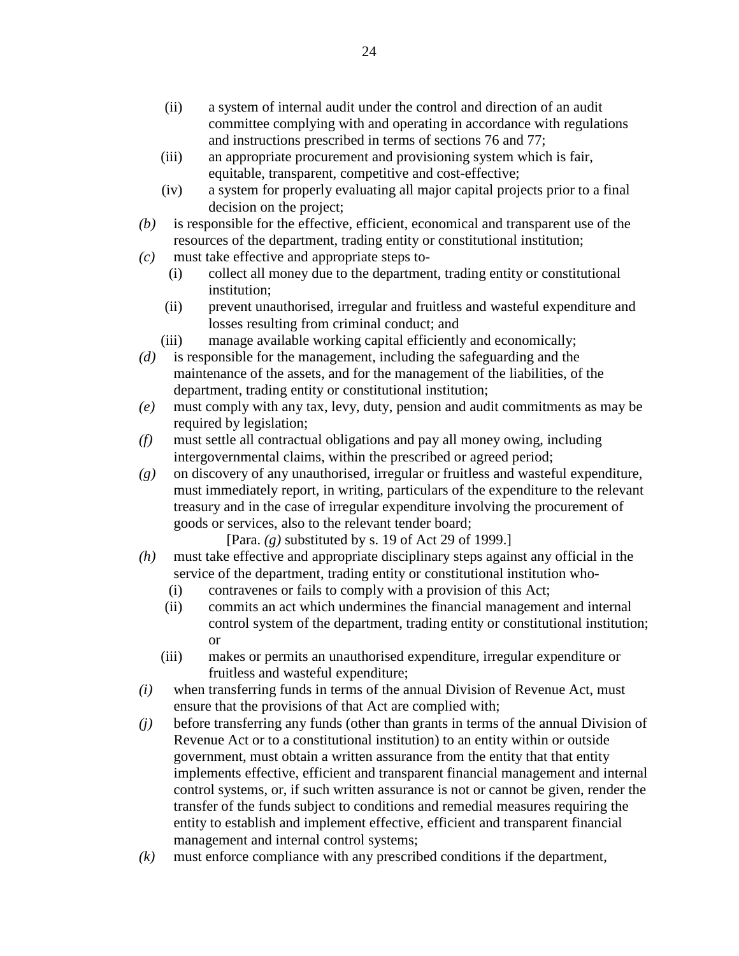- (ii) a system of internal audit under the control and direction of an audit committee complying with and operating in accordance with regulations and instructions prescribed in terms of sections 76 and 77;
- (iii) an appropriate procurement and provisioning system which is fair, equitable, transparent, competitive and cost-effective;
- (iv) a system for properly evaluating all major capital projects prior to a final decision on the project;
- *(b)* is responsible for the effective, efficient, economical and transparent use of the resources of the department, trading entity or constitutional institution;
- *(c)* must take effective and appropriate steps to-
	- (i) collect all money due to the department, trading entity or constitutional institution;
	- (ii) prevent unauthorised, irregular and fruitless and wasteful expenditure and losses resulting from criminal conduct; and
	- (iii) manage available working capital efficiently and economically;
- *(d)* is responsible for the management, including the safeguarding and the maintenance of the assets, and for the management of the liabilities, of the department, trading entity or constitutional institution;
- *(e)* must comply with any tax, levy, duty, pension and audit commitments as may be required by legislation;
- *(f)* must settle all contractual obligations and pay all money owing, including intergovernmental claims, within the prescribed or agreed period;
- *(g)* on discovery of any unauthorised, irregular or fruitless and wasteful expenditure, must immediately report, in writing, particulars of the expenditure to the relevant treasury and in the case of irregular expenditure involving the procurement of goods or services, also to the relevant tender board;

[Para. *(g)* substituted by s. 19 of Act 29 of 1999.]

- *(h)* must take effective and appropriate disciplinary steps against any official in the service of the department, trading entity or constitutional institution who-
	- (i) contravenes or fails to comply with a provision of this Act;
	- (ii) commits an act which undermines the financial management and internal control system of the department, trading entity or constitutional institution; or
	- (iii) makes or permits an unauthorised expenditure, irregular expenditure or fruitless and wasteful expenditure;
- *(i)* when transferring funds in terms of the annual Division of Revenue Act, must ensure that the provisions of that Act are complied with;
- *(j)* before transferring any funds (other than grants in terms of the annual Division of Revenue Act or to a constitutional institution) to an entity within or outside government, must obtain a written assurance from the entity that that entity implements effective, efficient and transparent financial management and internal control systems, or, if such written assurance is not or cannot be given, render the transfer of the funds subject to conditions and remedial measures requiring the entity to establish and implement effective, efficient and transparent financial management and internal control systems;
- *(k)* must enforce compliance with any prescribed conditions if the department,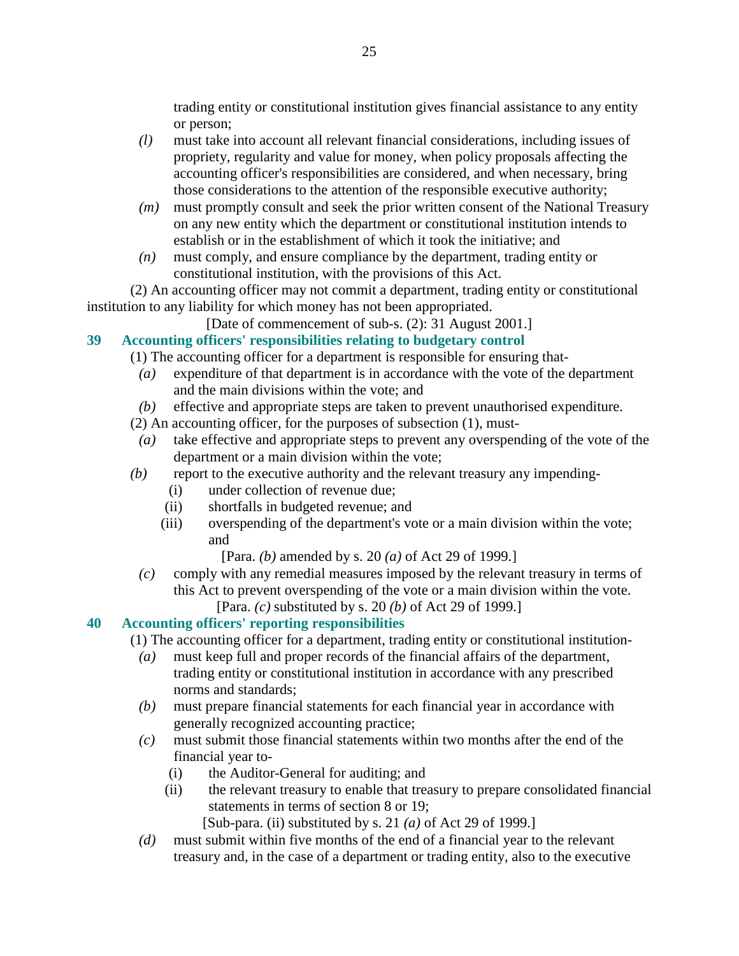trading entity or constitutional institution gives financial assistance to any entity or person;

- *(l)* must take into account all relevant financial considerations, including issues of propriety, regularity and value for money, when policy proposals affecting the accounting officer's responsibilities are considered, and when necessary, bring those considerations to the attention of the responsible executive authority;
- *(m)* must promptly consult and seek the prior written consent of the National Treasury on any new entity which the department or constitutional institution intends to establish or in the establishment of which it took the initiative; and
- *(n)* must comply, and ensure compliance by the department, trading entity or constitutional institution, with the provisions of this Act.

 (2) An accounting officer may not commit a department, trading entity or constitutional institution to any liability for which money has not been appropriated.

[Date of commencement of sub-s. (2): 31 August 2001.]

# **39 Accounting officers' responsibilities relating to budgetary control**

(1) The accounting officer for a department is responsible for ensuring that-

- *(a)* expenditure of that department is in accordance with the vote of the department and the main divisions within the vote; and
- *(b)* effective and appropriate steps are taken to prevent unauthorised expenditure.
- (2) An accounting officer, for the purposes of subsection (1), must-
- *(a)* take effective and appropriate steps to prevent any overspending of the vote of the department or a main division within the vote;
- *(b)* report to the executive authority and the relevant treasury any impending-
	- (i) under collection of revenue due;
	- (ii) shortfalls in budgeted revenue; and
	- (iii) overspending of the department's vote or a main division within the vote; and

[Para. *(b)* amended by s. 20 *(a)* of Act 29 of 1999.]

 *(c)* comply with any remedial measures imposed by the relevant treasury in terms of this Act to prevent overspending of the vote or a main division within the vote. [Para. *(c)* substituted by s. 20 *(b)* of Act 29 of 1999.]

# **40 Accounting officers' reporting responsibilities**

(1) The accounting officer for a department, trading entity or constitutional institution-

- *(a)* must keep full and proper records of the financial affairs of the department, trading entity or constitutional institution in accordance with any prescribed norms and standards;
- *(b)* must prepare financial statements for each financial year in accordance with generally recognized accounting practice;
- *(c)* must submit those financial statements within two months after the end of the financial year to-
	- (i) the Auditor-General for auditing; and
	- (ii) the relevant treasury to enable that treasury to prepare consolidated financial statements in terms of section 8 or 19;

[Sub-para. (ii) substituted by s. 21 *(a)* of Act 29 of 1999.]

 *(d)* must submit within five months of the end of a financial year to the relevant treasury and, in the case of a department or trading entity, also to the executive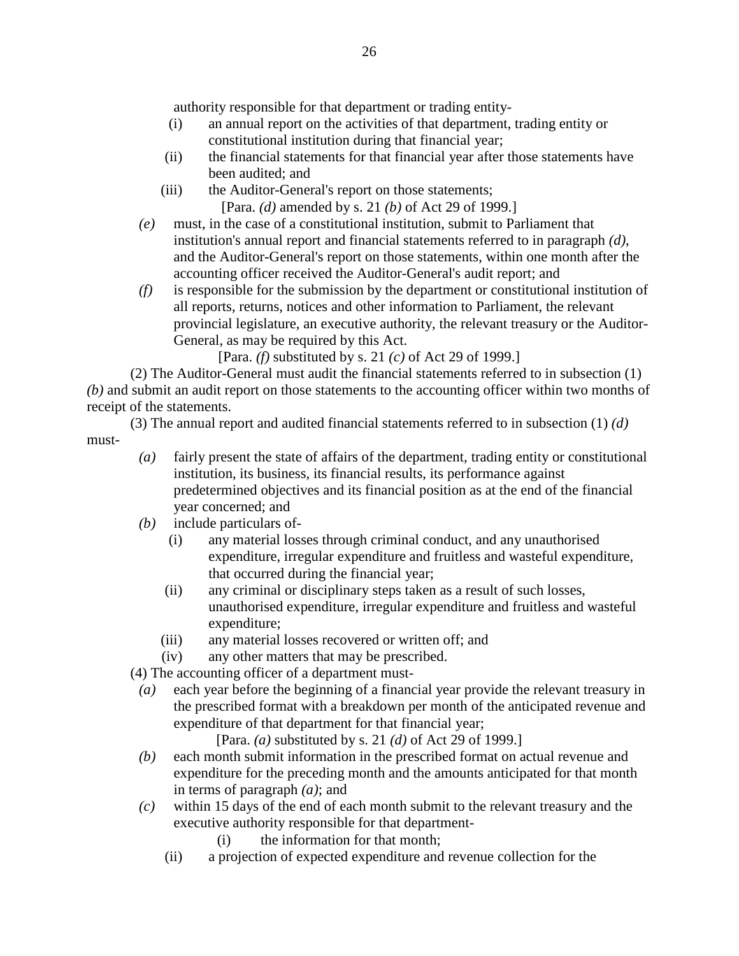authority responsible for that department or trading entity-

- (i) an annual report on the activities of that department, trading entity or constitutional institution during that financial year;
- (ii) the financial statements for that financial year after those statements have been audited; and
- (iii) the Auditor-General's report on those statements; [Para. *(d)* amended by s. 21 *(b)* of Act 29 of 1999.]
- *(e)* must, in the case of a constitutional institution, submit to Parliament that institution's annual report and financial statements referred to in paragraph *(d)*, and the Auditor-General's report on those statements, within one month after the accounting officer received the Auditor-General's audit report; and
- *(f)* is responsible for the submission by the department or constitutional institution of all reports, returns, notices and other information to Parliament, the relevant provincial legislature, an executive authority, the relevant treasury or the Auditor-General, as may be required by this Act.

[Para. *(f)* substituted by s. 21 *(c)* of Act 29 of 1999.]

 (2) The Auditor-General must audit the financial statements referred to in subsection (1) *(b)* and submit an audit report on those statements to the accounting officer within two months of receipt of the statements.

 (3) The annual report and audited financial statements referred to in subsection (1) *(d)* must-

- *(a)* fairly present the state of affairs of the department, trading entity or constitutional institution, its business, its financial results, its performance against predetermined objectives and its financial position as at the end of the financial year concerned; and
- *(b)* include particulars of-
	- (i) any material losses through criminal conduct, and any unauthorised expenditure, irregular expenditure and fruitless and wasteful expenditure, that occurred during the financial year;
	- (ii) any criminal or disciplinary steps taken as a result of such losses, unauthorised expenditure, irregular expenditure and fruitless and wasteful expenditure;
	- (iii) any material losses recovered or written off; and
	- (iv) any other matters that may be prescribed.

(4) The accounting officer of a department must-

 *(a)* each year before the beginning of a financial year provide the relevant treasury in the prescribed format with a breakdown per month of the anticipated revenue and expenditure of that department for that financial year;

[Para. *(a)* substituted by s. 21 *(d)* of Act 29 of 1999.]

- *(b)* each month submit information in the prescribed format on actual revenue and expenditure for the preceding month and the amounts anticipated for that month in terms of paragraph *(a)*; and
- *(c)* within 15 days of the end of each month submit to the relevant treasury and the executive authority responsible for that department-
	- (i) the information for that month;
	- (ii) a projection of expected expenditure and revenue collection for the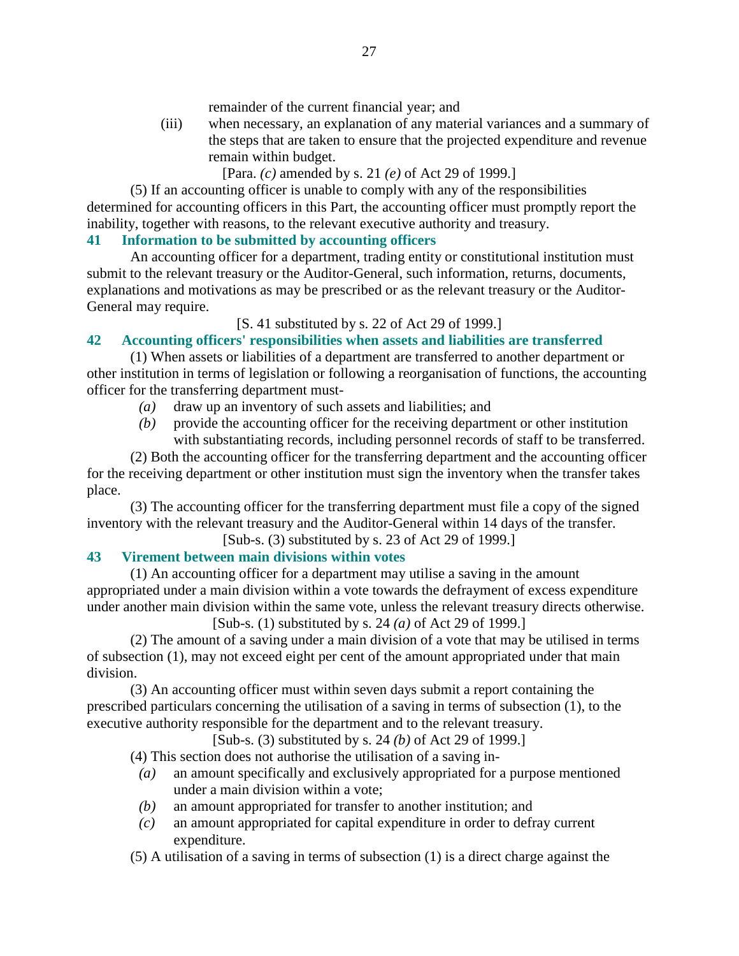remainder of the current financial year; and

 (iii) when necessary, an explanation of any material variances and a summary of the steps that are taken to ensure that the projected expenditure and revenue remain within budget.

[Para. *(c)* amended by s. 21 *(e)* of Act 29 of 1999.]

 (5) If an accounting officer is unable to comply with any of the responsibilities determined for accounting officers in this Part, the accounting officer must promptly report the inability, together with reasons, to the relevant executive authority and treasury.

# **41 Information to be submitted by accounting officers**

 An accounting officer for a department, trading entity or constitutional institution must submit to the relevant treasury or the Auditor-General, such information, returns, documents, explanations and motivations as may be prescribed or as the relevant treasury or the Auditor-General may require.

# [S. 41 substituted by s. 22 of Act 29 of 1999.]

# **42 Accounting officers' responsibilities when assets and liabilities are transferred**

 (1) When assets or liabilities of a department are transferred to another department or other institution in terms of legislation or following a reorganisation of functions, the accounting officer for the transferring department must-

- *(a)* draw up an inventory of such assets and liabilities; and
- *(b)* provide the accounting officer for the receiving department or other institution with substantiating records, including personnel records of staff to be transferred.

 (2) Both the accounting officer for the transferring department and the accounting officer for the receiving department or other institution must sign the inventory when the transfer takes place.

 (3) The accounting officer for the transferring department must file a copy of the signed inventory with the relevant treasury and the Auditor-General within 14 days of the transfer.

# [Sub-s. (3) substituted by s. 23 of Act 29 of 1999.]

# **43 Virement between main divisions within votes**

 (1) An accounting officer for a department may utilise a saving in the amount appropriated under a main division within a vote towards the defrayment of excess expenditure under another main division within the same vote, unless the relevant treasury directs otherwise.

[Sub-s. (1) substituted by s. 24 *(a)* of Act 29 of 1999.]

 (2) The amount of a saving under a main division of a vote that may be utilised in terms of subsection (1), may not exceed eight per cent of the amount appropriated under that main division.

 (3) An accounting officer must within seven days submit a report containing the prescribed particulars concerning the utilisation of a saving in terms of subsection (1), to the executive authority responsible for the department and to the relevant treasury.

[Sub-s. (3) substituted by s. 24 *(b)* of Act 29 of 1999.]

(4) This section does not authorise the utilisation of a saving in-

- *(a)* an amount specifically and exclusively appropriated for a purpose mentioned under a main division within a vote;
- *(b)* an amount appropriated for transfer to another institution; and
- *(c)* an amount appropriated for capital expenditure in order to defray current expenditure.
- (5) A utilisation of a saving in terms of subsection (1) is a direct charge against the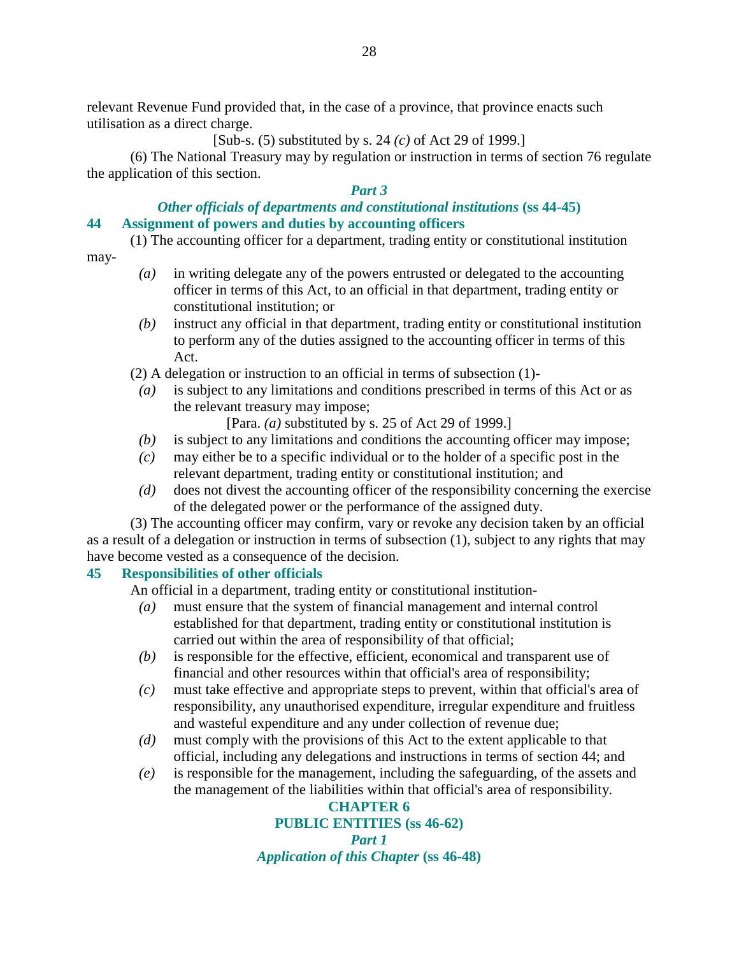relevant Revenue Fund provided that, in the case of a province, that province enacts such utilisation as a direct charge.

[Sub-s. (5) substituted by s. 24 *(c)* of Act 29 of 1999.]

 (6) The National Treasury may by regulation or instruction in terms of section 76 regulate the application of this section.

## *Part 3*

## *Other officials of departments and constitutional institutions* **(ss 44-45) 44 Assignment of powers and duties by accounting officers**

(1) The accounting officer for a department, trading entity or constitutional institution

may-

- *(a)* in writing delegate any of the powers entrusted or delegated to the accounting officer in terms of this Act, to an official in that department, trading entity or constitutional institution; or
- *(b)* instruct any official in that department, trading entity or constitutional institution to perform any of the duties assigned to the accounting officer in terms of this Act.
- (2) A delegation or instruction to an official in terms of subsection (1)-
	- *(a)* is subject to any limitations and conditions prescribed in terms of this Act or as the relevant treasury may impose;

[Para. *(a)* substituted by s. 25 of Act 29 of 1999.]

- *(b)* is subject to any limitations and conditions the accounting officer may impose;
- *(c)* may either be to a specific individual or to the holder of a specific post in the relevant department, trading entity or constitutional institution; and
- *(d)* does not divest the accounting officer of the responsibility concerning the exercise of the delegated power or the performance of the assigned duty.

 (3) The accounting officer may confirm, vary or revoke any decision taken by an official as a result of a delegation or instruction in terms of subsection (1), subject to any rights that may have become vested as a consequence of the decision.

# **45 Responsibilities of other officials**

An official in a department, trading entity or constitutional institution**-** 

- *(a)* must ensure that the system of financial management and internal control established for that department, trading entity or constitutional institution is carried out within the area of responsibility of that official;
- *(b)* is responsible for the effective, efficient, economical and transparent use of financial and other resources within that official's area of responsibility;
- *(c)* must take effective and appropriate steps to prevent, within that official's area of responsibility, any unauthorised expenditure, irregular expenditure and fruitless and wasteful expenditure and any under collection of revenue due;
- *(d)* must comply with the provisions of this Act to the extent applicable to that official, including any delegations and instructions in terms of section 44; and
- *(e)* is responsible for the management, including the safeguarding, of the assets and the management of the liabilities within that official's area of responsibility.

# **CHAPTER 6 PUBLIC ENTITIES (ss 46-62)**  *Part 1 Application of this Chapter* **(ss 46-48)**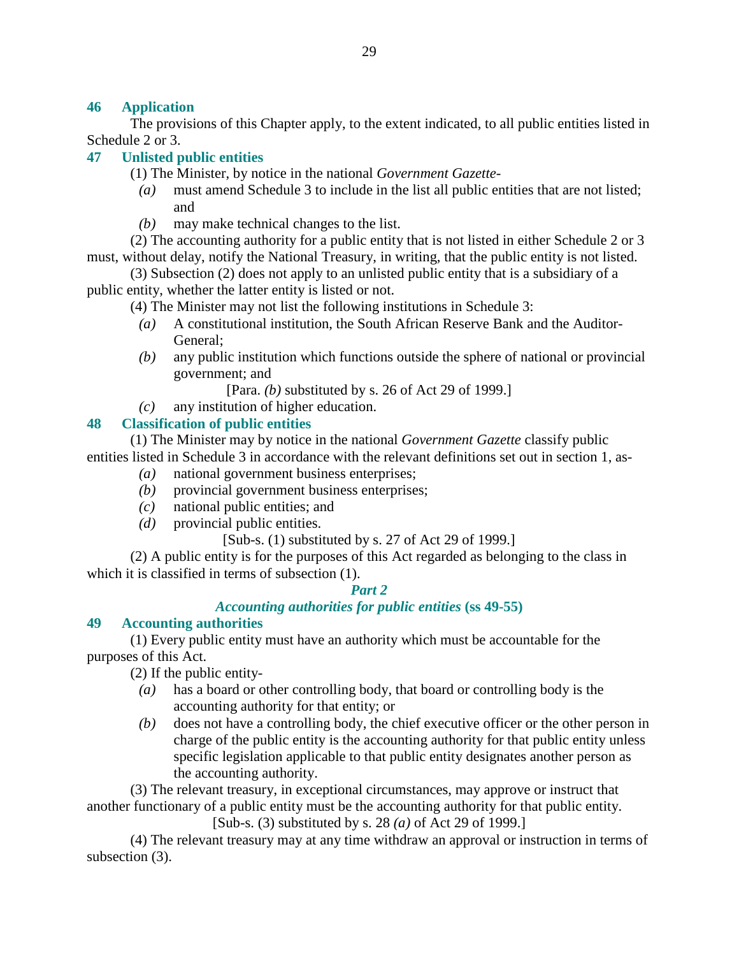## **46 Application**

 The provisions of this Chapter apply, to the extent indicated, to all public entities listed in Schedule 2 or 3.

## **47 Unlisted public entities**

- (1) The Minister, by notice in the national *Government Gazette*
	- *(a)* must amend Schedule 3 to include in the list all public entities that are not listed; and
	- *(b)* may make technical changes to the list.

 (2) The accounting authority for a public entity that is not listed in either Schedule 2 or 3 must, without delay, notify the National Treasury, in writing, that the public entity is not listed.

 (3) Subsection (2) does not apply to an unlisted public entity that is a subsidiary of a public entity, whether the latter entity is listed or not.

(4) The Minister may not list the following institutions in Schedule 3:

- *(a)* A constitutional institution, the South African Reserve Bank and the Auditor-General;
- *(b)* any public institution which functions outside the sphere of national or provincial government; and

[Para. *(b)* substituted by s. 26 of Act 29 of 1999.]

*(c)* any institution of higher education.

## **48 Classification of public entities**

 (1) The Minister may by notice in the national *Government Gazette* classify public entities listed in Schedule 3 in accordance with the relevant definitions set out in section 1, as-

- *(a)* national government business enterprises;
- *(b)* provincial government business enterprises;
- *(c)* national public entities; and
- *(d)* provincial public entities.

# [Sub-s. (1) substituted by s. 27 of Act 29 of 1999.]

 (2) A public entity is for the purposes of this Act regarded as belonging to the class in which it is classified in terms of subsection (1).

### *Part 2*

# *Accounting authorities for public entities* **(ss 49-55)**

### **49 Accounting authorities**

 (1) Every public entity must have an authority which must be accountable for the purposes of this Act.

(2) If the public entity-

- *(a)* has a board or other controlling body, that board or controlling body is the accounting authority for that entity; or
- *(b)* does not have a controlling body, the chief executive officer or the other person in charge of the public entity is the accounting authority for that public entity unless specific legislation applicable to that public entity designates another person as the accounting authority.

 (3) The relevant treasury, in exceptional circumstances, may approve or instruct that another functionary of a public entity must be the accounting authority for that public entity.

[Sub-s. (3) substituted by s. 28 *(a)* of Act 29 of 1999.]

 (4) The relevant treasury may at any time withdraw an approval or instruction in terms of subsection (3).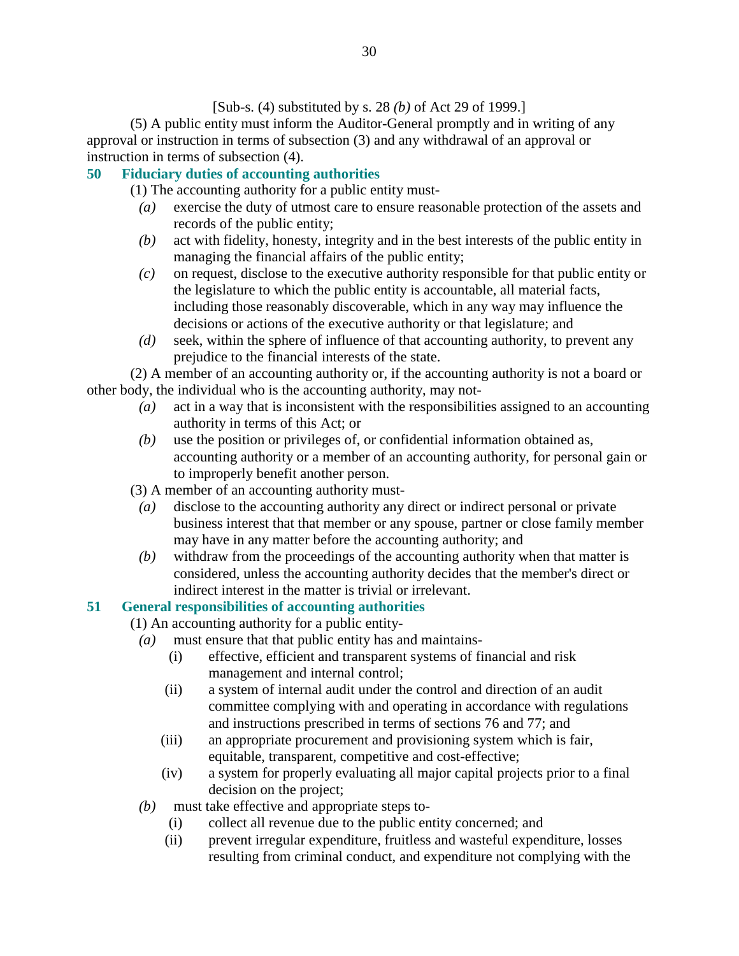[Sub-s. (4) substituted by s. 28 *(b)* of Act 29 of 1999.]

 (5) A public entity must inform the Auditor-General promptly and in writing of any approval or instruction in terms of subsection (3) and any withdrawal of an approval or instruction in terms of subsection (4).

# **50 Fiduciary duties of accounting authorities**

(1) The accounting authority for a public entity must-

- *(a)* exercise the duty of utmost care to ensure reasonable protection of the assets and records of the public entity;
- *(b)* act with fidelity, honesty, integrity and in the best interests of the public entity in managing the financial affairs of the public entity;
- *(c)* on request, disclose to the executive authority responsible for that public entity or the legislature to which the public entity is accountable, all material facts, including those reasonably discoverable, which in any way may influence the decisions or actions of the executive authority or that legislature; and
- *(d)* seek, within the sphere of influence of that accounting authority, to prevent any prejudice to the financial interests of the state.

 (2) A member of an accounting authority or, if the accounting authority is not a board or other body, the individual who is the accounting authority, may not-

- *(a)* act in a way that is inconsistent with the responsibilities assigned to an accounting authority in terms of this Act; or
- *(b)* use the position or privileges of, or confidential information obtained as, accounting authority or a member of an accounting authority, for personal gain or to improperly benefit another person.
- (3) A member of an accounting authority must-
	- *(a)* disclose to the accounting authority any direct or indirect personal or private business interest that that member or any spouse, partner or close family member may have in any matter before the accounting authority; and
	- *(b)* withdraw from the proceedings of the accounting authority when that matter is considered, unless the accounting authority decides that the member's direct or indirect interest in the matter is trivial or irrelevant.

# **51 General responsibilities of accounting authorities**

(1) An accounting authority for a public entity-

- *(a)* must ensure that that public entity has and maintains-
	- (i) effective, efficient and transparent systems of financial and risk management and internal control;
	- (ii) a system of internal audit under the control and direction of an audit committee complying with and operating in accordance with regulations and instructions prescribed in terms of sections 76 and 77; and
	- (iii) an appropriate procurement and provisioning system which is fair, equitable, transparent, competitive and cost-effective;
	- (iv) a system for properly evaluating all major capital projects prior to a final decision on the project;
- *(b)* must take effective and appropriate steps to-
	- (i) collect all revenue due to the public entity concerned; and
	- (ii) prevent irregular expenditure, fruitless and wasteful expenditure, losses resulting from criminal conduct, and expenditure not complying with the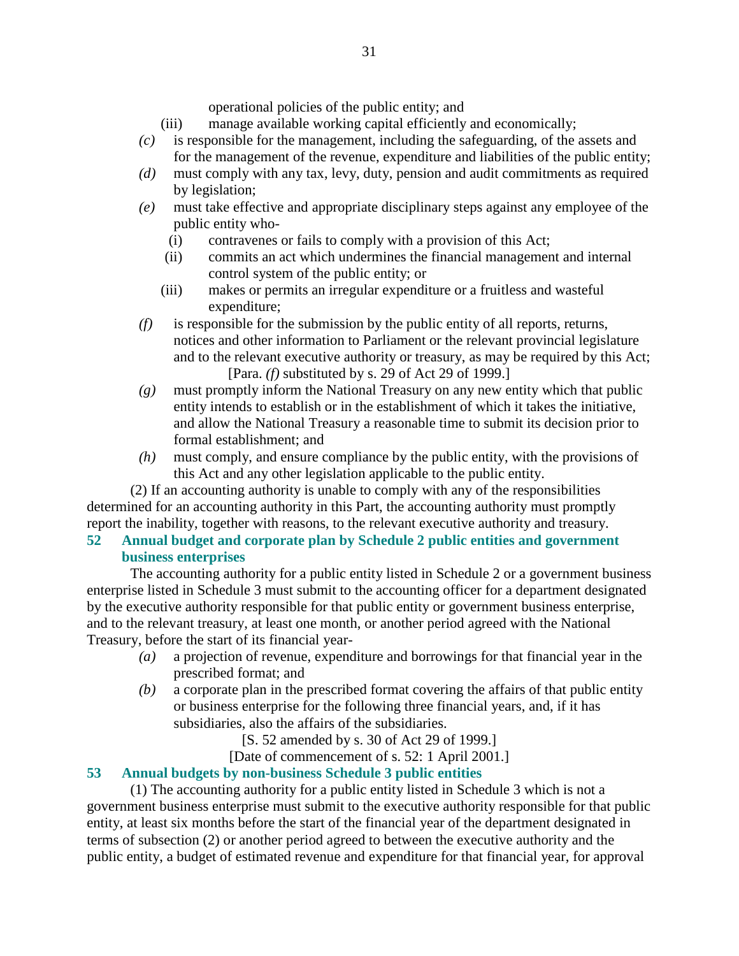operational policies of the public entity; and

- (iii) manage available working capital efficiently and economically;
- *(c)* is responsible for the management, including the safeguarding, of the assets and for the management of the revenue, expenditure and liabilities of the public entity;
- *(d)* must comply with any tax, levy, duty, pension and audit commitments as required by legislation;
- *(e)* must take effective and appropriate disciplinary steps against any employee of the public entity who-
	- (i) contravenes or fails to comply with a provision of this Act;
	- (ii) commits an act which undermines the financial management and internal control system of the public entity; or
	- (iii) makes or permits an irregular expenditure or a fruitless and wasteful expenditure;
- *(f)* is responsible for the submission by the public entity of all reports, returns, notices and other information to Parliament or the relevant provincial legislature and to the relevant executive authority or treasury, as may be required by this Act; [Para. *(f)* substituted by s. 29 of Act 29 of 1999.]
- *(g)* must promptly inform the National Treasury on any new entity which that public entity intends to establish or in the establishment of which it takes the initiative, and allow the National Treasury a reasonable time to submit its decision prior to formal establishment; and
- *(h)* must comply, and ensure compliance by the public entity, with the provisions of this Act and any other legislation applicable to the public entity.

 (2) If an accounting authority is unable to comply with any of the responsibilities determined for an accounting authority in this Part, the accounting authority must promptly report the inability, together with reasons, to the relevant executive authority and treasury.

## **52 Annual budget and corporate plan by Schedule 2 public entities and government business enterprises**

 The accounting authority for a public entity listed in Schedule 2 or a government business enterprise listed in Schedule 3 must submit to the accounting officer for a department designated by the executive authority responsible for that public entity or government business enterprise, and to the relevant treasury, at least one month, or another period agreed with the National Treasury, before the start of its financial year-

- *(a)* a projection of revenue, expenditure and borrowings for that financial year in the prescribed format; and
- *(b)* a corporate plan in the prescribed format covering the affairs of that public entity or business enterprise for the following three financial years, and, if it has subsidiaries, also the affairs of the subsidiaries.

[S. 52 amended by s. 30 of Act 29 of 1999.]

[Date of commencement of s. 52: 1 April 2001.]

# **53 Annual budgets by non-business Schedule 3 public entities**

 (1) The accounting authority for a public entity listed in Schedule 3 which is not a government business enterprise must submit to the executive authority responsible for that public entity, at least six months before the start of the financial year of the department designated in terms of subsection (2) or another period agreed to between the executive authority and the public entity, a budget of estimated revenue and expenditure for that financial year, for approval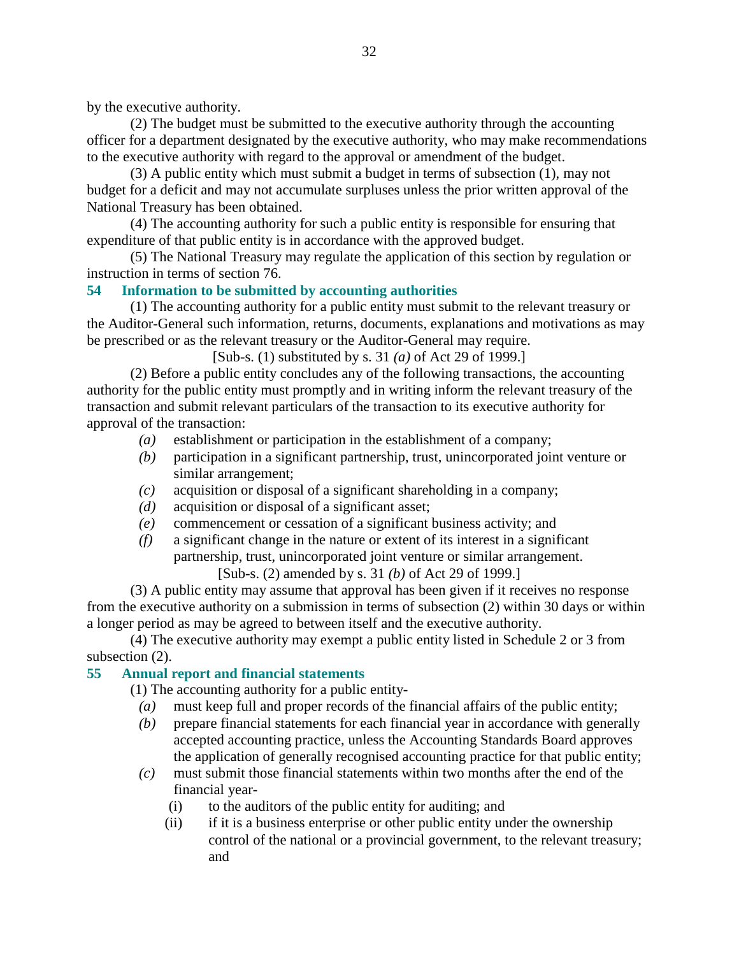by the executive authority.

 (2) The budget must be submitted to the executive authority through the accounting officer for a department designated by the executive authority, who may make recommendations to the executive authority with regard to the approval or amendment of the budget.

 (3) A public entity which must submit a budget in terms of subsection (1), may not budget for a deficit and may not accumulate surpluses unless the prior written approval of the National Treasury has been obtained.

 (4) The accounting authority for such a public entity is responsible for ensuring that expenditure of that public entity is in accordance with the approved budget.

 (5) The National Treasury may regulate the application of this section by regulation or instruction in terms of section 76.

## **54 Information to be submitted by accounting authorities**

 (1) The accounting authority for a public entity must submit to the relevant treasury or the Auditor-General such information, returns, documents, explanations and motivations as may be prescribed or as the relevant treasury or the Auditor-General may require.

[Sub-s. (1) substituted by s. 31 *(a)* of Act 29 of 1999.]

 (2) Before a public entity concludes any of the following transactions, the accounting authority for the public entity must promptly and in writing inform the relevant treasury of the transaction and submit relevant particulars of the transaction to its executive authority for approval of the transaction:

- *(a)* establishment or participation in the establishment of a company;
- *(b)* participation in a significant partnership, trust, unincorporated joint venture or similar arrangement;
- *(c)* acquisition or disposal of a significant shareholding in a company;
- *(d)* acquisition or disposal of a significant asset;
- *(e)* commencement or cessation of a significant business activity; and
- *(f)* a significant change in the nature or extent of its interest in a significant partnership, trust, unincorporated joint venture or similar arrangement.

[Sub-s. (2) amended by s. 31 *(b)* of Act 29 of 1999.]

 (3) A public entity may assume that approval has been given if it receives no response from the executive authority on a submission in terms of subsection (2) within 30 days or within a longer period as may be agreed to between itself and the executive authority.

 (4) The executive authority may exempt a public entity listed in Schedule 2 or 3 from subsection  $(2)$ .

# **55 Annual report and financial statements**

- (1) The accounting authority for a public entity-
	- *(a)* must keep full and proper records of the financial affairs of the public entity;
	- *(b)* prepare financial statements for each financial year in accordance with generally accepted accounting practice, unless the Accounting Standards Board approves the application of generally recognised accounting practice for that public entity;
	- *(c)* must submit those financial statements within two months after the end of the financial year-
		- (i) to the auditors of the public entity for auditing; and
		- (ii) if it is a business enterprise or other public entity under the ownership control of the national or a provincial government, to the relevant treasury; and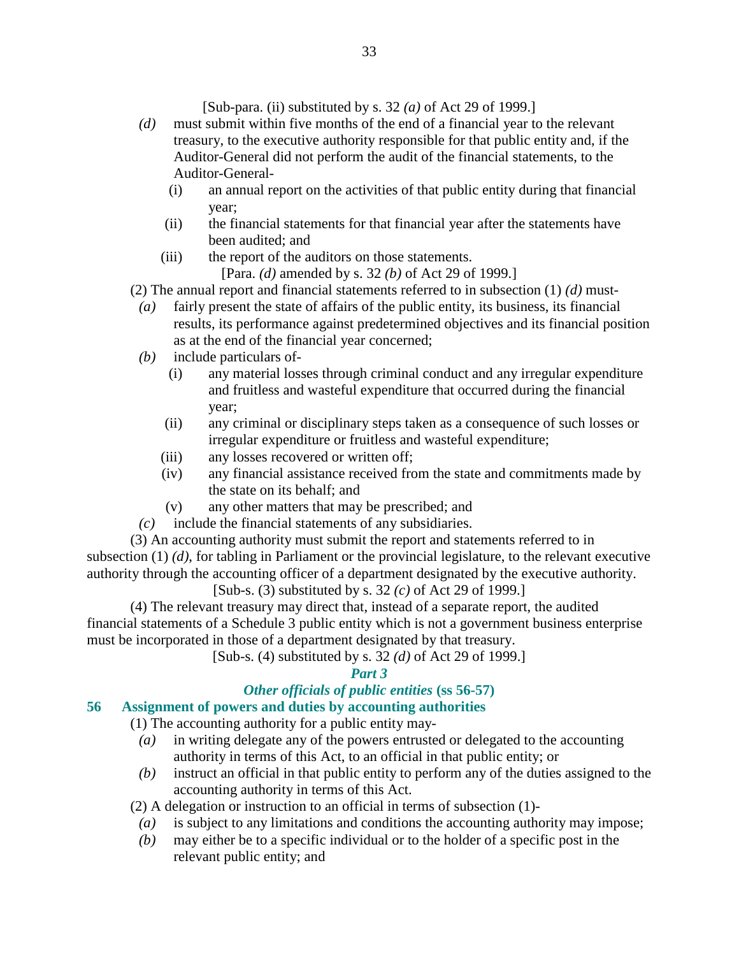- *(d)* must submit within five months of the end of a financial year to the relevant treasury, to the executive authority responsible for that public entity and, if the Auditor-General did not perform the audit of the financial statements, to the Auditor-General-
	- (i) an annual report on the activities of that public entity during that financial year;
	- (ii) the financial statements for that financial year after the statements have been audited; and
	- (iii) the report of the auditors on those statements. [Para. *(d)* amended by s. 32 *(b)* of Act 29 of 1999.]

(2) The annual report and financial statements referred to in subsection (1) *(d)* must-

- *(a)* fairly present the state of affairs of the public entity, its business, its financial results, its performance against predetermined objectives and its financial position as at the end of the financial year concerned;
- *(b)* include particulars of-
	- (i) any material losses through criminal conduct and any irregular expenditure and fruitless and wasteful expenditure that occurred during the financial year;
	- (ii) any criminal or disciplinary steps taken as a consequence of such losses or irregular expenditure or fruitless and wasteful expenditure;
	- (iii) any losses recovered or written off;
	- (iv) any financial assistance received from the state and commitments made by the state on its behalf; and
	- (v) any other matters that may be prescribed; and
- *(c)* include the financial statements of any subsidiaries.

 (3) An accounting authority must submit the report and statements referred to in subsection (1) *(d)*, for tabling in Parliament or the provincial legislature, to the relevant executive authority through the accounting officer of a department designated by the executive authority.

[Sub-s. (3) substituted by s. 32 *(c)* of Act 29 of 1999.]

 (4) The relevant treasury may direct that, instead of a separate report, the audited financial statements of a Schedule 3 public entity which is not a government business enterprise must be incorporated in those of a department designated by that treasury.

[Sub-s. (4) substituted by s. 32 *(d)* of Act 29 of 1999.]

# *Part 3*

# *Other officials of public entities* **(ss 56-57)**

## **56 Assignment of powers and duties by accounting authorities**

(1) The accounting authority for a public entity may-

- *(a)* in writing delegate any of the powers entrusted or delegated to the accounting authority in terms of this Act, to an official in that public entity; or
- *(b)* instruct an official in that public entity to perform any of the duties assigned to the accounting authority in terms of this Act.

(2) A delegation or instruction to an official in terms of subsection (1)-

- *(a)* is subject to any limitations and conditions the accounting authority may impose;
- *(b)* may either be to a specific individual or to the holder of a specific post in the relevant public entity; and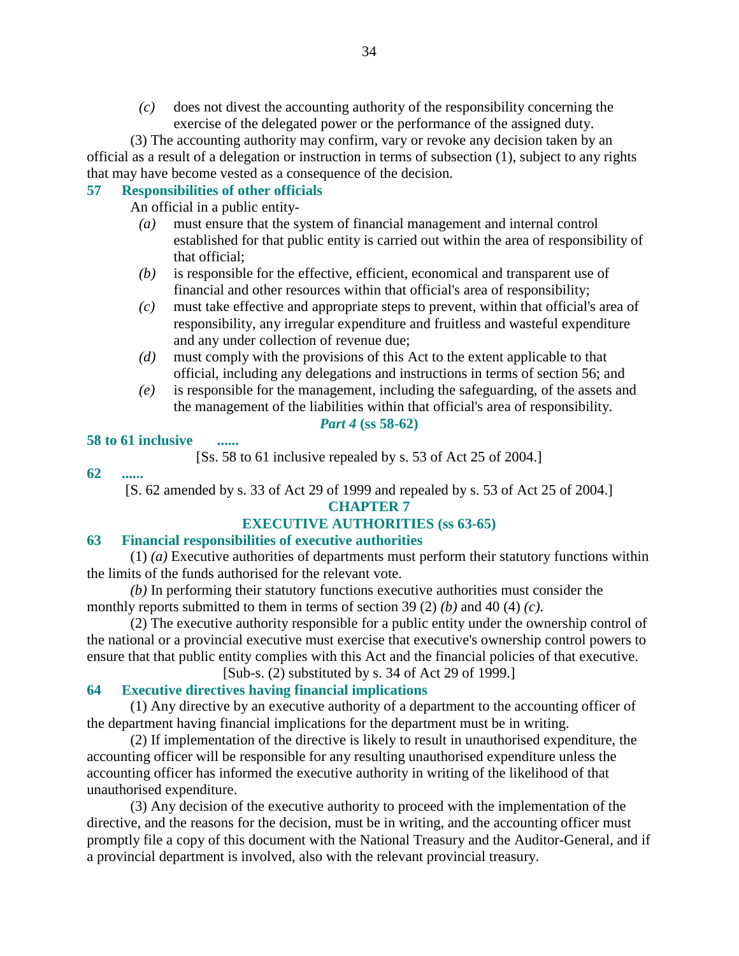*(c)* does not divest the accounting authority of the responsibility concerning the exercise of the delegated power or the performance of the assigned duty.

 (3) The accounting authority may confirm, vary or revoke any decision taken by an official as a result of a delegation or instruction in terms of subsection (1), subject to any rights that may have become vested as a consequence of the decision.

### **57 Responsibilities of other officials**

An official in a public entity-

- *(a)* must ensure that the system of financial management and internal control established for that public entity is carried out within the area of responsibility of that official;
- *(b)* is responsible for the effective, efficient, economical and transparent use of financial and other resources within that official's area of responsibility;
- *(c)* must take effective and appropriate steps to prevent, within that official's area of responsibility, any irregular expenditure and fruitless and wasteful expenditure and any under collection of revenue due;
- *(d)* must comply with the provisions of this Act to the extent applicable to that official, including any delegations and instructions in terms of section 56; and
- *(e)* is responsible for the management, including the safeguarding, of the assets and the management of the liabilities within that official's area of responsibility.

### *Part 4* **(ss 58-62)**

### **58 to 61 inclusive ......**

[Ss. 58 to 61 inclusive repealed by s. 53 of Act 25 of 2004.]

### **62 ......**

[S. 62 amended by s. 33 of Act 29 of 1999 and repealed by s. 53 of Act 25 of 2004.]

## **CHAPTER 7**

# **EXECUTIVE AUTHORITIES (ss 63-65)**

### **63 Financial responsibilities of executive authorities**

 (1) *(a)* Executive authorities of departments must perform their statutory functions within the limits of the funds authorised for the relevant vote.

*(b)* In performing their statutory functions executive authorities must consider the monthly reports submitted to them in terms of section 39 (2) *(b)* and 40 (4) *(c)*.

 (2) The executive authority responsible for a public entity under the ownership control of the national or a provincial executive must exercise that executive's ownership control powers to ensure that that public entity complies with this Act and the financial policies of that executive.

[Sub-s. (2) substituted by s. 34 of Act 29 of 1999.]

# **64 Executive directives having financial implications**

 (1) Any directive by an executive authority of a department to the accounting officer of the department having financial implications for the department must be in writing.

 (2) If implementation of the directive is likely to result in unauthorised expenditure, the accounting officer will be responsible for any resulting unauthorised expenditure unless the accounting officer has informed the executive authority in writing of the likelihood of that unauthorised expenditure.

 (3) Any decision of the executive authority to proceed with the implementation of the directive, and the reasons for the decision, must be in writing, and the accounting officer must promptly file a copy of this document with the National Treasury and the Auditor-General, and if a provincial department is involved, also with the relevant provincial treasury.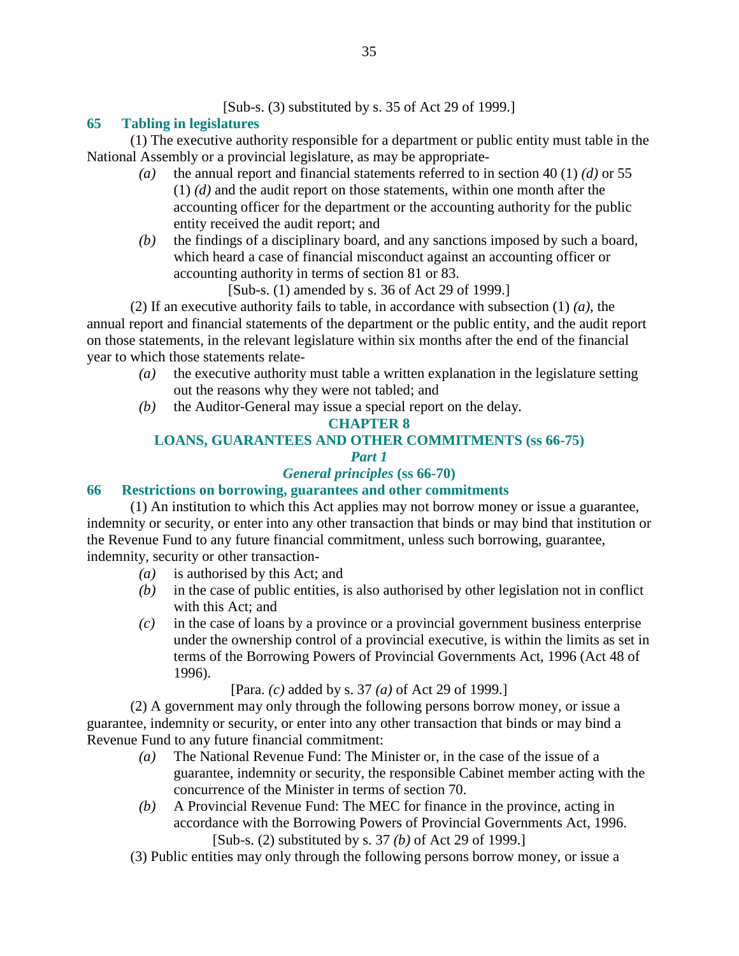[Sub-s. (3) substituted by s. 35 of Act 29 of 1999.]

# **65 Tabling in legislatures**

 (1) The executive authority responsible for a department or public entity must table in the National Assembly or a provincial legislature, as may be appropriate-

- *(a)* the annual report and financial statements referred to in section 40 (1) *(d)* or 55 (1) *(d)* and the audit report on those statements, within one month after the accounting officer for the department or the accounting authority for the public entity received the audit report; and
- *(b)* the findings of a disciplinary board, and any sanctions imposed by such a board, which heard a case of financial misconduct against an accounting officer or accounting authority in terms of section 81 or 83.

[Sub-s. (1) amended by s. 36 of Act 29 of 1999.]

 (2) If an executive authority fails to table, in accordance with subsection (1) *(a)*, the annual report and financial statements of the department or the public entity, and the audit report on those statements, in the relevant legislature within six months after the end of the financial year to which those statements relate-

- *(a)* the executive authority must table a written explanation in the legislature setting out the reasons why they were not tabled; and
- *(b)* the Auditor-General may issue a special report on the delay.

# **CHAPTER 8**

# **LOANS, GUARANTEES AND OTHER COMMITMENTS (ss 66-75)**

# *Part 1*

# *General principles* **(ss 66-70)**

# **66 Restrictions on borrowing, guarantees and other commitments**

 (1) An institution to which this Act applies may not borrow money or issue a guarantee, indemnity or security, or enter into any other transaction that binds or may bind that institution or the Revenue Fund to any future financial commitment, unless such borrowing, guarantee, indemnity, security or other transaction-

- *(a)* is authorised by this Act; and
- *(b)* in the case of public entities, is also authorised by other legislation not in conflict with this Act; and
- *(c)* in the case of loans by a province or a provincial government business enterprise under the ownership control of a provincial executive, is within the limits as set in terms of the Borrowing Powers of Provincial Governments Act, 1996 (Act 48 of 1996).

[Para. *(c)* added by s. 37 *(a)* of Act 29 of 1999.]

 (2) A government may only through the following persons borrow money, or issue a guarantee, indemnity or security, or enter into any other transaction that binds or may bind a Revenue Fund to any future financial commitment:

- *(a)* The National Revenue Fund: The Minister or, in the case of the issue of a guarantee, indemnity or security, the responsible Cabinet member acting with the concurrence of the Minister in terms of section 70.
- *(b)* A Provincial Revenue Fund: The MEC for finance in the province, acting in accordance with the Borrowing Powers of Provincial Governments Act, 1996. [Sub-s. (2) substituted by s. 37 *(b)* of Act 29 of 1999.]
- (3) Public entities may only through the following persons borrow money, or issue a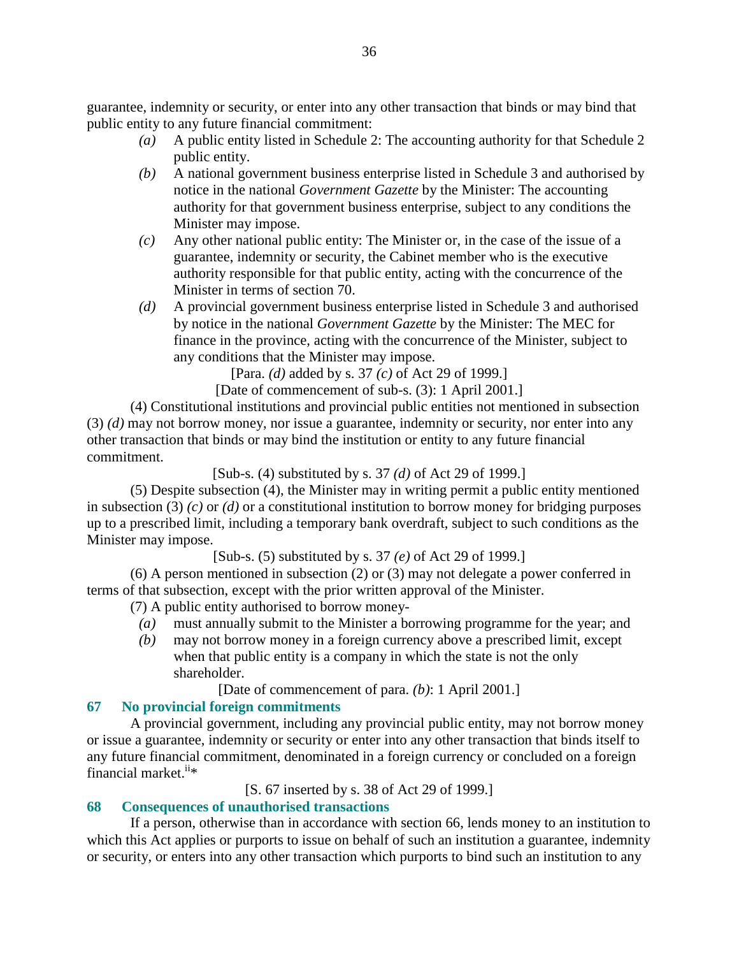guarantee, indemnity or security, or enter into any other transaction that binds or may bind that public entity to any future financial commitment:

- *(a)* A public entity listed in Schedule 2: The accounting authority for that Schedule 2 public entity.
- *(b)* A national government business enterprise listed in Schedule 3 and authorised by notice in the national *Government Gazette* by the Minister: The accounting authority for that government business enterprise, subject to any conditions the Minister may impose.
- *(c)* Any other national public entity: The Minister or, in the case of the issue of a guarantee, indemnity or security, the Cabinet member who is the executive authority responsible for that public entity, acting with the concurrence of the Minister in terms of section 70.
- *(d)* A provincial government business enterprise listed in Schedule 3 and authorised by notice in the national *Government Gazette* by the Minister: The MEC for finance in the province, acting with the concurrence of the Minister, subject to any conditions that the Minister may impose.

[Para. *(d)* added by s. 37 *(c)* of Act 29 of 1999.]

[Date of commencement of sub-s. (3): 1 April 2001.]

 (4) Constitutional institutions and provincial public entities not mentioned in subsection (3) *(d)* may not borrow money, nor issue a guarantee, indemnity or security, nor enter into any other transaction that binds or may bind the institution or entity to any future financial commitment.

[Sub-s. (4) substituted by s. 37 *(d)* of Act 29 of 1999.]

 (5) Despite subsection (4), the Minister may in writing permit a public entity mentioned in subsection (3) *(c)* or *(d)* or a constitutional institution to borrow money for bridging purposes up to a prescribed limit, including a temporary bank overdraft, subject to such conditions as the Minister may impose.

[Sub-s. (5) substituted by s. 37 *(e)* of Act 29 of 1999.]

 (6) A person mentioned in subsection (2) or (3) may not delegate a power conferred in terms of that subsection, except with the prior written approval of the Minister.

(7) A public entity authorised to borrow money-

- *(a)* must annually submit to the Minister a borrowing programme for the year; and
- *(b)* may not borrow money in a foreign currency above a prescribed limit, except when that public entity is a company in which the state is not the only shareholder.

[Date of commencement of para. *(b)*: 1 April 2001.]

# **67 No provincial foreign commitments**

 A provincial government, including any provincial public entity, may not borrow money or issue a guarantee, indemnity or security or enter into any other transaction that binds itself to any future financial commitment, denominated in a foreign currency or concluded on a foreign financial market. $i^i*$ 

[S. 67 inserted by s. 38 of Act 29 of 1999.]

# **68 Consequences of unauthorised transactions**

 If a person, otherwise than in accordance with section 66, lends money to an institution to which this Act applies or purports to issue on behalf of such an institution a guarantee, indemnity or security, or enters into any other transaction which purports to bind such an institution to any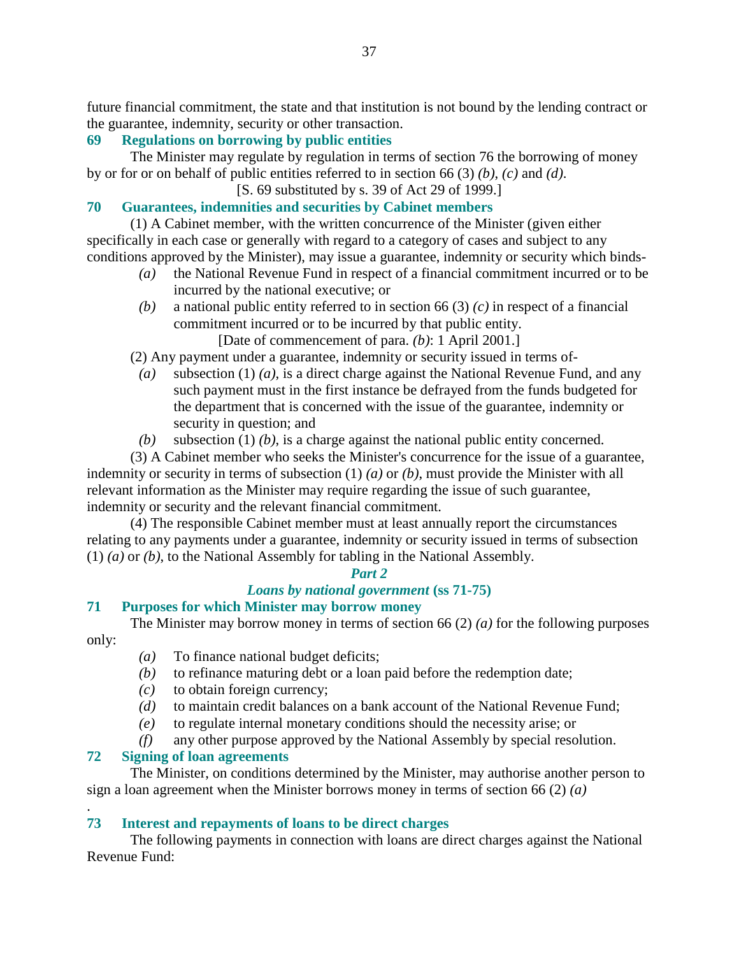future financial commitment, the state and that institution is not bound by the lending contract or the guarantee, indemnity, security or other transaction.

### **69 Regulations on borrowing by public entities**

 The Minister may regulate by regulation in terms of section 76 the borrowing of money by or for or on behalf of public entities referred to in section 66 (3) *(b)*, *(c)* and *(d)*.

[S. 69 substituted by s. 39 of Act 29 of 1999.]

#### **70 Guarantees, indemnities and securities by Cabinet members**

 (1) A Cabinet member, with the written concurrence of the Minister (given either specifically in each case or generally with regard to a category of cases and subject to any conditions approved by the Minister), may issue a guarantee, indemnity or security which binds-

- *(a)* the National Revenue Fund in respect of a financial commitment incurred or to be incurred by the national executive; or
- *(b)* a national public entity referred to in section 66 (3) *(c)* in respect of a financial commitment incurred or to be incurred by that public entity.

[Date of commencement of para. *(b)*: 1 April 2001.]

(2) Any payment under a guarantee, indemnity or security issued in terms of-

- *(a)* subsection (1) *(a)*, is a direct charge against the National Revenue Fund, and any such payment must in the first instance be defrayed from the funds budgeted for the department that is concerned with the issue of the guarantee, indemnity or security in question; and
- *(b)* subsection (1) *(b)*, is a charge against the national public entity concerned.

 (3) A Cabinet member who seeks the Minister's concurrence for the issue of a guarantee, indemnity or security in terms of subsection (1) *(a)* or *(b)*, must provide the Minister with all relevant information as the Minister may require regarding the issue of such guarantee, indemnity or security and the relevant financial commitment.

 (4) The responsible Cabinet member must at least annually report the circumstances relating to any payments under a guarantee, indemnity or security issued in terms of subsection (1) *(a)* or *(b)*, to the National Assembly for tabling in the National Assembly.

#### *Part 2*

## *Loans by national government* **(ss 71-75)**

#### **71 Purposes for which Minister may borrow money**

 The Minister may borrow money in terms of section 66 (2) *(a)* for the following purposes only:

- *(a)* To finance national budget deficits;
- *(b)* to refinance maturing debt or a loan paid before the redemption date;
- *(c)* to obtain foreign currency;
- *(d)* to maintain credit balances on a bank account of the National Revenue Fund;
- *(e)* to regulate internal monetary conditions should the necessity arise; or
- *(f)* any other purpose approved by the National Assembly by special resolution.

## **72 Signing of loan agreements**

.

 The Minister, on conditions determined by the Minister, may authorise another person to sign a loan agreement when the Minister borrows money in terms of section 66 (2) *(a)* 

## **73 Interest and repayments of loans to be direct charges**

 The following payments in connection with loans are direct charges against the National Revenue Fund: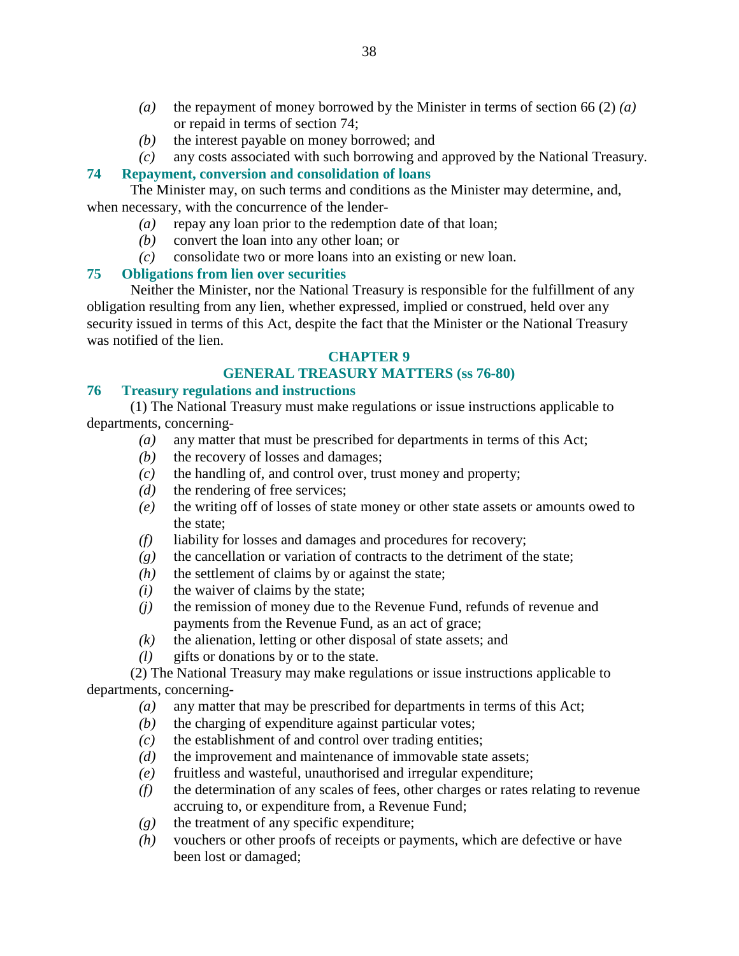- *(a)* the repayment of money borrowed by the Minister in terms of section 66 (2) *(a)* or repaid in terms of section 74;
- *(b)* the interest payable on money borrowed; and

 *(c)* any costs associated with such borrowing and approved by the National Treasury. **74 Repayment, conversion and consolidation of loans**

# The Minister may, on such terms and conditions as the Minister may determine, and,

when necessary, with the concurrence of the lender-

- *(a)* repay any loan prior to the redemption date of that loan;
- *(b)* convert the loan into any other loan; or
- *(c)* consolidate two or more loans into an existing or new loan.

## **75 Obligations from lien over securities**

 Neither the Minister, nor the National Treasury is responsible for the fulfillment of any obligation resulting from any lien, whether expressed, implied or construed, held over any security issued in terms of this Act, despite the fact that the Minister or the National Treasury was notified of the lien.

## **CHAPTER 9**

## **GENERAL TREASURY MATTERS (ss 76-80)**

#### **76 Treasury regulations and instructions**

 (1) The National Treasury must make regulations or issue instructions applicable to departments, concerning-

- *(a)* any matter that must be prescribed for departments in terms of this Act;
- *(b)* the recovery of losses and damages;
- *(c)* the handling of, and control over, trust money and property;
- *(d)* the rendering of free services;
- *(e)* the writing off of losses of state money or other state assets or amounts owed to the state;
- *(f)* liability for losses and damages and procedures for recovery;
- *(g)* the cancellation or variation of contracts to the detriment of the state;
- *(h)* the settlement of claims by or against the state;
- $(i)$  the waiver of claims by the state;
- *(j)* the remission of money due to the Revenue Fund, refunds of revenue and payments from the Revenue Fund, as an act of grace;
- $(k)$  the alienation, letting or other disposal of state assets; and
- *(l)* gifts or donations by or to the state.

 (2) The National Treasury may make regulations or issue instructions applicable to departments, concerning-

- *(a)* any matter that may be prescribed for departments in terms of this Act;
- *(b)* the charging of expenditure against particular votes;
- *(c)* the establishment of and control over trading entities;
- *(d)* the improvement and maintenance of immovable state assets;
- *(e)* fruitless and wasteful, unauthorised and irregular expenditure;
- *(f)* the determination of any scales of fees, other charges or rates relating to revenue accruing to, or expenditure from, a Revenue Fund;
- *(g)* the treatment of any specific expenditure;
- *(h)* vouchers or other proofs of receipts or payments, which are defective or have been lost or damaged;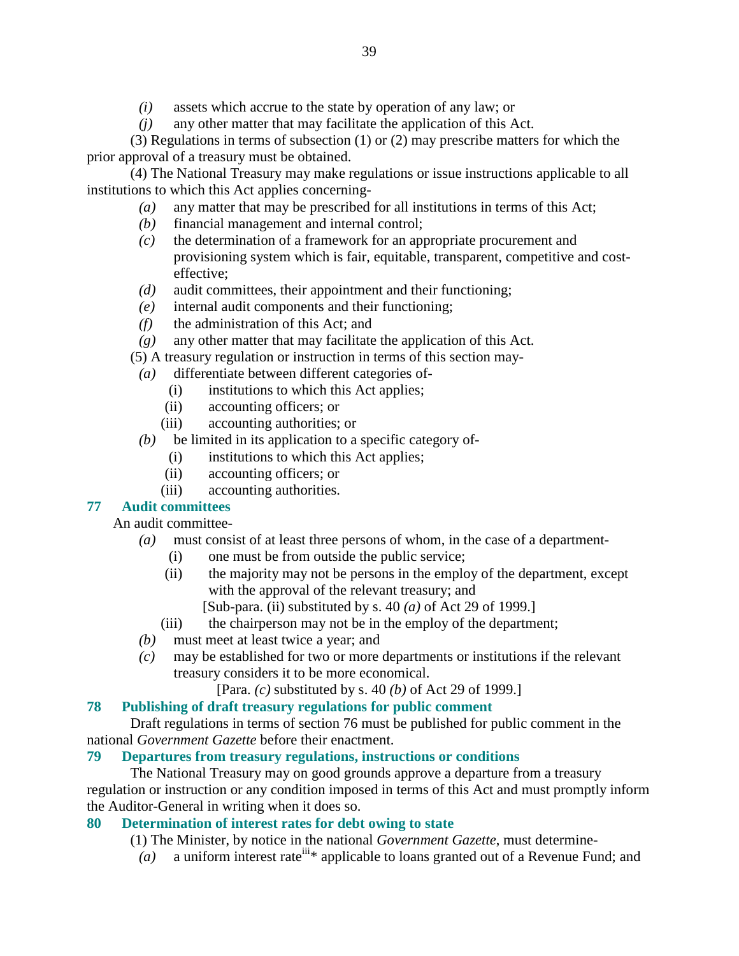- *(i)* assets which accrue to the state by operation of any law; or
- *(j)* any other matter that may facilitate the application of this Act.

 (3) Regulations in terms of subsection (1) or (2) may prescribe matters for which the prior approval of a treasury must be obtained.

 (4) The National Treasury may make regulations or issue instructions applicable to all institutions to which this Act applies concerning-

- *(a)* any matter that may be prescribed for all institutions in terms of this Act;
- *(b)* financial management and internal control;
- *(c)* the determination of a framework for an appropriate procurement and provisioning system which is fair, equitable, transparent, competitive and costeffective;
- *(d)* audit committees, their appointment and their functioning;
- *(e)* internal audit components and their functioning;
- *(f)* the administration of this Act; and
- *(g)* any other matter that may facilitate the application of this Act.
- (5) A treasury regulation or instruction in terms of this section may-
- *(a)* differentiate between different categories of-
	- (i) institutions to which this Act applies;
	- (ii) accounting officers; or
	- (iii) accounting authorities; or
- *(b)* be limited in its application to a specific category of-
	- (i) institutions to which this Act applies;
	- (ii) accounting officers; or
	- (iii) accounting authorities.

#### **77 Audit committees**

An audit committee-

- *(a)* must consist of at least three persons of whom, in the case of a department-
	- (i) one must be from outside the public service;
	- (ii) the majority may not be persons in the employ of the department, except with the approval of the relevant treasury; and
		- [Sub-para. (ii) substituted by s. 40 *(a)* of Act 29 of 1999.]
	- (iii) the chairperson may not be in the employ of the department;
- *(b)* must meet at least twice a year; and
- *(c)* may be established for two or more departments or institutions if the relevant treasury considers it to be more economical.

[Para. *(c)* substituted by s. 40 *(b)* of Act 29 of 1999.]

## **78 Publishing of draft treasury regulations for public comment**

 Draft regulations in terms of section 76 must be published for public comment in the national *Government Gazette* before their enactment.

## **79 Departures from treasury regulations, instructions or conditions**

 The National Treasury may on good grounds approve a departure from a treasury regulation or instruction or any condition imposed in terms of this Act and must promptly inform the Auditor-General in writing when it does so.

## **80 Determination of interest rates for debt owing to state**

(1) The Minister, by notice in the national *Government Gazette*, must determine-

 $(a)$  a uniform interest rate<sup>iii\*</sup> applicable to loans granted out of a Revenue Fund; and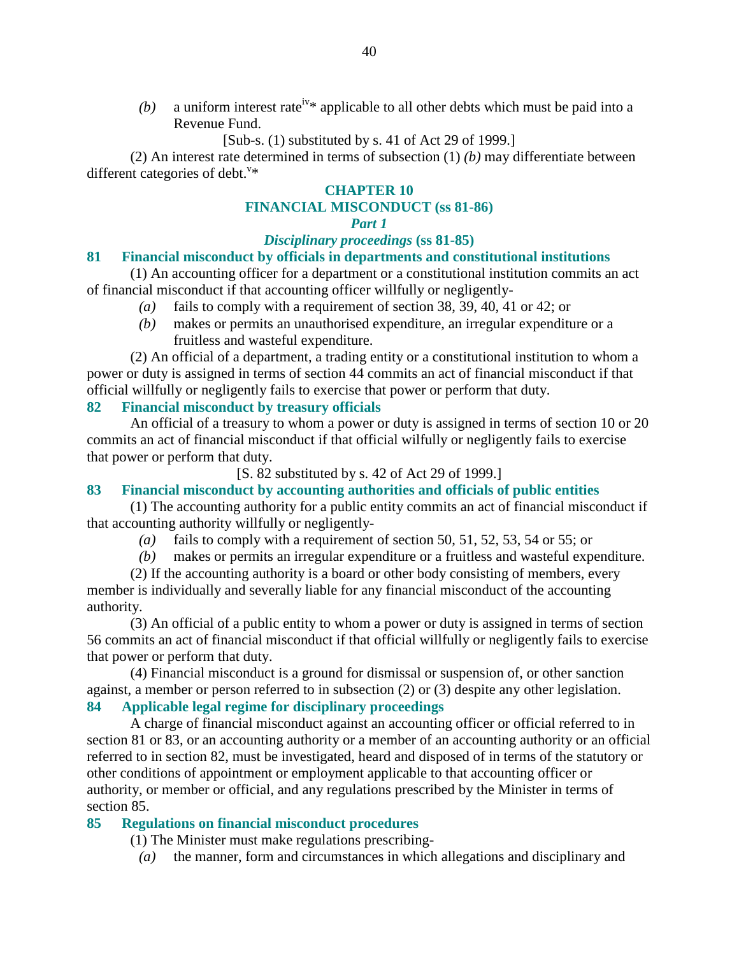(b) a uniform interest rate<sup>iv\*</sup> applicable to all other debts which must be paid into a Revenue Fund.

[Sub-s. (1) substituted by s. 41 of Act 29 of 1999.]

 (2) An interest rate determined in terms of subsection (1) *(b)* may differentiate between different categories of debt. $v^*$ 

#### **CHAPTER 10**

# **FINANCIAL MISCONDUCT (ss 81-86)**

# *Part 1*

## *Disciplinary proceedings* **(ss 81-85)**

#### **81 Financial misconduct by officials in departments and constitutional institutions**

 (1) An accounting officer for a department or a constitutional institution commits an act of financial misconduct if that accounting officer willfully or negligently-

- *(a)* fails to comply with a requirement of section 38, 39, 40, 41 or 42; or
- *(b)* makes or permits an unauthorised expenditure, an irregular expenditure or a fruitless and wasteful expenditure.

 (2) An official of a department, a trading entity or a constitutional institution to whom a power or duty is assigned in terms of section 44 commits an act of financial misconduct if that official willfully or negligently fails to exercise that power or perform that duty.

#### **82 Financial misconduct by treasury officials**

 An official of a treasury to whom a power or duty is assigned in terms of section 10 or 20 commits an act of financial misconduct if that official wilfully or negligently fails to exercise that power or perform that duty.

[S. 82 substituted by s. 42 of Act 29 of 1999.]

#### **83 Financial misconduct by accounting authorities and officials of public entities**

 (1) The accounting authority for a public entity commits an act of financial misconduct if that accounting authority willfully or negligently-

- *(a)* fails to comply with a requirement of section 50, 51, 52, 53, 54 or 55; or
- *(b)* makes or permits an irregular expenditure or a fruitless and wasteful expenditure.

 (2) If the accounting authority is a board or other body consisting of members, every member is individually and severally liable for any financial misconduct of the accounting authority.

 (3) An official of a public entity to whom a power or duty is assigned in terms of section 56 commits an act of financial misconduct if that official willfully or negligently fails to exercise that power or perform that duty.

 (4) Financial misconduct is a ground for dismissal or suspension of, or other sanction against, a member or person referred to in subsection (2) or (3) despite any other legislation.

# **84 Applicable legal regime for disciplinary proceedings**

 A charge of financial misconduct against an accounting officer or official referred to in section 81 or 83, or an accounting authority or a member of an accounting authority or an official referred to in section 82, must be investigated, heard and disposed of in terms of the statutory or other conditions of appointment or employment applicable to that accounting officer or authority, or member or official, and any regulations prescribed by the Minister in terms of section 85.

#### **85 Regulations on financial misconduct procedures**

(1) The Minister must make regulations prescribing-

*(a)* the manner, form and circumstances in which allegations and disciplinary and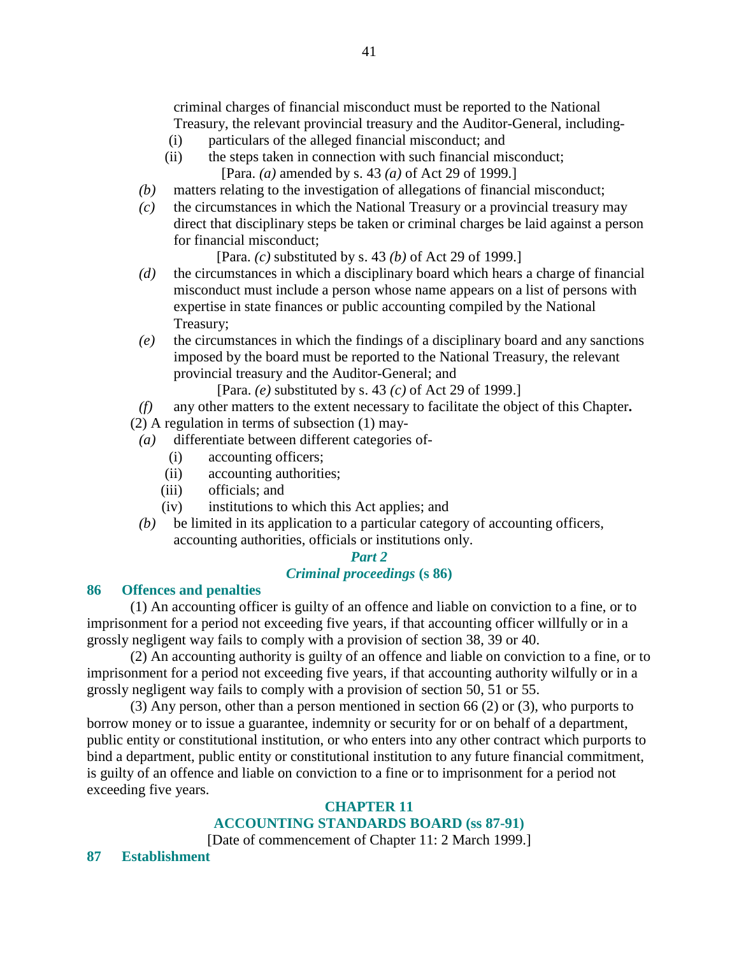criminal charges of financial misconduct must be reported to the National Treasury, the relevant provincial treasury and the Auditor-General, including-

- (i) particulars of the alleged financial misconduct; and
- (ii) the steps taken in connection with such financial misconduct; [Para. *(a)* amended by s. 43 *(a)* of Act 29 of 1999.]
- *(b)* matters relating to the investigation of allegations of financial misconduct;
- *(c)* the circumstances in which the National Treasury or a provincial treasury may direct that disciplinary steps be taken or criminal charges be laid against a person for financial misconduct;

[Para. *(c)* substituted by s. 43 *(b)* of Act 29 of 1999.]

- *(d)* the circumstances in which a disciplinary board which hears a charge of financial misconduct must include a person whose name appears on a list of persons with expertise in state finances or public accounting compiled by the National Treasury;
- *(e)* the circumstances in which the findings of a disciplinary board and any sanctions imposed by the board must be reported to the National Treasury, the relevant provincial treasury and the Auditor-General; and

[Para. *(e)* substituted by s. 43 *(c)* of Act 29 of 1999.]

*(f)* any other matters to the extent necessary to facilitate the object of this Chapter**.** 

(2) A regulation in terms of subsection (1) may-

- *(a)* differentiate between different categories of-
	- (i) accounting officers;
	- (ii) accounting authorities;
	- (iii) officials; and
	- (iv) institutions to which this Act applies; and
- *(b)* be limited in its application to a particular category of accounting officers, accounting authorities, officials or institutions only.

#### *Part 2*

#### *Criminal proceedings* **(s 86)**

#### **86 Offences and penalties**

 (1) An accounting officer is guilty of an offence and liable on conviction to a fine, or to imprisonment for a period not exceeding five years, if that accounting officer willfully or in a grossly negligent way fails to comply with a provision of section 38, 39 or 40.

 (2) An accounting authority is guilty of an offence and liable on conviction to a fine, or to imprisonment for a period not exceeding five years, if that accounting authority wilfully or in a grossly negligent way fails to comply with a provision of section 50, 51 or 55.

 (3) Any person, other than a person mentioned in section 66 (2) or (3), who purports to borrow money or to issue a guarantee, indemnity or security for or on behalf of a department, public entity or constitutional institution, or who enters into any other contract which purports to bind a department, public entity or constitutional institution to any future financial commitment, is guilty of an offence and liable on conviction to a fine or to imprisonment for a period not exceeding five years.

#### **CHAPTER 11 ACCOUNTING STANDARDS BOARD (ss 87-91)**

[Date of commencement of Chapter 11: 2 March 1999.]

**87 Establishment**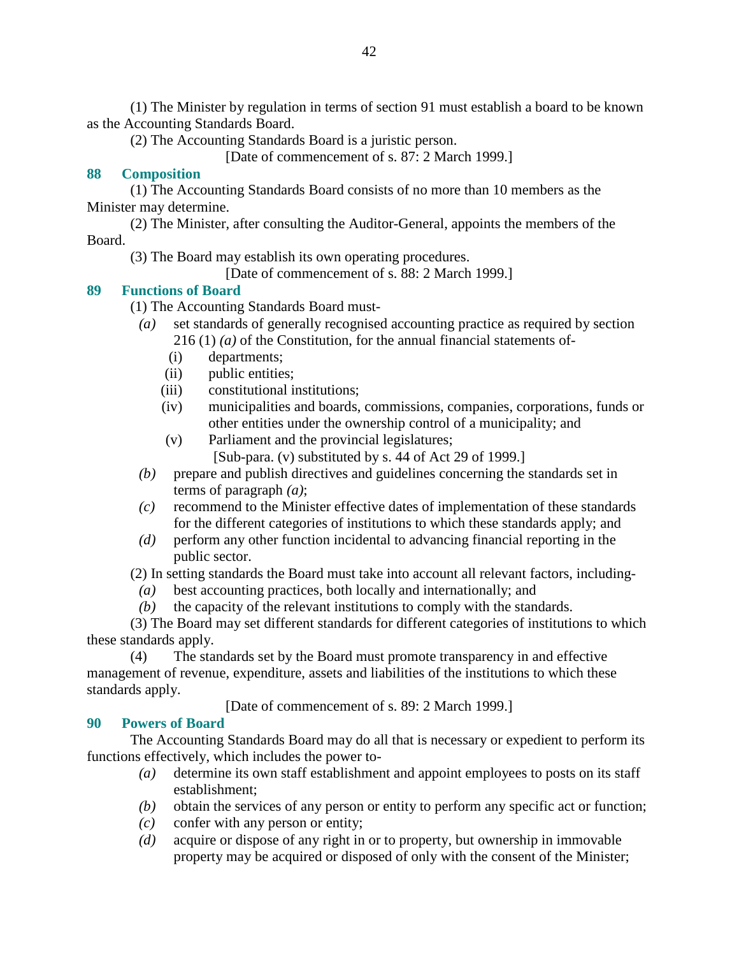(1) The Minister by regulation in terms of section 91 must establish a board to be known as the Accounting Standards Board.

(2) The Accounting Standards Board is a juristic person.

[Date of commencement of s. 87: 2 March 1999.]

## **88 Composition**

 (1) The Accounting Standards Board consists of no more than 10 members as the Minister may determine.

 (2) The Minister, after consulting the Auditor-General, appoints the members of the Board.

(3) The Board may establish its own operating procedures.

[Date of commencement of s. 88: 2 March 1999.]

## **89 Functions of Board**

(1) The Accounting Standards Board must-

- *(a)* set standards of generally recognised accounting practice as required by section 216 (1) *(a)* of the Constitution, for the annual financial statements of-
	- (i) departments;
	- (ii) public entities;
	- (iii) constitutional institutions;
	- (iv) municipalities and boards, commissions, companies, corporations, funds or other entities under the ownership control of a municipality; and
	- (v) Parliament and the provincial legislatures;
		- [Sub-para. (v) substituted by s. 44 of Act 29 of 1999.]
- *(b)* prepare and publish directives and guidelines concerning the standards set in terms of paragraph *(a)*;
- *(c)* recommend to the Minister effective dates of implementation of these standards for the different categories of institutions to which these standards apply; and
- *(d)* perform any other function incidental to advancing financial reporting in the public sector.

(2) In setting standards the Board must take into account all relevant factors, including-

- *(a)* best accounting practices, both locally and internationally; and
- *(b)* the capacity of the relevant institutions to comply with the standards.

 (3) The Board may set different standards for different categories of institutions to which these standards apply.

 (4) The standards set by the Board must promote transparency in and effective management of revenue, expenditure, assets and liabilities of the institutions to which these standards apply.

[Date of commencement of s. 89: 2 March 1999.]

#### **90 Powers of Board**

 The Accounting Standards Board may do all that is necessary or expedient to perform its functions effectively, which includes the power to-

- *(a)* determine its own staff establishment and appoint employees to posts on its staff establishment;
- *(b)* obtain the services of any person or entity to perform any specific act or function;
- *(c)* confer with any person or entity;
- *(d)* acquire or dispose of any right in or to property, but ownership in immovable property may be acquired or disposed of only with the consent of the Minister;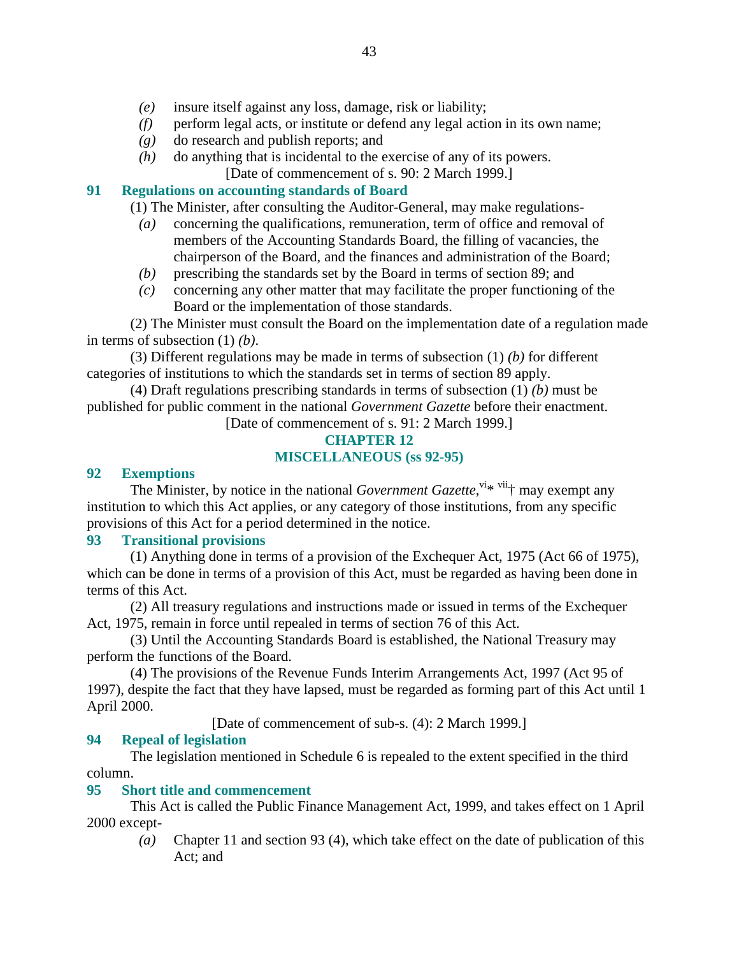- *(e)* insure itself against any loss, damage, risk or liability;
- *(f)* perform legal acts, or institute or defend any legal action in its own name;
- *(g)* do research and publish reports; and
- *(h)* do anything that is incidental to the exercise of any of its powers.
	- [Date of commencement of s. 90: 2 March 1999.]

#### **91 Regulations on accounting standards of Board**

(1) The Minister, after consulting the Auditor-General, may make regulations-

- *(a)* concerning the qualifications, remuneration, term of office and removal of members of the Accounting Standards Board, the filling of vacancies, the chairperson of the Board, and the finances and administration of the Board;
- *(b)* prescribing the standards set by the Board in terms of section 89; and
- *(c)* concerning any other matter that may facilitate the proper functioning of the Board or the implementation of those standards.

 (2) The Minister must consult the Board on the implementation date of a regulation made in terms of subsection (1) *(b)*.

 (3) Different regulations may be made in terms of subsection (1) *(b)* for different categories of institutions to which the standards set in terms of section 89 apply.

 (4) Draft regulations prescribing standards in terms of subsection (1) *(b)* must be published for public comment in the national *Government Gazette* before their enactment.

[Date of commencement of s. 91: 2 March 1999.]

## **CHAPTER 12 MISCELLANEOUS (ss 92-95)**

#### **92 Exemptions**

The Minister, by notice in the national *Government Gazette*,  $\frac{v_i}{v_i}$  with may exempt any institution to which this Act applies, or any category of those institutions, from any specific provisions of this Act for a period determined in the notice.

#### **93 Transitional provisions**

 (1) Anything done in terms of a provision of the Exchequer Act, 1975 (Act 66 of 1975), which can be done in terms of a provision of this Act, must be regarded as having been done in terms of this Act.

 (2) All treasury regulations and instructions made or issued in terms of the Exchequer Act, 1975, remain in force until repealed in terms of section 76 of this Act.

 (3) Until the Accounting Standards Board is established, the National Treasury may perform the functions of the Board.

 (4) The provisions of the Revenue Funds Interim Arrangements Act, 1997 (Act 95 of 1997), despite the fact that they have lapsed, must be regarded as forming part of this Act until 1 April 2000.

[Date of commencement of sub-s. (4): 2 March 1999.]

#### **94 Repeal of legislation**

 The legislation mentioned in Schedule 6 is repealed to the extent specified in the third column.

#### **95 Short title and commencement**

 This Act is called the Public Finance Management Act, 1999, and takes effect on 1 April 2000 except-

 *(a)* Chapter 11 and section 93 (4), which take effect on the date of publication of this Act; and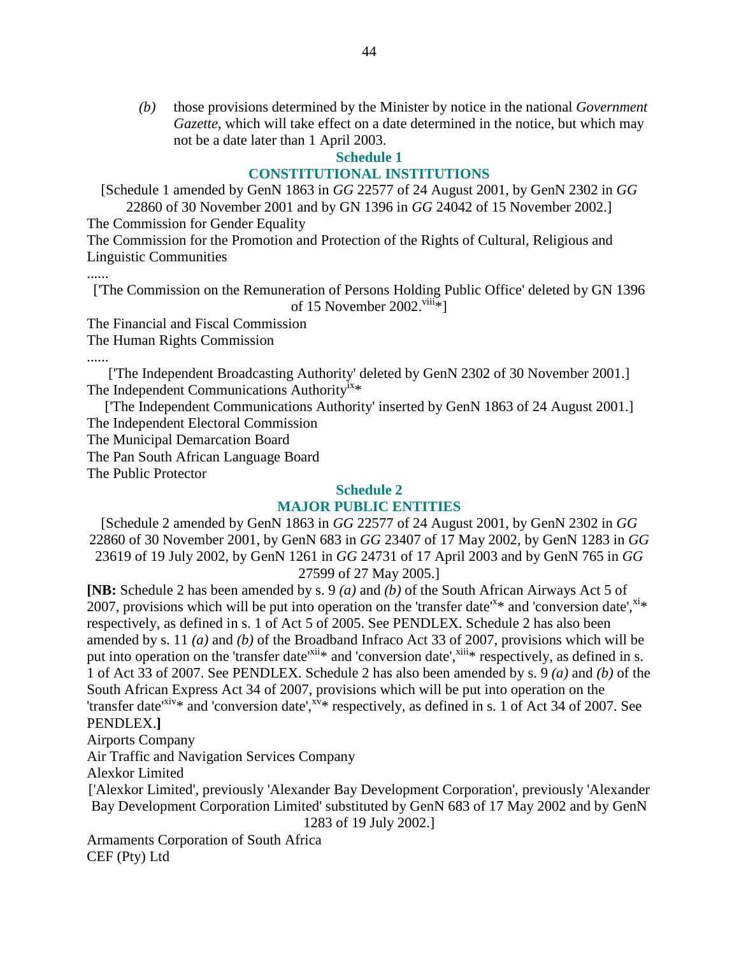*(b)* those provisions determined by the Minister by notice in the national *Government Gazette*, which will take effect on a date determined in the notice, but which may not be a date later than 1 April 2003.

# **Schedule 1**

## **CONSTITUTIONAL INSTITUTIONS**

[Schedule 1 amended by GenN 1863 in *GG* 22577 of 24 August 2001, by GenN 2302 in *GG*

22860 of 30 November 2001 and by GN 1396 in *GG* 24042 of 15 November 2002.] The Commission for Gender Equality

The Commission for the Promotion and Protection of the Rights of Cultural, Religious and Linguistic Communities

......

['The Commission on the Remuneration of Persons Holding Public Office' deleted by GN 1396 of 15 November 2002. $viii*$ ]

The Financial and Fiscal Commission

The Human Rights Commission

......

['The Independent Broadcasting Authority' deleted by GenN 2302 of 30 November 2001.] The Independent Communications Authority<sup>1X\*</sup>

['The Independent Communications Authority' inserted by GenN 1863 of 24 August 2001.] The Independent Electoral Commission

The Municipal Demarcation Board

The Pan South African Language Board

The Public Protector

#### **Schedule 2**

## **MAJOR PUBLIC ENTITIES**

[Schedule 2 amended by GenN 1863 in *GG* 22577 of 24 August 2001, by GenN 2302 in *GG* 22860 of 30 November 2001, by GenN 683 in *GG* 23407 of 17 May 2002, by GenN 1283 in *GG* 23619 of 19 July 2002, by GenN 1261 in *GG* 24731 of 17 April 2003 and by GenN 765 in *GG* 27599 of 27 May 2005.]

**[NB:** Schedule 2 has been amended by s. 9 *(a)* and *(b)* of the South African Airways Act 5 of 2007, provisions which will be put into operation on the 'transfer date'<sup>x\*</sup> and 'conversion date',<sup>xi\*</sup> respectively, as defined in s. 1 of Act 5 of 2005. See PENDLEX. Schedule 2 has also been amended by s. 11 *(a)* and *(b)* of the Broadband Infraco Act 33 of 2007, provisions which will be put into operation on the 'transfer date'<sup>xii</sup>\* and 'conversion date',<sup>xiii</sup>\* respectively, as defined in s. 1 of Act 33 of 2007. See PENDLEX. Schedule 2 has also been amended by s. 9 *(a)* and *(b)* of the South African Express Act 34 of 2007, provisions which will be put into operation on the 'transfer date'<sup>xiv\*</sup> and 'conversion date',<sup>xv\*</sup> respectively, as defined in s. 1 of Act 34 of 2007. See PENDLEX.**]** 

Airports Company

Air Traffic and Navigation Services Company

Alexkor Limited

['Alexkor Limited', previously 'Alexander Bay Development Corporation', previously 'Alexander Bay Development Corporation Limited' substituted by GenN 683 of 17 May 2002 and by GenN 1283 of 19 July 2002.]

Armaments Corporation of South Africa CEF (Pty) Ltd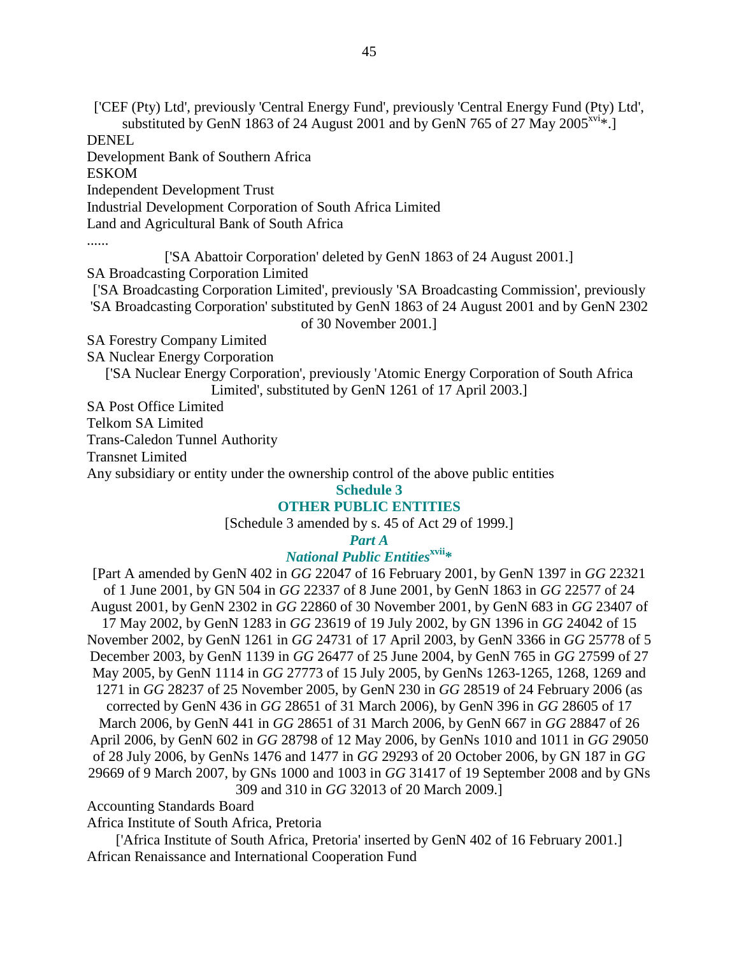['CEF (Pty) Ltd', previously 'Central Energy Fund', previously 'Central Energy Fund (Pty) Ltd', substituted by GenN 1863 of 24 August 2001 and by GenN 765 of 27 May 2005<sup>xvi</sup>\*. DENEL

Development Bank of Southern Africa

ESKOM

Independent Development Trust

Industrial Development Corporation of South Africa Limited

Land and Agricultural Bank of South Africa

......

['SA Abattoir Corporation' deleted by GenN 1863 of 24 August 2001.] SA Broadcasting Corporation Limited

['SA Broadcasting Corporation Limited', previously 'SA Broadcasting Commission', previously

'SA Broadcasting Corporation' substituted by GenN 1863 of 24 August 2001 and by GenN 2302

of 30 November 2001.]

SA Forestry Company Limited

SA Nuclear Energy Corporation

['SA Nuclear Energy Corporation', previously 'Atomic Energy Corporation of South Africa Limited', substituted by GenN 1261 of 17 April 2003.]

SA Post Office Limited

Telkom SA Limited

Trans-Caledon Tunnel Authority

Transnet Limited

Any subsidiary or entity under the ownership control of the above public entities

**Schedule 3** 

#### **OTHER PUBLIC ENTITIES**

[Schedule 3 amended by s. 45 of Act 29 of 1999.]

#### *Part A*

## *National Public Entities***xvii\***

[Part A amended by GenN 402 in *GG* 22047 of 16 February 2001, by GenN 1397 in *GG* 22321 of 1 June 2001, by GN 504 in *GG* 22337 of 8 June 2001, by GenN 1863 in *GG* 22577 of 24 August 2001, by GenN 2302 in *GG* 22860 of 30 November 2001, by GenN 683 in *GG* 23407 of 17 May 2002, by GenN 1283 in *GG* 23619 of 19 July 2002, by GN 1396 in *GG* 24042 of 15 November 2002, by GenN 1261 in *GG* 24731 of 17 April 2003, by GenN 3366 in *GG* 25778 of 5 December 2003, by GenN 1139 in *GG* 26477 of 25 June 2004, by GenN 765 in *GG* 27599 of 27 May 2005, by GenN 1114 in *GG* 27773 of 15 July 2005, by GenNs 1263-1265, 1268, 1269 and 1271 in *GG* 28237 of 25 November 2005, by GenN 230 in *GG* 28519 of 24 February 2006 (as corrected by GenN 436 in *GG* 28651 of 31 March 2006), by GenN 396 in *GG* 28605 of 17 March 2006, by GenN 441 in *GG* 28651 of 31 March 2006, by GenN 667 in *GG* 28847 of 26 April 2006, by GenN 602 in *GG* 28798 of 12 May 2006, by GenNs 1010 and 1011 in *GG* 29050 of 28 July 2006, by GenNs 1476 and 1477 in *GG* 29293 of 20 October 2006, by GN 187 in *GG* 29669 of 9 March 2007, by GNs 1000 and 1003 in *GG* 31417 of 19 September 2008 and by GNs 309 and 310 in *GG* 32013 of 20 March 2009.]

Accounting Standards Board

Africa Institute of South Africa, Pretoria

['Africa Institute of South Africa, Pretoria' inserted by GenN 402 of 16 February 2001.] African Renaissance and International Cooperation Fund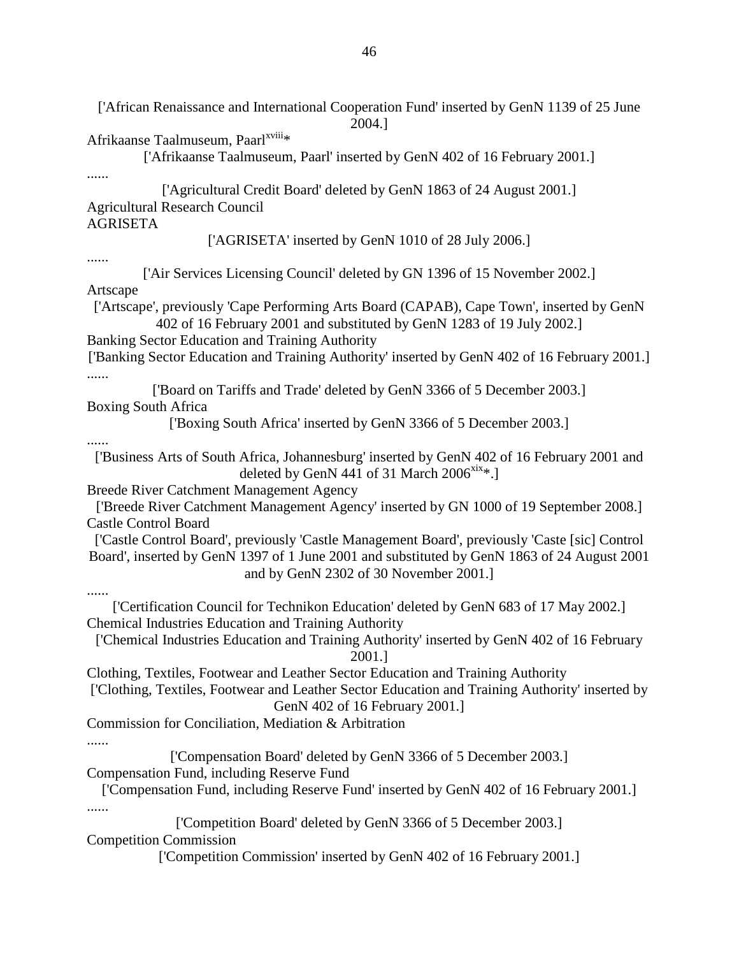['African Renaissance and International Cooperation Fund' inserted by GenN 1139 of 25 June 2004.] Afrikaanse Taalmuseum, Paarl<sup>xviii</sup>\* ['Afrikaanse Taalmuseum, Paarl' inserted by GenN 402 of 16 February 2001.] ...... ['Agricultural Credit Board' deleted by GenN 1863 of 24 August 2001.] Agricultural Research Council AGRISETA ['AGRISETA' inserted by GenN 1010 of 28 July 2006.] ...... ['Air Services Licensing Council' deleted by GN 1396 of 15 November 2002.] Artscape ['Artscape', previously 'Cape Performing Arts Board (CAPAB), Cape Town', inserted by GenN 402 of 16 February 2001 and substituted by GenN 1283 of 19 July 2002.] Banking Sector Education and Training Authority ['Banking Sector Education and Training Authority' inserted by GenN 402 of 16 February 2001.] ...... ['Board on Tariffs and Trade' deleted by GenN 3366 of 5 December 2003.] Boxing South Africa ['Boxing South Africa' inserted by GenN 3366 of 5 December 2003.] ...... ['Business Arts of South Africa, Johannesburg' inserted by GenN 402 of 16 February 2001 and deleted by GenN 441 of 31 March  $2006^{xix}$ . Breede River Catchment Management Agency ['Breede River Catchment Management Agency' inserted by GN 1000 of 19 September 2008.] Castle Control Board ['Castle Control Board', previously 'Castle Management Board', previously 'Caste [sic] Control Board', inserted by GenN 1397 of 1 June 2001 and substituted by GenN 1863 of 24 August 2001 and by GenN 2302 of 30 November 2001.] ...... ['Certification Council for Technikon Education' deleted by GenN 683 of 17 May 2002.] Chemical Industries Education and Training Authority ['Chemical Industries Education and Training Authority' inserted by GenN 402 of 16 February 2001.] Clothing, Textiles, Footwear and Leather Sector Education and Training Authority ['Clothing, Textiles, Footwear and Leather Sector Education and Training Authority' inserted by GenN 402 of 16 February 2001.] Commission for Conciliation, Mediation & Arbitration ...... ['Compensation Board' deleted by GenN 3366 of 5 December 2003.] Compensation Fund, including Reserve Fund ['Compensation Fund, including Reserve Fund' inserted by GenN 402 of 16 February 2001.] ...... ['Competition Board' deleted by GenN 3366 of 5 December 2003.] Competition Commission ['Competition Commission' inserted by GenN 402 of 16 February 2001.]

46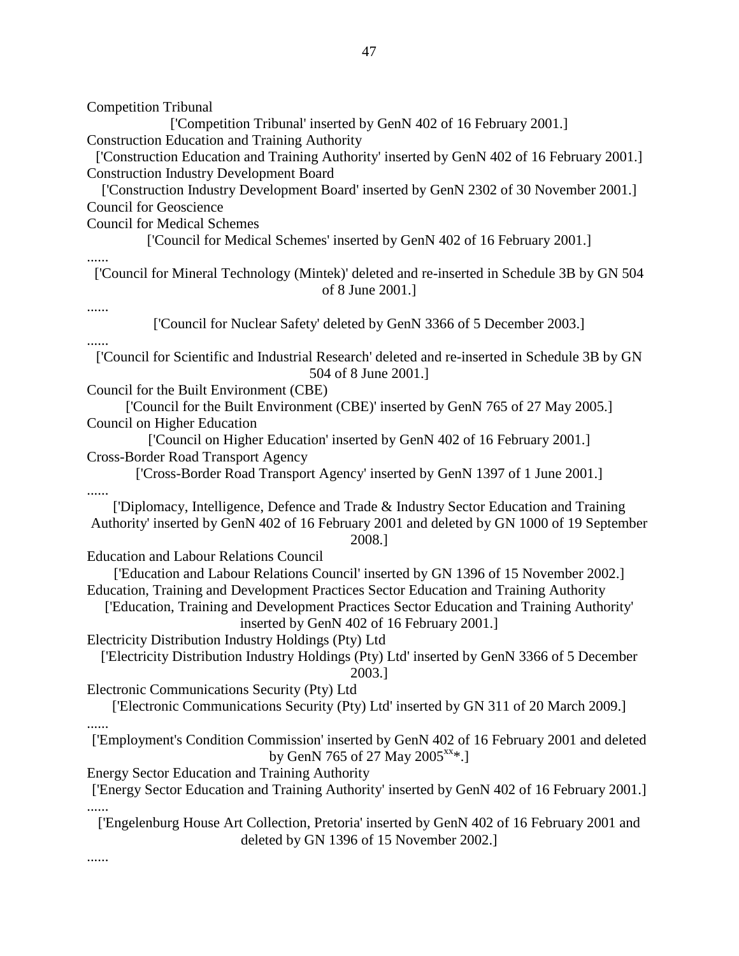Competition Tribunal ['Competition Tribunal' inserted by GenN 402 of 16 February 2001.] Construction Education and Training Authority ['Construction Education and Training Authority' inserted by GenN 402 of 16 February 2001.] Construction Industry Development Board ['Construction Industry Development Board' inserted by GenN 2302 of 30 November 2001.] Council for Geoscience Council for Medical Schemes ['Council for Medical Schemes' inserted by GenN 402 of 16 February 2001.] ...... ['Council for Mineral Technology (Mintek)' deleted and re-inserted in Schedule 3B by GN 504 of 8 June 2001.] ...... ['Council for Nuclear Safety' deleted by GenN 3366 of 5 December 2003.] ...... ['Council for Scientific and Industrial Research' deleted and re-inserted in Schedule 3B by GN 504 of 8 June 2001.] Council for the Built Environment (CBE) ['Council for the Built Environment (CBE)' inserted by GenN 765 of 27 May 2005.] Council on Higher Education ['Council on Higher Education' inserted by GenN 402 of 16 February 2001.] Cross-Border Road Transport Agency ['Cross-Border Road Transport Agency' inserted by GenN 1397 of 1 June 2001.] ...... ['Diplomacy, Intelligence, Defence and Trade & Industry Sector Education and Training Authority' inserted by GenN 402 of 16 February 2001 and deleted by GN 1000 of 19 September 2008.] Education and Labour Relations Council ['Education and Labour Relations Council' inserted by GN 1396 of 15 November 2002.] Education, Training and Development Practices Sector Education and Training Authority ['Education, Training and Development Practices Sector Education and Training Authority' inserted by GenN 402 of 16 February 2001.] Electricity Distribution Industry Holdings (Pty) Ltd ['Electricity Distribution Industry Holdings (Pty) Ltd' inserted by GenN 3366 of 5 December 2003.] Electronic Communications Security (Pty) Ltd ['Electronic Communications Security (Pty) Ltd' inserted by GN 311 of 20 March 2009.] ...... ['Employment's Condition Commission' inserted by GenN 402 of 16 February 2001 and deleted by GenN 765 of 27 May 2005<sup>xx</sup>\*.] Energy Sector Education and Training Authority ['Energy Sector Education and Training Authority' inserted by GenN 402 of 16 February 2001.] ['Engelenburg House Art Collection, Pretoria' inserted by GenN 402 of 16 February 2001 and deleted by GN 1396 of 15 November 2002.] ......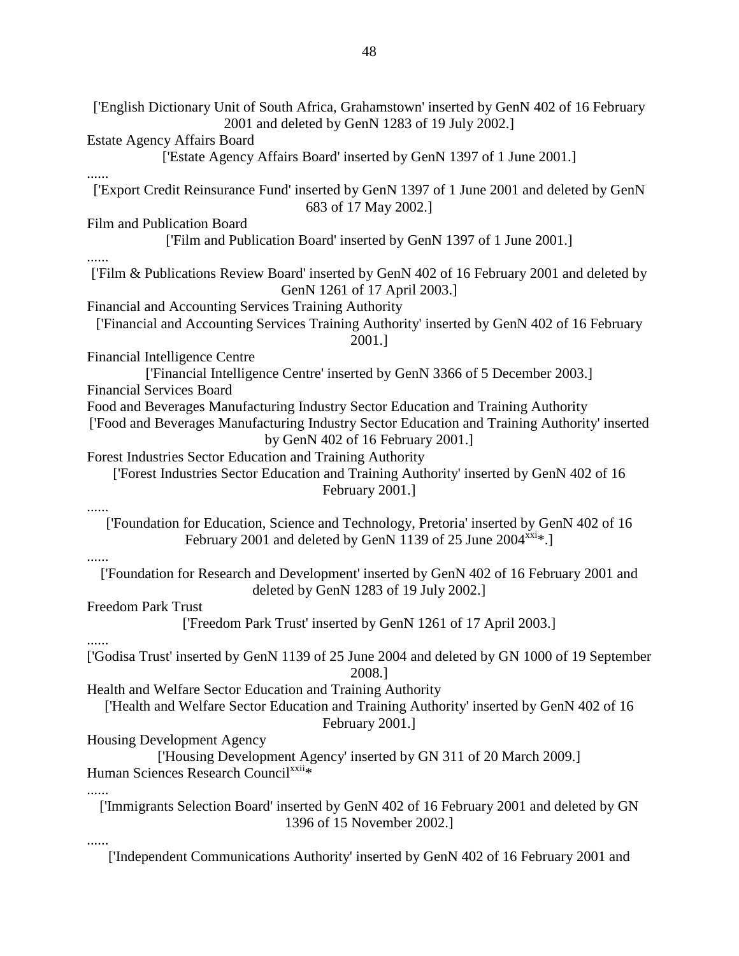['English Dictionary Unit of South Africa, Grahamstown' inserted by GenN 402 of 16 February 2001 and deleted by GenN 1283 of 19 July 2002.] Estate Agency Affairs Board ['Estate Agency Affairs Board' inserted by GenN 1397 of 1 June 2001.] ...... ['Export Credit Reinsurance Fund' inserted by GenN 1397 of 1 June 2001 and deleted by GenN 683 of 17 May 2002.] Film and Publication Board ['Film and Publication Board' inserted by GenN 1397 of 1 June 2001.] ...... ['Film & Publications Review Board' inserted by GenN 402 of 16 February 2001 and deleted by GenN 1261 of 17 April 2003.] Financial and Accounting Services Training Authority ['Financial and Accounting Services Training Authority' inserted by GenN 402 of 16 February 2001.] Financial Intelligence Centre ['Financial Intelligence Centre' inserted by GenN 3366 of 5 December 2003.] Financial Services Board Food and Beverages Manufacturing Industry Sector Education and Training Authority ['Food and Beverages Manufacturing Industry Sector Education and Training Authority' inserted by GenN 402 of 16 February 2001.] Forest Industries Sector Education and Training Authority ['Forest Industries Sector Education and Training Authority' inserted by GenN 402 of 16 February 2001.] ...... ['Foundation for Education, Science and Technology, Pretoria' inserted by GenN 402 of 16 February 2001 and deleted by GenN 1139 of 25 June  $2004^{xxi}*$ . ...... ['Foundation for Research and Development' inserted by GenN 402 of 16 February 2001 and deleted by GenN 1283 of 19 July 2002.] Freedom Park Trust ['Freedom Park Trust' inserted by GenN 1261 of 17 April 2003.] ...... ['Godisa Trust' inserted by GenN 1139 of 25 June 2004 and deleted by GN 1000 of 19 September 2008.] Health and Welfare Sector Education and Training Authority ['Health and Welfare Sector Education and Training Authority' inserted by GenN 402 of 16 February 2001.] Housing Development Agency ['Housing Development Agency' inserted by GN 311 of 20 March 2009.] Human Sciences Research Council<sup>xxii\*</sup> ...... ['Immigrants Selection Board' inserted by GenN 402 of 16 February 2001 and deleted by GN 1396 of 15 November 2002.] ......

['Independent Communications Authority' inserted by GenN 402 of 16 February 2001 and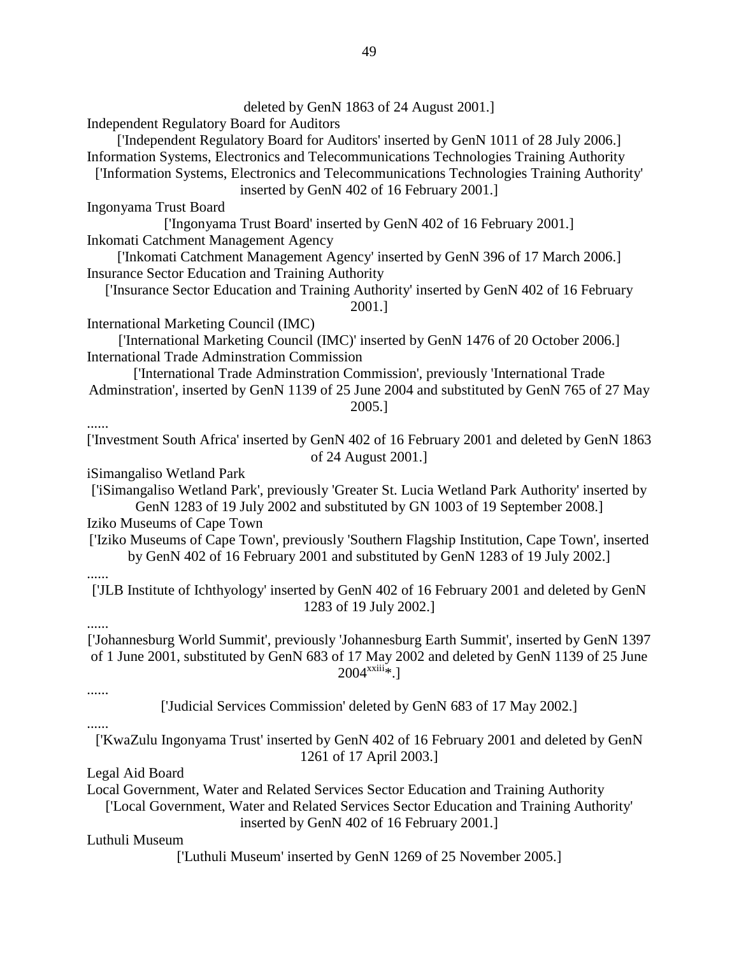deleted by GenN 1863 of 24 August 2001.] Independent Regulatory Board for Auditors ['Independent Regulatory Board for Auditors' inserted by GenN 1011 of 28 July 2006.] Information Systems, Electronics and Telecommunications Technologies Training Authority ['Information Systems, Electronics and Telecommunications Technologies Training Authority' inserted by GenN 402 of 16 February 2001.] Ingonyama Trust Board ['Ingonyama Trust Board' inserted by GenN 402 of 16 February 2001.] Inkomati Catchment Management Agency ['Inkomati Catchment Management Agency' inserted by GenN 396 of 17 March 2006.] Insurance Sector Education and Training Authority ['Insurance Sector Education and Training Authority' inserted by GenN 402 of 16 February 2001.] International Marketing Council (IMC) ['International Marketing Council (IMC)' inserted by GenN 1476 of 20 October 2006.] International Trade Adminstration Commission ['International Trade Adminstration Commission', previously 'International Trade Adminstration', inserted by GenN 1139 of 25 June 2004 and substituted by GenN 765 of 27 May 2005.] ...... ['Investment South Africa' inserted by GenN 402 of 16 February 2001 and deleted by GenN 1863 of 24 August 2001.] iSimangaliso Wetland Park ['iSimangaliso Wetland Park', previously 'Greater St. Lucia Wetland Park Authority' inserted by GenN 1283 of 19 July 2002 and substituted by GN 1003 of 19 September 2008.] Iziko Museums of Cape Town ['Iziko Museums of Cape Town', previously 'Southern Flagship Institution, Cape Town', inserted by GenN 402 of 16 February 2001 and substituted by GenN 1283 of 19 July 2002.] ...... ['JLB Institute of Ichthyology' inserted by GenN 402 of 16 February 2001 and deleted by GenN 1283 of 19 July 2002.] ...... ['Johannesburg World Summit', previously 'Johannesburg Earth Summit', inserted by GenN 1397 of 1 June 2001, substituted by GenN 683 of 17 May 2002 and deleted by GenN 1139 of 25 June  $2004^{xxiii}$ .] ...... ['Judicial Services Commission' deleted by GenN 683 of 17 May 2002.] ...... ['KwaZulu Ingonyama Trust' inserted by GenN 402 of 16 February 2001 and deleted by GenN 1261 of 17 April 2003.] Legal Aid Board Local Government, Water and Related Services Sector Education and Training Authority ['Local Government, Water and Related Services Sector Education and Training Authority' inserted by GenN 402 of 16 February 2001.] Luthuli Museum ['Luthuli Museum' inserted by GenN 1269 of 25 November 2005.]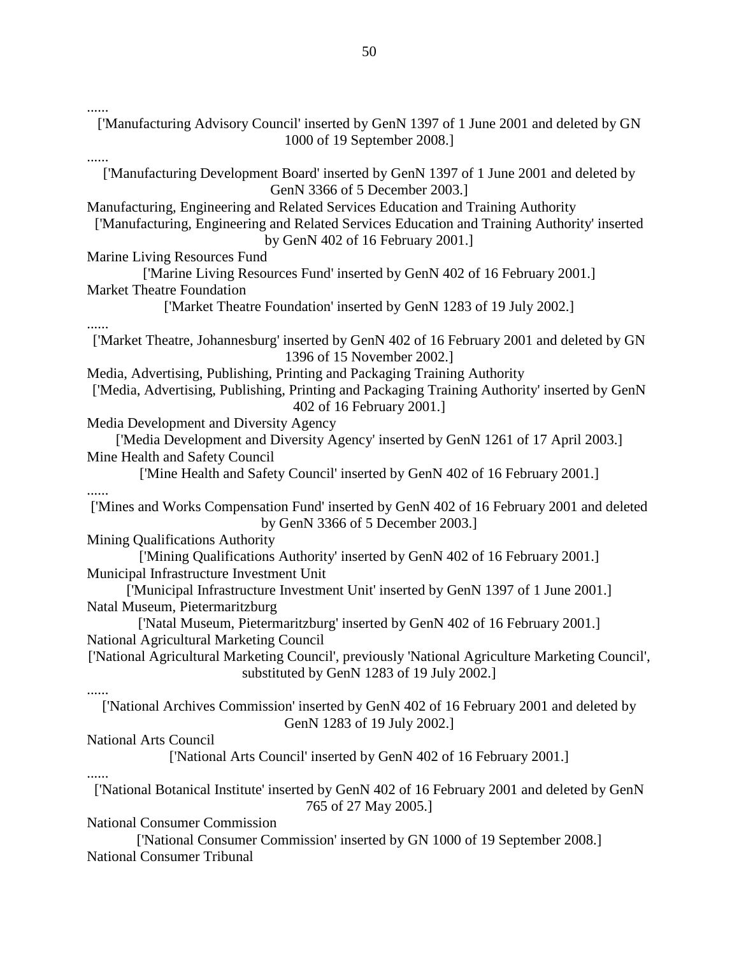......

['Manufacturing Advisory Council' inserted by GenN 1397 of 1 June 2001 and deleted by GN 1000 of 19 September 2008.] ...... ['Manufacturing Development Board' inserted by GenN 1397 of 1 June 2001 and deleted by GenN 3366 of 5 December 2003.] Manufacturing, Engineering and Related Services Education and Training Authority ['Manufacturing, Engineering and Related Services Education and Training Authority' inserted by GenN 402 of 16 February 2001.] Marine Living Resources Fund ['Marine Living Resources Fund' inserted by GenN 402 of 16 February 2001.] Market Theatre Foundation ['Market Theatre Foundation' inserted by GenN 1283 of 19 July 2002.] ...... ['Market Theatre, Johannesburg' inserted by GenN 402 of 16 February 2001 and deleted by GN 1396 of 15 November 2002.] Media, Advertising, Publishing, Printing and Packaging Training Authority ['Media, Advertising, Publishing, Printing and Packaging Training Authority' inserted by GenN 402 of 16 February 2001.] Media Development and Diversity Agency ['Media Development and Diversity Agency' inserted by GenN 1261 of 17 April 2003.] Mine Health and Safety Council ['Mine Health and Safety Council' inserted by GenN 402 of 16 February 2001.] ...... ['Mines and Works Compensation Fund' inserted by GenN 402 of 16 February 2001 and deleted by GenN 3366 of 5 December 2003.] Mining Qualifications Authority ['Mining Qualifications Authority' inserted by GenN 402 of 16 February 2001.] Municipal Infrastructure Investment Unit ['Municipal Infrastructure Investment Unit' inserted by GenN 1397 of 1 June 2001.] Natal Museum, Pietermaritzburg ['Natal Museum, Pietermaritzburg' inserted by GenN 402 of 16 February 2001.] National Agricultural Marketing Council ['National Agricultural Marketing Council', previously 'National Agriculture Marketing Council', substituted by GenN 1283 of 19 July 2002.] ...... ['National Archives Commission' inserted by GenN 402 of 16 February 2001 and deleted by GenN 1283 of 19 July 2002.] National Arts Council ['National Arts Council' inserted by GenN 402 of 16 February 2001.] ...... ['National Botanical Institute' inserted by GenN 402 of 16 February 2001 and deleted by GenN 765 of 27 May 2005.] National Consumer Commission ['National Consumer Commission' inserted by GN 1000 of 19 September 2008.] National Consumer Tribunal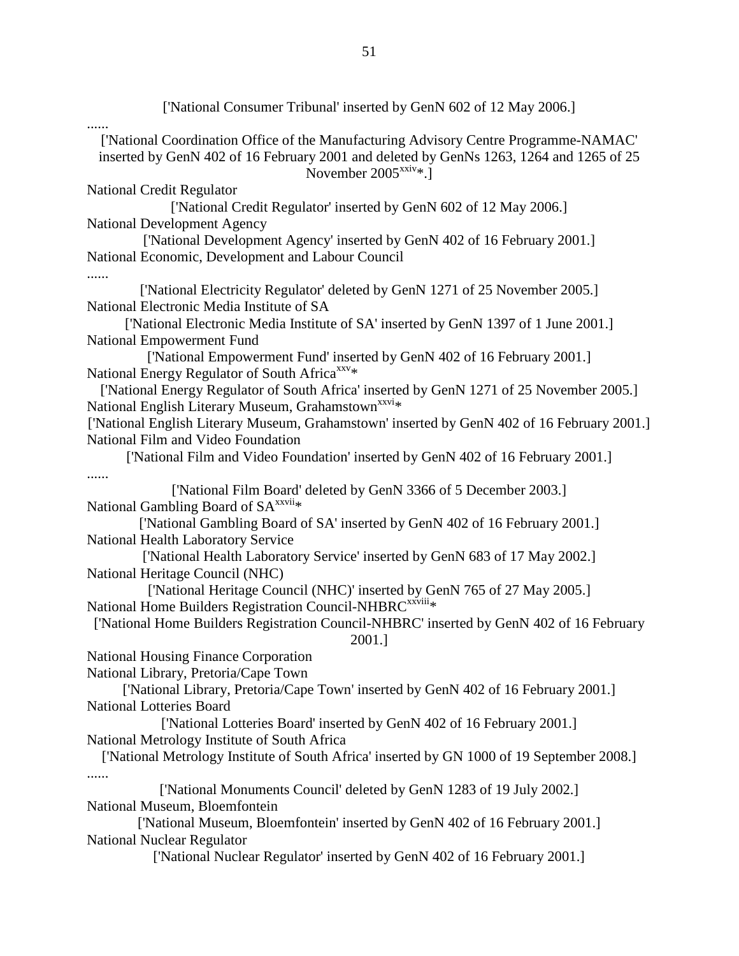['National Consumer Tribunal' inserted by GenN 602 of 12 May 2006.] ...... ['National Coordination Office of the Manufacturing Advisory Centre Programme-NAMAC' inserted by GenN 402 of 16 February 2001 and deleted by GenNs 1263, 1264 and 1265 of 25 November 2005<sup>xxiv</sup>\*.] National Credit Regulator ['National Credit Regulator' inserted by GenN 602 of 12 May 2006.] National Development Agency ['National Development Agency' inserted by GenN 402 of 16 February 2001.] National Economic, Development and Labour Council ...... ['National Electricity Regulator' deleted by GenN 1271 of 25 November 2005.] National Electronic Media Institute of SA ['National Electronic Media Institute of SA' inserted by GenN 1397 of 1 June 2001.] National Empowerment Fund ['National Empowerment Fund' inserted by GenN 402 of 16 February 2001.] National Energy Regulator of South Africa<sup>xxv</sup>\* ['National Energy Regulator of South Africa' inserted by GenN 1271 of 25 November 2005.] National English Literary Museum, Grahamstown<sup>xxvi</sup>\* ['National English Literary Museum, Grahamstown' inserted by GenN 402 of 16 February 2001.] National Film and Video Foundation ['National Film and Video Foundation' inserted by GenN 402 of 16 February 2001.] ...... ['National Film Board' deleted by GenN 3366 of 5 December 2003.] National Gambling Board of SA<sup>xxvii</sup>\* ['National Gambling Board of SA' inserted by GenN 402 of 16 February 2001.] National Health Laboratory Service ['National Health Laboratory Service' inserted by GenN 683 of 17 May 2002.] National Heritage Council (NHC) ['National Heritage Council (NHC)' inserted by GenN 765 of 27 May 2005.] National Home Builders Registration Council-NHBRC<sup>xxviii</sup>\* ['National Home Builders Registration Council-NHBRC' inserted by GenN 402 of 16 February 2001.] National Housing Finance Corporation National Library, Pretoria/Cape Town ['National Library, Pretoria/Cape Town' inserted by GenN 402 of 16 February 2001.] National Lotteries Board ['National Lotteries Board' inserted by GenN 402 of 16 February 2001.] National Metrology Institute of South Africa ['National Metrology Institute of South Africa' inserted by GN 1000 of 19 September 2008.] ...... ['National Monuments Council' deleted by GenN 1283 of 19 July 2002.] National Museum, Bloemfontein ['National Museum, Bloemfontein' inserted by GenN 402 of 16 February 2001.] National Nuclear Regulator ['National Nuclear Regulator' inserted by GenN 402 of 16 February 2001.]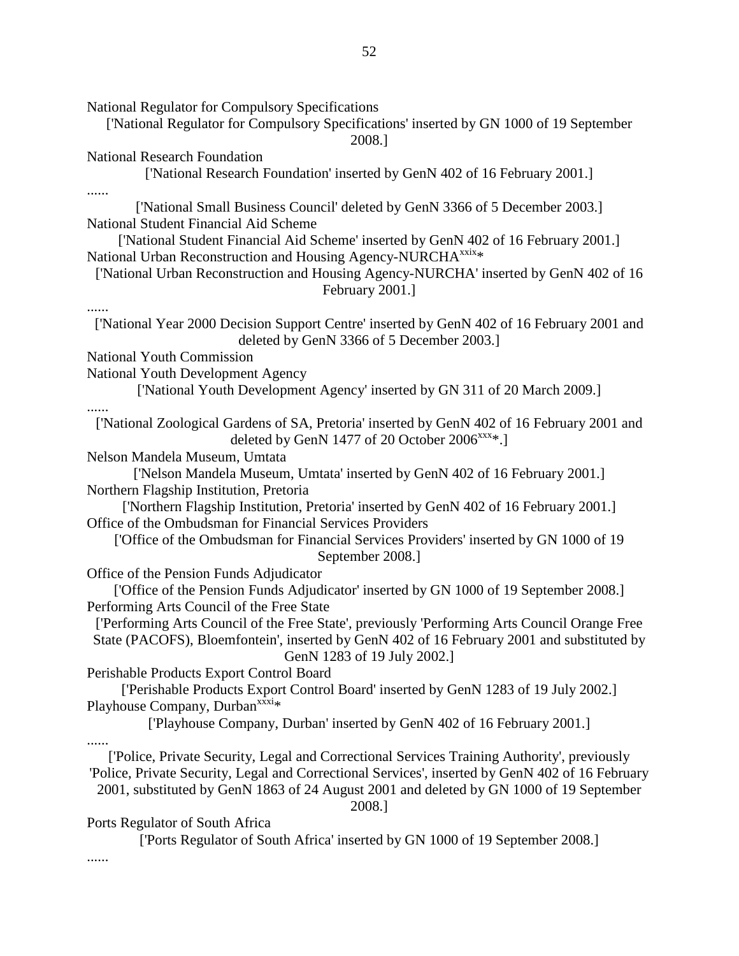National Regulator for Compulsory Specifications ['National Regulator for Compulsory Specifications' inserted by GN 1000 of 19 September 2008.] National Research Foundation ['National Research Foundation' inserted by GenN 402 of 16 February 2001.] ...... ['National Small Business Council' deleted by GenN 3366 of 5 December 2003.] National Student Financial Aid Scheme ['National Student Financial Aid Scheme' inserted by GenN 402 of 16 February 2001.] National Urban Reconstruction and Housing Agency-NURCHA<sup>xxix</sup>\* ['National Urban Reconstruction and Housing Agency-NURCHA' inserted by GenN 402 of 16 February 2001.] ...... ['National Year 2000 Decision Support Centre' inserted by GenN 402 of 16 February 2001 and deleted by GenN 3366 of 5 December 2003.] National Youth Commission National Youth Development Agency ['National Youth Development Agency' inserted by GN 311 of 20 March 2009.] ...... ['National Zoological Gardens of SA, Pretoria' inserted by GenN 402 of 16 February 2001 and deleted by GenN 1477 of 20 October  $2006^{xxx}.$ ] Nelson Mandela Museum, Umtata ['Nelson Mandela Museum, Umtata' inserted by GenN 402 of 16 February 2001.] Northern Flagship Institution, Pretoria ['Northern Flagship Institution, Pretoria' inserted by GenN 402 of 16 February 2001.] Office of the Ombudsman for Financial Services Providers ['Office of the Ombudsman for Financial Services Providers' inserted by GN 1000 of 19 September 2008.] Office of the Pension Funds Adjudicator ['Office of the Pension Funds Adjudicator' inserted by GN 1000 of 19 September 2008.] Performing Arts Council of the Free State ['Performing Arts Council of the Free State', previously 'Performing Arts Council Orange Free State (PACOFS), Bloemfontein', inserted by GenN 402 of 16 February 2001 and substituted by GenN 1283 of 19 July 2002.] Perishable Products Export Control Board ['Perishable Products Export Control Board' inserted by GenN 1283 of 19 July 2002.] Playhouse Company, Durban<sup>xxxi</sup>\* ['Playhouse Company, Durban' inserted by GenN 402 of 16 February 2001.] ...... ['Police, Private Security, Legal and Correctional Services Training Authority', previously 'Police, Private Security, Legal and Correctional Services', inserted by GenN 402 of 16 February 2001, substituted by GenN 1863 of 24 August 2001 and deleted by GN 1000 of 19 September 2008.] Ports Regulator of South Africa ['Ports Regulator of South Africa' inserted by GN 1000 of 19 September 2008.]

......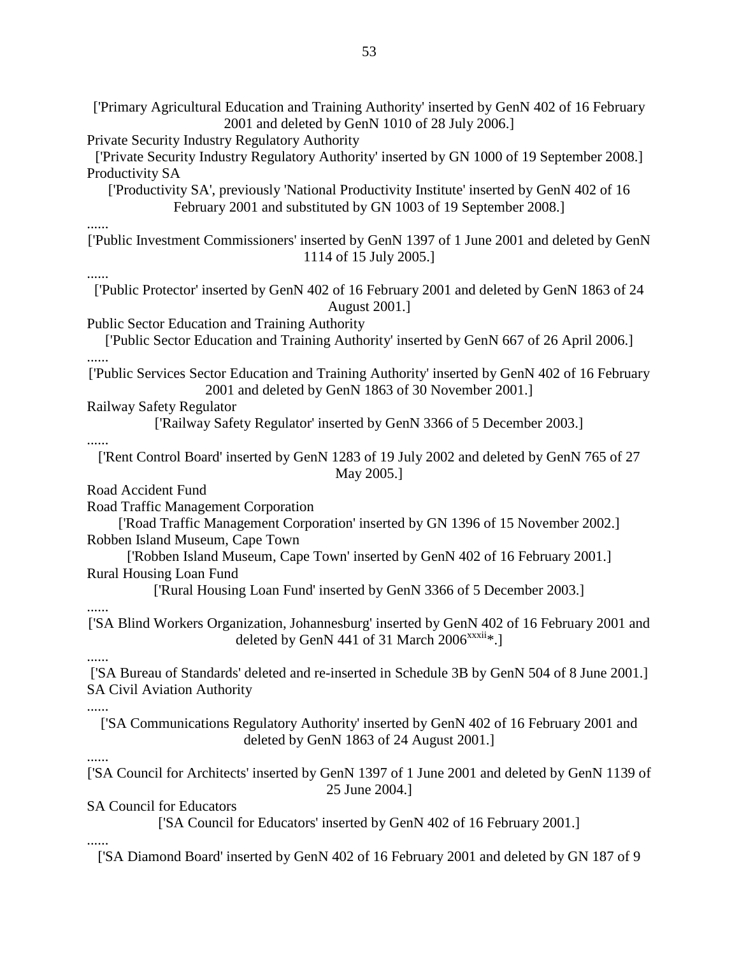['Primary Agricultural Education and Training Authority' inserted by GenN 402 of 16 February 2001 and deleted by GenN 1010 of 28 July 2006.] Private Security Industry Regulatory Authority ['Private Security Industry Regulatory Authority' inserted by GN 1000 of 19 September 2008.] Productivity SA ['Productivity SA', previously 'National Productivity Institute' inserted by GenN 402 of 16 February 2001 and substituted by GN 1003 of 19 September 2008.] ...... ['Public Investment Commissioners' inserted by GenN 1397 of 1 June 2001 and deleted by GenN 1114 of 15 July 2005.] ...... ['Public Protector' inserted by GenN 402 of 16 February 2001 and deleted by GenN 1863 of 24 August 2001.] Public Sector Education and Training Authority ['Public Sector Education and Training Authority' inserted by GenN 667 of 26 April 2006.] ...... ['Public Services Sector Education and Training Authority' inserted by GenN 402 of 16 February 2001 and deleted by GenN 1863 of 30 November 2001.] Railway Safety Regulator ['Railway Safety Regulator' inserted by GenN 3366 of 5 December 2003.] ...... ['Rent Control Board' inserted by GenN 1283 of 19 July 2002 and deleted by GenN 765 of 27 May 2005.] Road Accident Fund Road Traffic Management Corporation ['Road Traffic Management Corporation' inserted by GN 1396 of 15 November 2002.] Robben Island Museum, Cape Town ['Robben Island Museum, Cape Town' inserted by GenN 402 of 16 February 2001.] Rural Housing Loan Fund ['Rural Housing Loan Fund' inserted by GenN 3366 of 5 December 2003.] ...... ['SA Blind Workers Organization, Johannesburg' inserted by GenN 402 of 16 February 2001 and deleted by GenN 441 of 31 March  $2006^{xxxii*}$ . ...... ['SA Bureau of Standards' deleted and re-inserted in Schedule 3B by GenN 504 of 8 June 2001.] SA Civil Aviation Authority ...... ['SA Communications Regulatory Authority' inserted by GenN 402 of 16 February 2001 and deleted by GenN 1863 of 24 August 2001.] ...... ['SA Council for Architects' inserted by GenN 1397 of 1 June 2001 and deleted by GenN 1139 of 25 June 2004.] SA Council for Educators ['SA Council for Educators' inserted by GenN 402 of 16 February 2001.] ...... ['SA Diamond Board' inserted by GenN 402 of 16 February 2001 and deleted by GN 187 of 9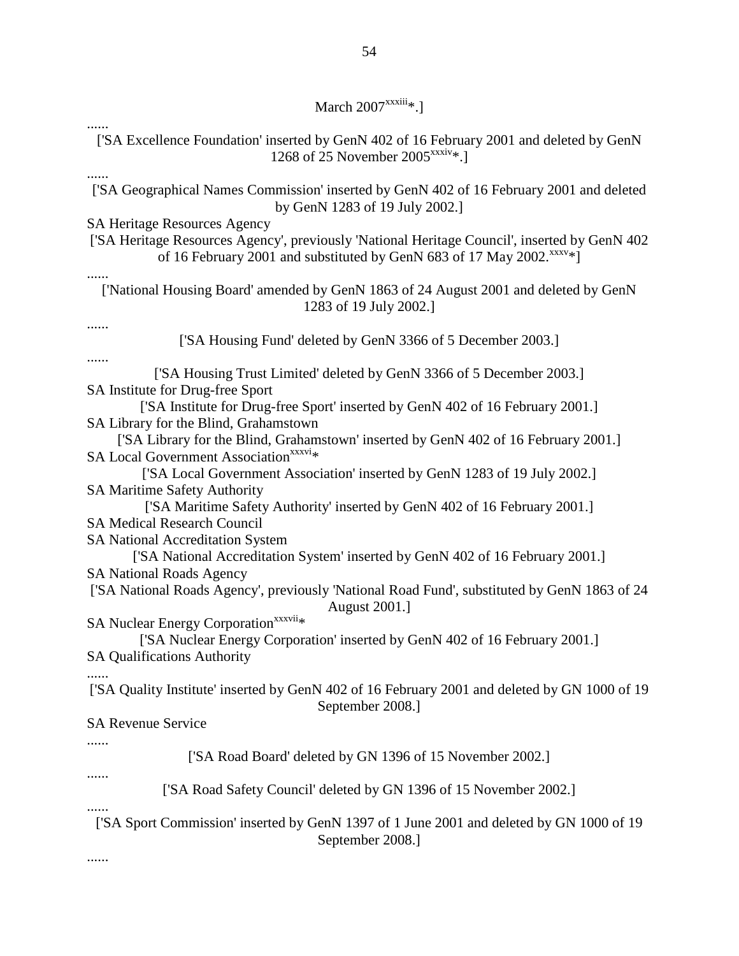# March  $2007^{\text{xxxiii}}$ \*.]

| ['SA Excellence Foundation' inserted by GenN 402 of 16 February 2001 and deleted by GenN<br>1268 of 25 November 2005 <sup>xxxiv</sup> *.]                                                                                                                                                                                                                                                                                                                                                                                                                                                                                                                                                                                                                                                                                                                                                                                                                                                                                                                  |
|------------------------------------------------------------------------------------------------------------------------------------------------------------------------------------------------------------------------------------------------------------------------------------------------------------------------------------------------------------------------------------------------------------------------------------------------------------------------------------------------------------------------------------------------------------------------------------------------------------------------------------------------------------------------------------------------------------------------------------------------------------------------------------------------------------------------------------------------------------------------------------------------------------------------------------------------------------------------------------------------------------------------------------------------------------|
| ['SA Geographical Names Commission' inserted by GenN 402 of 16 February 2001 and deleted<br>by GenN 1283 of 19 July 2002.]                                                                                                                                                                                                                                                                                                                                                                                                                                                                                                                                                                                                                                                                                                                                                                                                                                                                                                                                 |
| <b>SA Heritage Resources Agency</b><br>['SA Heritage Resources Agency', previously 'National Heritage Council', inserted by GenN 402<br>of 16 February 2001 and substituted by GenN 683 of 17 May 2002. XXXV*]                                                                                                                                                                                                                                                                                                                                                                                                                                                                                                                                                                                                                                                                                                                                                                                                                                             |
| ['National Housing Board' amended by GenN 1863 of 24 August 2001 and deleted by GenN<br>1283 of 19 July 2002.]                                                                                                                                                                                                                                                                                                                                                                                                                                                                                                                                                                                                                                                                                                                                                                                                                                                                                                                                             |
| ['SA Housing Fund' deleted by GenN 3366 of 5 December 2003.]                                                                                                                                                                                                                                                                                                                                                                                                                                                                                                                                                                                                                                                                                                                                                                                                                                                                                                                                                                                               |
| <br>['SA Housing Trust Limited' deleted by GenN 3366 of 5 December 2003.]<br>SA Institute for Drug-free Sport<br>['SA Institute for Drug-free Sport' inserted by GenN 402 of 16 February 2001.]<br>SA Library for the Blind, Grahamstown<br>['SA Library for the Blind, Grahamstown' inserted by GenN 402 of 16 February 2001.]<br>SA Local Government Association <sup>xxxvi</sup> *<br>['SA Local Government Association' inserted by GenN 1283 of 19 July 2002.]<br><b>SA Maritime Safety Authority</b><br>['SA Maritime Safety Authority' inserted by GenN 402 of 16 February 2001.]<br><b>SA Medical Research Council</b><br><b>SA National Accreditation System</b><br>['SA National Accreditation System' inserted by GenN 402 of 16 February 2001.]<br><b>SA National Roads Agency</b><br>['SA National Roads Agency', previously 'National Road Fund', substituted by GenN 1863 of 24<br><b>August 2001.]</b><br>SA Nuclear Energy Corporation <sup>xxxvii</sup> *<br>['SA Nuclear Energy Corporation' inserted by GenN 402 of 16 February 2001.] |
| <b>SA Qualifications Authority</b><br>['SA Quality Institute' inserted by GenN 402 of 16 February 2001 and deleted by GN 1000 of 19                                                                                                                                                                                                                                                                                                                                                                                                                                                                                                                                                                                                                                                                                                                                                                                                                                                                                                                        |
| September 2008.]                                                                                                                                                                                                                                                                                                                                                                                                                                                                                                                                                                                                                                                                                                                                                                                                                                                                                                                                                                                                                                           |
| <b>SA Revenue Service</b>                                                                                                                                                                                                                                                                                                                                                                                                                                                                                                                                                                                                                                                                                                                                                                                                                                                                                                                                                                                                                                  |
| ['SA Road Board' deleted by GN 1396 of 15 November 2002.]                                                                                                                                                                                                                                                                                                                                                                                                                                                                                                                                                                                                                                                                                                                                                                                                                                                                                                                                                                                                  |
| ['SA Road Safety Council' deleted by GN 1396 of 15 November 2002.]                                                                                                                                                                                                                                                                                                                                                                                                                                                                                                                                                                                                                                                                                                                                                                                                                                                                                                                                                                                         |
| ['SA Sport Commission' inserted by GenN 1397 of 1 June 2001 and deleted by GN 1000 of 19<br>September 2008.]<br>                                                                                                                                                                                                                                                                                                                                                                                                                                                                                                                                                                                                                                                                                                                                                                                                                                                                                                                                           |
|                                                                                                                                                                                                                                                                                                                                                                                                                                                                                                                                                                                                                                                                                                                                                                                                                                                                                                                                                                                                                                                            |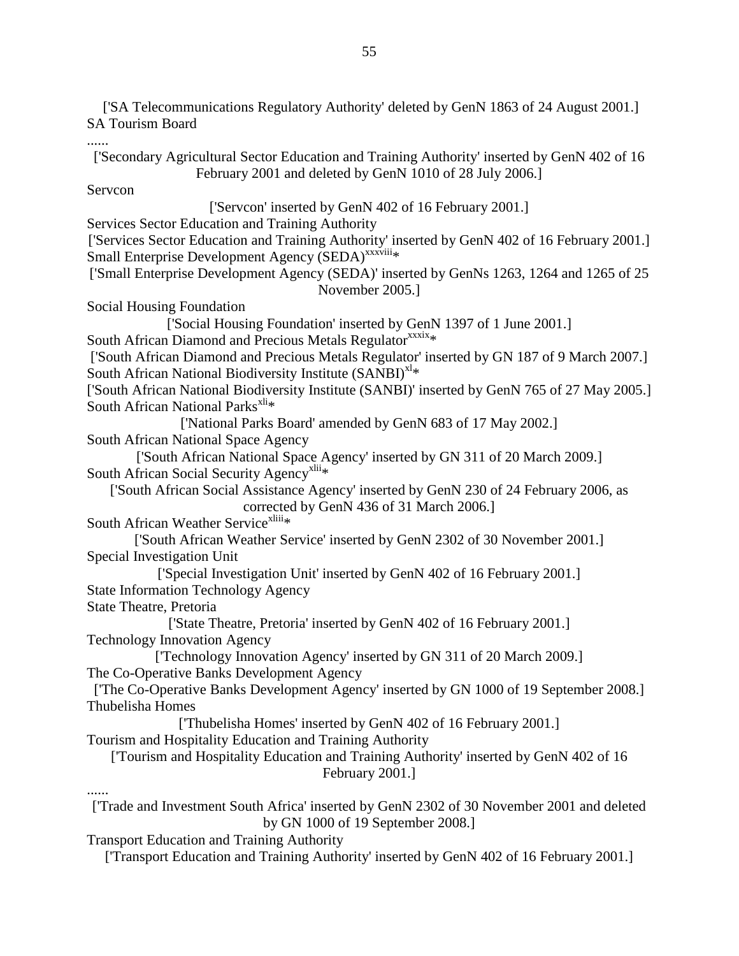['SA Telecommunications Regulatory Authority' deleted by GenN 1863 of 24 August 2001.] SA Tourism Board

...... ['Secondary Agricultural Sector Education and Training Authority' inserted by GenN 402 of 16 February 2001 and deleted by GenN 1010 of 28 July 2006.] Servcon ['Servcon' inserted by GenN 402 of 16 February 2001.] Services Sector Education and Training Authority ['Services Sector Education and Training Authority' inserted by GenN 402 of 16 February 2001.] Small Enterprise Development Agency (SEDA)<sup>xxxviii</sup>\* ['Small Enterprise Development Agency (SEDA)' inserted by GenNs 1263, 1264 and 1265 of 25 November 2005.] Social Housing Foundation ['Social Housing Foundation' inserted by GenN 1397 of 1 June 2001.] South African Diamond and Precious Metals Regulator<sup>xxxix</sup>\* ['South African Diamond and Precious Metals Regulator' inserted by GN 187 of 9 March 2007.] South African National Biodiversity Institute  $(SANBI)^{x|*}$ ['South African National Biodiversity Institute (SANBI)' inserted by GenN 765 of 27 May 2005.] South African National Parks $^{xli*}$ ['National Parks Board' amended by GenN 683 of 17 May 2002.] South African National Space Agency ['South African National Space Agency' inserted by GN 311 of 20 March 2009.] South African Social Security Agency<sup>xlii</sup>\* ['South African Social Assistance Agency' inserted by GenN 230 of 24 February 2006, as corrected by GenN 436 of 31 March 2006.] South African Weather Service<sup>xliii</sup>\* ['South African Weather Service' inserted by GenN 2302 of 30 November 2001.] Special Investigation Unit ['Special Investigation Unit' inserted by GenN 402 of 16 February 2001.] State Information Technology Agency State Theatre, Pretoria ['State Theatre, Pretoria' inserted by GenN 402 of 16 February 2001.] Technology Innovation Agency ['Technology Innovation Agency' inserted by GN 311 of 20 March 2009.] The Co-Operative Banks Development Agency ['The Co-Operative Banks Development Agency' inserted by GN 1000 of 19 September 2008.] Thubelisha Homes ['Thubelisha Homes' inserted by GenN 402 of 16 February 2001.] Tourism and Hospitality Education and Training Authority ['Tourism and Hospitality Education and Training Authority' inserted by GenN 402 of 16 February 2001.] ...... ['Trade and Investment South Africa' inserted by GenN 2302 of 30 November 2001 and deleted by GN 1000 of 19 September 2008.] Transport Education and Training Authority

['Transport Education and Training Authority' inserted by GenN 402 of 16 February 2001.]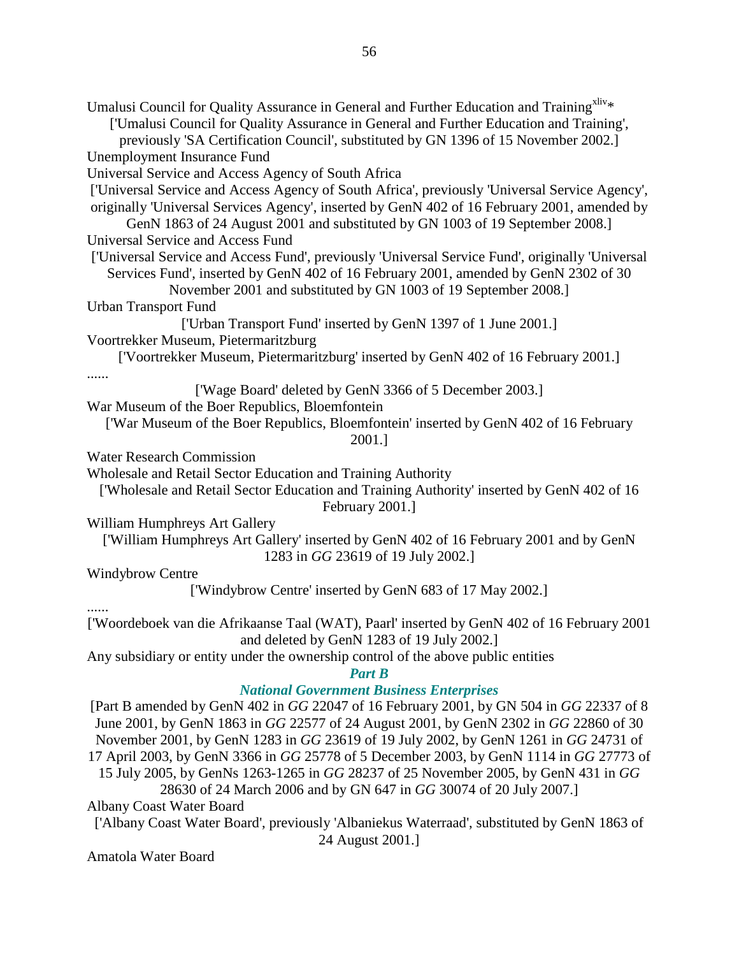Umalusi Council for Quality Assurance in General and Further Education and Training<sup>xliv\*</sup> ['Umalusi Council for Quality Assurance in General and Further Education and Training', previously 'SA Certification Council', substituted by GN 1396 of 15 November 2002.] Unemployment Insurance Fund Universal Service and Access Agency of South Africa ['Universal Service and Access Agency of South Africa', previously 'Universal Service Agency', originally 'Universal Services Agency', inserted by GenN 402 of 16 February 2001, amended by GenN 1863 of 24 August 2001 and substituted by GN 1003 of 19 September 2008.] Universal Service and Access Fund ['Universal Service and Access Fund', previously 'Universal Service Fund', originally 'Universal Services Fund', inserted by GenN 402 of 16 February 2001, amended by GenN 2302 of 30 November 2001 and substituted by GN 1003 of 19 September 2008.] Urban Transport Fund ['Urban Transport Fund' inserted by GenN 1397 of 1 June 2001.] Voortrekker Museum, Pietermaritzburg ['Voortrekker Museum, Pietermaritzburg' inserted by GenN 402 of 16 February 2001.] ...... ['Wage Board' deleted by GenN 3366 of 5 December 2003.] War Museum of the Boer Republics, Bloemfontein ['War Museum of the Boer Republics, Bloemfontein' inserted by GenN 402 of 16 February 2001.] Water Research Commission Wholesale and Retail Sector Education and Training Authority ['Wholesale and Retail Sector Education and Training Authority' inserted by GenN 402 of 16 February 2001.] William Humphreys Art Gallery ['William Humphreys Art Gallery' inserted by GenN 402 of 16 February 2001 and by GenN 1283 in *GG* 23619 of 19 July 2002.] Windybrow Centre ['Windybrow Centre' inserted by GenN 683 of 17 May 2002.] ...... ['Woordeboek van die Afrikaanse Taal (WAT), Paarl' inserted by GenN 402 of 16 February 2001 and deleted by GenN 1283 of 19 July 2002.] Any subsidiary or entity under the ownership control of the above public entities *Part B National Government Business Enterprises*  [Part B amended by GenN 402 in *GG* 22047 of 16 February 2001, by GN 504 in *GG* 22337 of 8 June 2001, by GenN 1863 in *GG* 22577 of 24 August 2001, by GenN 2302 in *GG* 22860 of 30 November 2001, by GenN 1283 in *GG* 23619 of 19 July 2002, by GenN 1261 in *GG* 24731 of 17 April 2003, by GenN 3366 in *GG* 25778 of 5 December 2003, by GenN 1114 in *GG* 27773 of 15 July 2005, by GenNs 1263-1265 in *GG* 28237 of 25 November 2005, by GenN 431 in *GG* 28630 of 24 March 2006 and by GN 647 in *GG* 30074 of 20 July 2007.]

Albany Coast Water Board

['Albany Coast Water Board', previously 'Albaniekus Waterraad', substituted by GenN 1863 of 24 August 2001.]

Amatola Water Board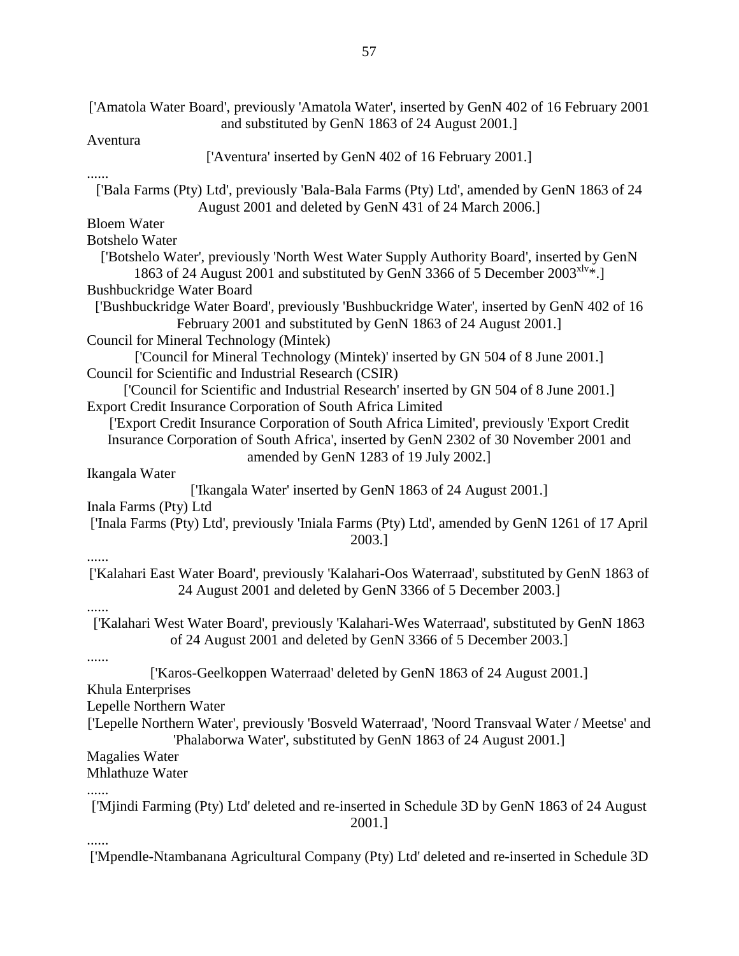| ['Amatola Water Board', previously 'Amatola Water', inserted by GenN 402 of 16 February 2001<br>and substituted by GenN 1863 of 24 August 2001.]                                      |
|---------------------------------------------------------------------------------------------------------------------------------------------------------------------------------------|
| Aventura                                                                                                                                                                              |
| ['Aventura' inserted by GenN 402 of 16 February 2001.]                                                                                                                                |
| ['Bala Farms (Pty) Ltd', previously 'Bala-Bala Farms (Pty) Ltd', amended by GenN 1863 of 24<br>August 2001 and deleted by GenN 431 of 24 March 2006.]                                 |
| <b>Bloem Water</b>                                                                                                                                                                    |
| <b>Botshelo Water</b>                                                                                                                                                                 |
| ['Botshelo Water', previously 'North West Water Supply Authority Board', inserted by GenN<br>1863 of 24 August 2001 and substituted by GenN 3366 of 5 December 2003 <sup>x1v</sup> *. |
| <b>Bushbuckridge Water Board</b>                                                                                                                                                      |
| ['Bushbuckridge Water Board', previously 'Bushbuckridge Water', inserted by GenN 402 of 16<br>February 2001 and substituted by GenN 1863 of 24 August 2001.]                          |
| Council for Mineral Technology (Mintek)                                                                                                                                               |
| ['Council for Mineral Technology (Mintek)' inserted by GN 504 of 8 June 2001.]                                                                                                        |
| Council for Scientific and Industrial Research (CSIR)                                                                                                                                 |
| ['Council for Scientific and Industrial Research' inserted by GN 504 of 8 June 2001.]                                                                                                 |
| Export Credit Insurance Corporation of South Africa Limited                                                                                                                           |
| ['Export Credit Insurance Corporation of South Africa Limited', previously 'Export Credit                                                                                             |
| Insurance Corporation of South Africa', inserted by GenN 2302 of 30 November 2001 and                                                                                                 |
| amended by GenN 1283 of 19 July 2002.]                                                                                                                                                |
| Ikangala Water                                                                                                                                                                        |
| ['Ikangala Water' inserted by GenN 1863 of 24 August 2001.]                                                                                                                           |
| Inala Farms (Pty) Ltd                                                                                                                                                                 |
| ['Inala Farms (Pty) Ltd', previously 'Iniala Farms (Pty) Ltd', amended by GenN 1261 of 17 April<br>2003.]                                                                             |
| ['Kalahari East Water Board', previously 'Kalahari-Oos Waterraad', substituted by GenN 1863 of<br>24 August 2001 and deleted by GenN 3366 of 5 December 2003.]                        |
| ['Kalahari West Water Board', previously 'Kalahari-Wes Waterraad', substituted by GenN 1863<br>of 24 August 2001 and deleted by GenN 3366 of 5 December 2003.                         |
| ['Karos-Geelkoppen Waterraad' deleted by GenN 1863 of 24 August 2001.]<br>Khula Enterprises                                                                                           |
| Lepelle Northern Water                                                                                                                                                                |
| ['Lepelle Northern Water', previously 'Bosveld Waterraad', 'Noord Transvaal Water / Meetse' and<br>'Phalaborwa Water', substituted by GenN 1863 of 24 August 2001.]                   |
| <b>Magalies Water</b>                                                                                                                                                                 |
| <b>Mhlathuze Water</b>                                                                                                                                                                |
|                                                                                                                                                                                       |
| ['Mjindi Farming (Pty) Ltd' deleted and re-inserted in Schedule 3D by GenN 1863 of 24 August<br>2001.]                                                                                |
| ['Mpendle-Ntambanana Agricultural Company (Pty) Ltd' deleted and re-inserted in Schedule 3D                                                                                           |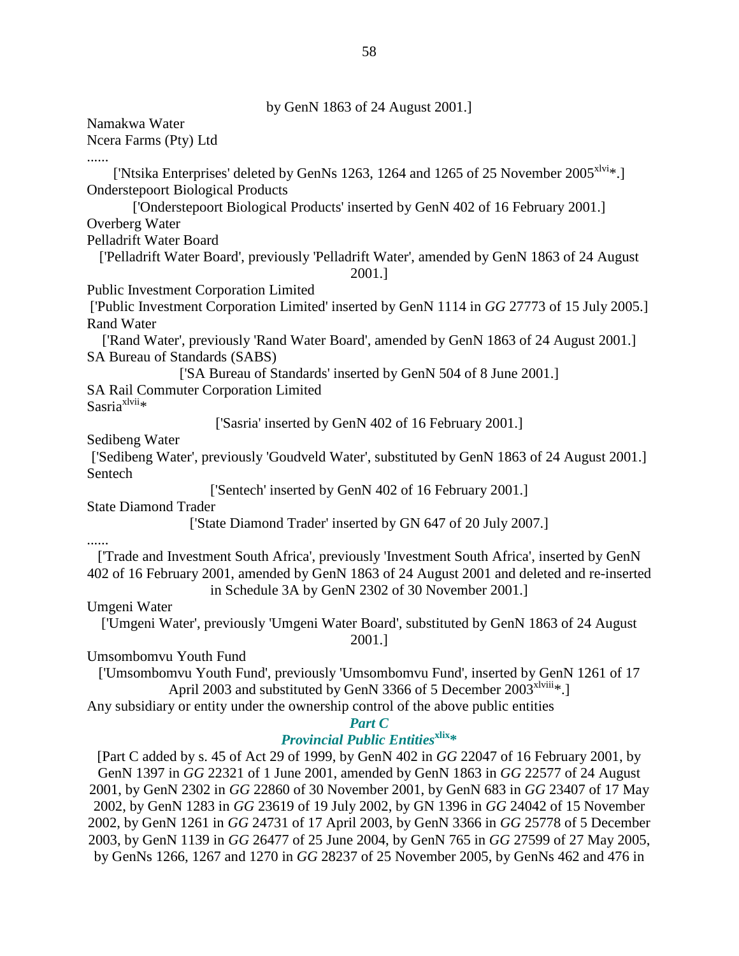by GenN 1863 of 24 August 2001.]

Namakwa Water Ncera Farms (Pty) Ltd ...... ['Ntsika Enterprises' deleted by GenNs 1263, 1264 and 1265 of 25 November  $2005^{xlvi}*$ .] Onderstepoort Biological Products ['Onderstepoort Biological Products' inserted by GenN 402 of 16 February 2001.] Overberg Water Pelladrift Water Board ['Pelladrift Water Board', previously 'Pelladrift Water', amended by GenN 1863 of 24 August 2001.] Public Investment Corporation Limited ['Public Investment Corporation Limited' inserted by GenN 1114 in *GG* 27773 of 15 July 2005.] Rand Water ['Rand Water', previously 'Rand Water Board', amended by GenN 1863 of 24 August 2001.] SA Bureau of Standards (SABS) ['SA Bureau of Standards' inserted by GenN 504 of 8 June 2001.] SA Rail Commuter Corporation Limited Sasria $x^{1}$ vii $*$ ['Sasria' inserted by GenN 402 of 16 February 2001.] Sedibeng Water ['Sedibeng Water', previously 'Goudveld Water', substituted by GenN 1863 of 24 August 2001.] Sentech ['Sentech' inserted by GenN 402 of 16 February 2001.] State Diamond Trader ['State Diamond Trader' inserted by GN 647 of 20 July 2007.] ...... ['Trade and Investment South Africa', previously 'Investment South Africa', inserted by GenN 402 of 16 February 2001, amended by GenN 1863 of 24 August 2001 and deleted and re-inserted in Schedule 3A by GenN 2302 of 30 November 2001.] Umgeni Water ['Umgeni Water', previously 'Umgeni Water Board', substituted by GenN 1863 of 24 August 2001.] Umsombomvu Youth Fund ['Umsombomvu Youth Fund', previously 'Umsombomvu Fund', inserted by GenN 1261 of 17 April 2003 and substituted by GenN 3366 of 5 December 2003<sup>xlviii</sup>\*. Any subsidiary or entity under the ownership control of the above public entities *Part C Provincial Public Entities*<sup>xlix</sup><sup>\*</sup> [Part C added by s. 45 of Act 29 of 1999, by GenN 402 in *GG* 22047 of 16 February 2001, by GenN 1397 in *GG* 22321 of 1 June 2001, amended by GenN 1863 in *GG* 22577 of 24 August 2001, by GenN 2302 in *GG* 22860 of 30 November 2001, by GenN 683 in *GG* 23407 of 17 May 2002, by GenN 1283 in *GG* 23619 of 19 July 2002, by GN 1396 in *GG* 24042 of 15 November

2002, by GenN 1261 in *GG* 24731 of 17 April 2003, by GenN 3366 in *GG* 25778 of 5 December 2003, by GenN 1139 in *GG* 26477 of 25 June 2004, by GenN 765 in *GG* 27599 of 27 May 2005, by GenNs 1266, 1267 and 1270 in *GG* 28237 of 25 November 2005, by GenNs 462 and 476 in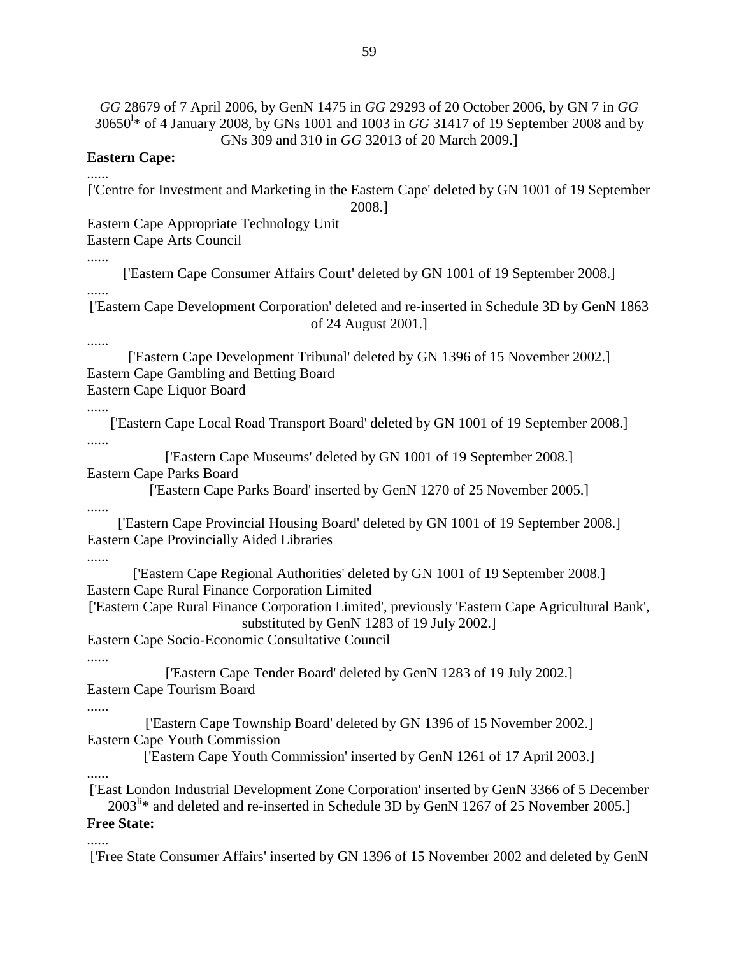*GG* 28679 of 7 April 2006, by GenN 1475 in *GG* 29293 of 20 October 2006, by GN 7 in *GG* 30650<sup>l</sup> \* of 4 January 2008, by GNs 1001 and 1003 in *GG* 31417 of 19 September 2008 and by GNs 309 and 310 in *GG* 32013 of 20 March 2009.]

#### **Eastern Cape:**

['Centre for Investment and Marketing in the Eastern Cape' deleted by GN 1001 of 19 September 2008.]

Eastern Cape Appropriate Technology Unit

Eastern Cape Arts Council

......

......

['Eastern Cape Consumer Affairs Court' deleted by GN 1001 of 19 September 2008.]

...... ['Eastern Cape Development Corporation' deleted and re-inserted in Schedule 3D by GenN 1863 of 24 August 2001.]

#### ......

['Eastern Cape Development Tribunal' deleted by GN 1396 of 15 November 2002.] Eastern Cape Gambling and Betting Board Eastern Cape Liquor Board

......

['Eastern Cape Local Road Transport Board' deleted by GN 1001 of 19 September 2008.] ......

['Eastern Cape Museums' deleted by GN 1001 of 19 September 2008.] Eastern Cape Parks Board

['Eastern Cape Parks Board' inserted by GenN 1270 of 25 November 2005.]

......

['Eastern Cape Provincial Housing Board' deleted by GN 1001 of 19 September 2008.] Eastern Cape Provincially Aided Libraries

#### ......

['Eastern Cape Regional Authorities' deleted by GN 1001 of 19 September 2008.] Eastern Cape Rural Finance Corporation Limited

['Eastern Cape Rural Finance Corporation Limited', previously 'Eastern Cape Agricultural Bank', substituted by GenN 1283 of 19 July 2002.]

Eastern Cape Socio-Economic Consultative Council

#### ......

['Eastern Cape Tender Board' deleted by GenN 1283 of 19 July 2002.] Eastern Cape Tourism Board

#### ......

['Eastern Cape Township Board' deleted by GN 1396 of 15 November 2002.] Eastern Cape Youth Commission

['Eastern Cape Youth Commission' inserted by GenN 1261 of 17 April 2003.]

......

......

['East London Industrial Development Zone Corporation' inserted by GenN 3366 of 5 December  $2003^{\text{li}}*$  and deleted and re-inserted in Schedule 3D by GenN 1267 of 25 November 2005.]

## **Free State:**

['Free State Consumer Affairs' inserted by GN 1396 of 15 November 2002 and deleted by GenN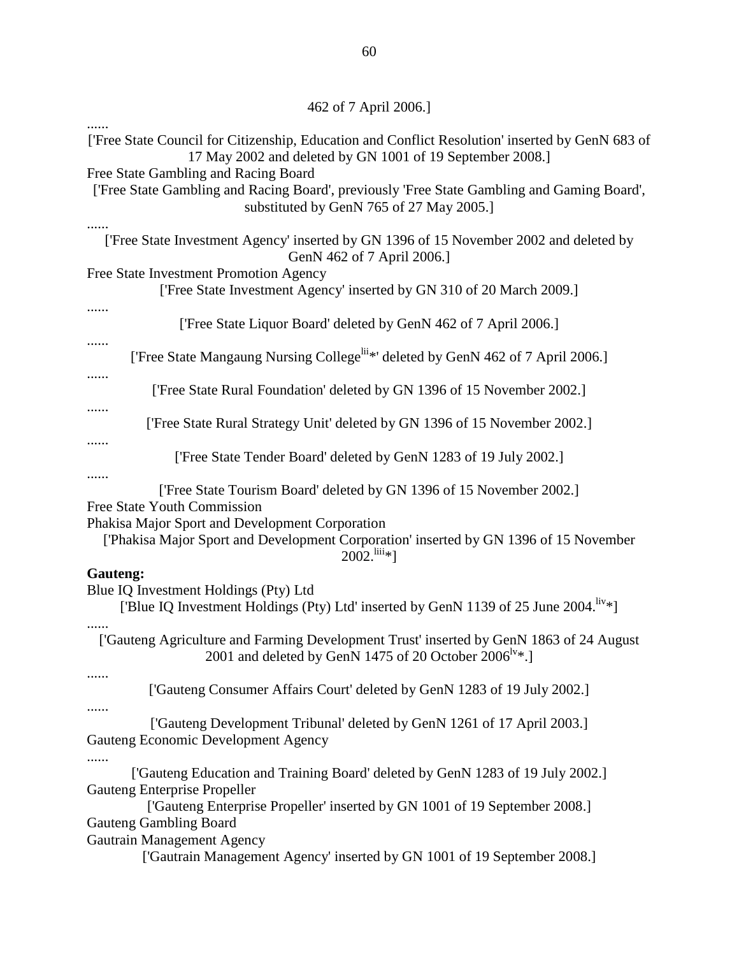| ['Free State Council for Citizenship, Education and Conflict Resolution' inserted by GenN 683 of<br>17 May 2002 and deleted by GN 1001 of 19 September 2008.]                   |
|---------------------------------------------------------------------------------------------------------------------------------------------------------------------------------|
| Free State Gambling and Racing Board<br>['Free State Gambling and Racing Board', previously 'Free State Gambling and Gaming Board',<br>substituted by GenN 765 of 27 May 2005.] |
| ['Free State Investment Agency' inserted by GN 1396 of 15 November 2002 and deleted by<br>GenN 462 of 7 April 2006.]                                                            |
| Free State Investment Promotion Agency<br>['Free State Investment Agency' inserted by GN 310 of 20 March 2009.]                                                                 |
| ['Free State Liquor Board' deleted by GenN 462 of 7 April 2006.]                                                                                                                |
| ['Free State Mangaung Nursing College <sup>lii*</sup> ' deleted by GenN 462 of 7 April 2006.]                                                                                   |
| ['Free State Rural Foundation' deleted by GN 1396 of 15 November 2002.]                                                                                                         |
| ['Free State Rural Strategy Unit' deleted by GN 1396 of 15 November 2002.]                                                                                                      |
| ['Free State Tender Board' deleted by GenN 1283 of 19 July 2002.]                                                                                                               |
| <br>['Free State Tourism Board' deleted by GN 1396 of 15 November 2002.]<br>Free State Youth Commission                                                                         |
| Phakisa Major Sport and Development Corporation<br>['Phakisa Major Sport and Development Corporation' inserted by GN 1396 of 15 November<br>$2002$ . $\frac{\text{liii}}{8}$ ]  |
| Gauteng:<br>Blue IQ Investment Holdings (Pty) Ltd<br>['Blue IQ Investment Holdings (Pty) Ltd' inserted by GenN 1139 of 25 June 2004. <sup>liv*</sup> ]                          |
| ['Gauteng Agriculture and Farming Development Trust' inserted by GenN 1863 of 24 August<br>2001 and deleted by GenN 1475 of 20 October 2006 <sup>IV*</sup> .]                   |
| ['Gauteng Consumer Affairs Court' deleted by GenN 1283 of 19 July 2002.]                                                                                                        |
| ['Gauteng Development Tribunal' deleted by GenN 1261 of 17 April 2003.]<br>Gauteng Economic Development Agency                                                                  |
| ['Gauteng Education and Training Board' deleted by GenN 1283 of 19 July 2002.]<br>Gauteng Enterprise Propeller                                                                  |
| ['Gauteng Enterprise Propeller' inserted by GN 1001 of 19 September 2008.]<br><b>Gauteng Gambling Board</b>                                                                     |
| Gautrain Management Agency<br>['Gautrain Management Agency' inserted by GN 1001 of 19 September 2008.]                                                                          |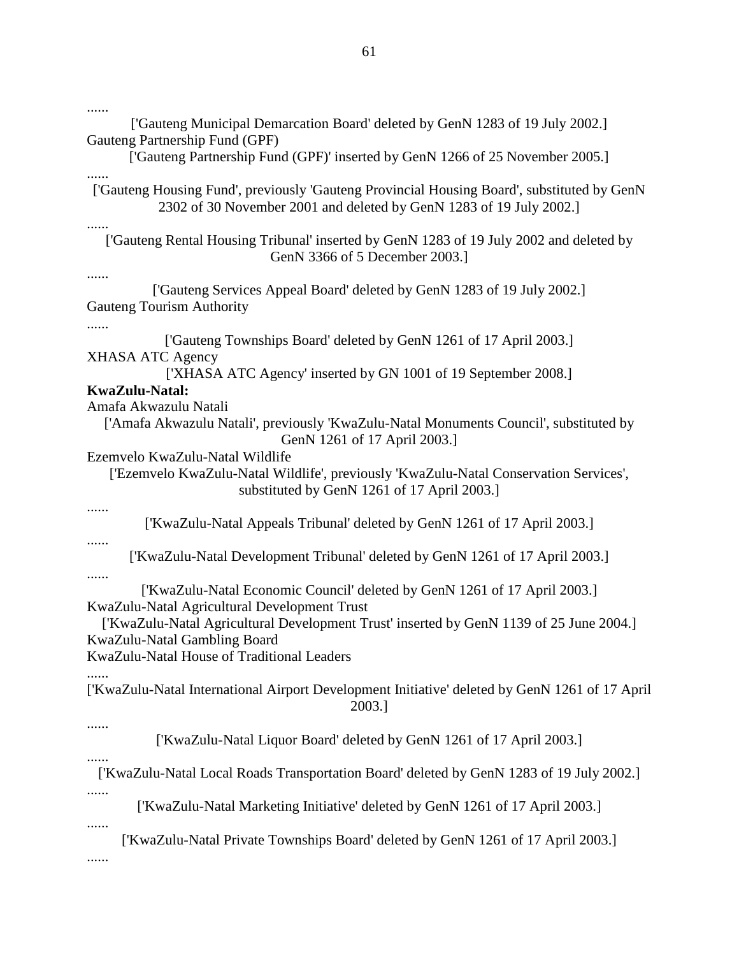| ['Gauteng Municipal Demarcation Board' deleted by GenN 1283 of 19 July 2002.]<br>Gauteng Partnership Fund (GPF)                                                    |
|--------------------------------------------------------------------------------------------------------------------------------------------------------------------|
| ['Gauteng Partnership Fund (GPF)' inserted by GenN 1266 of 25 November 2005.]                                                                                      |
| ['Gauteng Housing Fund', previously 'Gauteng Provincial Housing Board', substituted by GenN<br>2302 of 30 November 2001 and deleted by GenN 1283 of 19 July 2002.] |
| ['Gauteng Rental Housing Tribunal' inserted by GenN 1283 of 19 July 2002 and deleted by<br>GenN 3366 of 5 December 2003.]                                          |
| ['Gauteng Services Appeal Board' deleted by GenN 1283 of 19 July 2002.]<br><b>Gauteng Tourism Authority</b>                                                        |
| ['Gauteng Townships Board' deleted by GenN 1261 of 17 April 2003.]<br><b>XHASA ATC Agency</b>                                                                      |
| ['XHASA ATC Agency' inserted by GN 1001 of 19 September 2008.]<br>KwaZulu-Natal:                                                                                   |
| Amafa Akwazulu Natali                                                                                                                                              |
| ['Amafa Akwazulu Natali', previously 'KwaZulu-Natal Monuments Council', substituted by<br>GenN 1261 of 17 April 2003.]                                             |
| Ezemvelo KwaZulu-Natal Wildlife                                                                                                                                    |
| ['Ezemvelo KwaZulu-Natal Wildlife', previously 'KwaZulu-Natal Conservation Services',<br>substituted by GenN 1261 of 17 April 2003.]                               |
| ['KwaZulu-Natal Appeals Tribunal' deleted by GenN 1261 of 17 April 2003.]                                                                                          |
| ['KwaZulu-Natal Development Tribunal' deleted by GenN 1261 of 17 April 2003.]                                                                                      |
| ['KwaZulu-Natal Economic Council' deleted by GenN 1261 of 17 April 2003.]<br>KwaZulu-Natal Agricultural Development Trust                                          |
| ['KwaZulu-Natal Agricultural Development Trust' inserted by GenN 1139 of 25 June 2004.]<br>KwaZulu-Natal Gambling Board                                            |
| KwaZulu-Natal House of Traditional Leaders                                                                                                                         |
| ['KwaZulu-Natal International Airport Development Initiative' deleted by GenN 1261 of 17 April<br>2003.]                                                           |
|                                                                                                                                                                    |
| ['KwaZulu-Natal Liquor Board' deleted by GenN 1261 of 17 April 2003.]                                                                                              |
| ['KwaZulu-Natal Local Roads Transportation Board' deleted by GenN 1283 of 19 July 2002.]                                                                           |
| ['KwaZulu-Natal Marketing Initiative' deleted by GenN 1261 of 17 April 2003.]                                                                                      |
| ['KwaZulu-Natal Private Townships Board' deleted by GenN 1261 of 17 April 2003.]                                                                                   |
|                                                                                                                                                                    |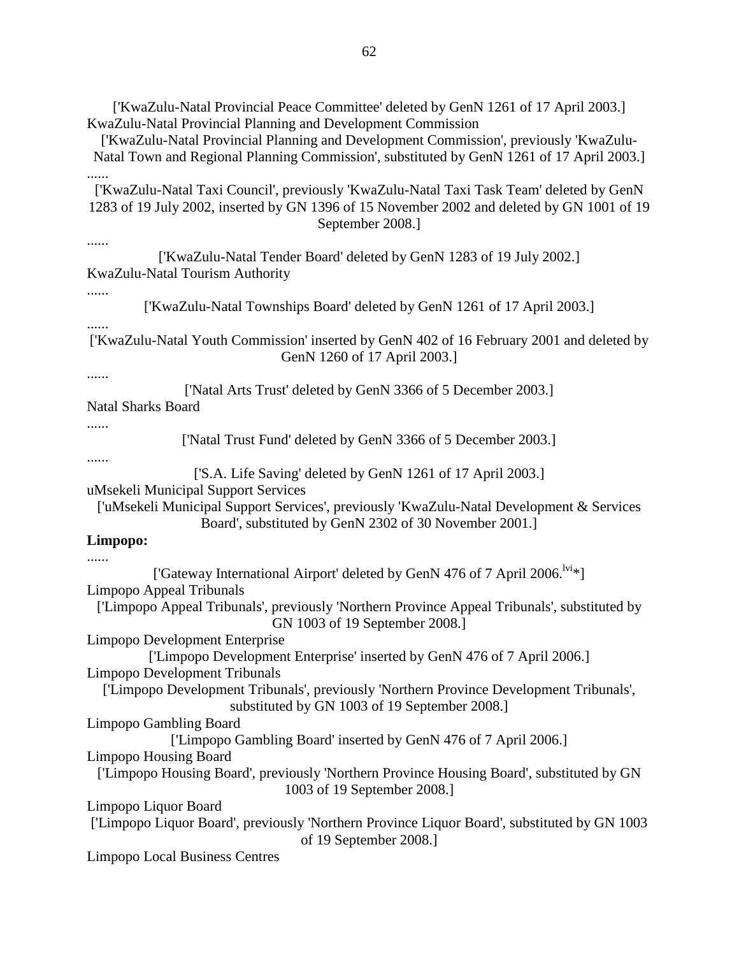['KwaZulu-Natal Provincial Peace Committee' deleted by GenN 1261 of 17 April 2003.] KwaZulu-Natal Provincial Planning and Development Commission

['KwaZulu-Natal Provincial Planning and Development Commission', previously 'KwaZulu-Natal Town and Regional Planning Commission', substituted by GenN 1261 of 17 April 2003.] ......

['KwaZulu-Natal Taxi Council', previously 'KwaZulu-Natal Taxi Task Team' deleted by GenN 1283 of 19 July 2002, inserted by GN 1396 of 15 November 2002 and deleted by GN 1001 of 19 September 2008.]

......

['KwaZulu-Natal Tender Board' deleted by GenN 1283 of 19 July 2002.] KwaZulu-Natal Tourism Authority

......

......

['KwaZulu-Natal Townships Board' deleted by GenN 1261 of 17 April 2003.]

['KwaZulu-Natal Youth Commission' inserted by GenN 402 of 16 February 2001 and deleted by GenN 1260 of 17 April 2003.]

......

['Natal Arts Trust' deleted by GenN 3366 of 5 December 2003.]

Natal Sharks Board

......

['Natal Trust Fund' deleted by GenN 3366 of 5 December 2003.]

......

['S.A. Life Saving' deleted by GenN 1261 of 17 April 2003.]

uMsekeli Municipal Support Services

['uMsekeli Municipal Support Services', previously 'KwaZulu-Natal Development & Services Board', substituted by GenN 2302 of 30 November 2001.]

#### **Limpopo:**

......

['Gateway International Airport' deleted by GenN 476 of 7 April 2006.<sup>lvi</sup>\*] Limpopo Appeal Tribunals ['Limpopo Appeal Tribunals', previously 'Northern Province Appeal Tribunals', substituted by GN 1003 of 19 September 2008.] Limpopo Development Enterprise ['Limpopo Development Enterprise' inserted by GenN 476 of 7 April 2006.] Limpopo Development Tribunals ['Limpopo Development Tribunals', previously 'Northern Province Development Tribunals', substituted by GN 1003 of 19 September 2008.] Limpopo Gambling Board ['Limpopo Gambling Board' inserted by GenN 476 of 7 April 2006.] Limpopo Housing Board ['Limpopo Housing Board', previously 'Northern Province Housing Board', substituted by GN 1003 of 19 September 2008.] Limpopo Liquor Board ['Limpopo Liquor Board', previously 'Northern Province Liquor Board', substituted by GN 1003 of 19 September 2008.] Limpopo Local Business Centres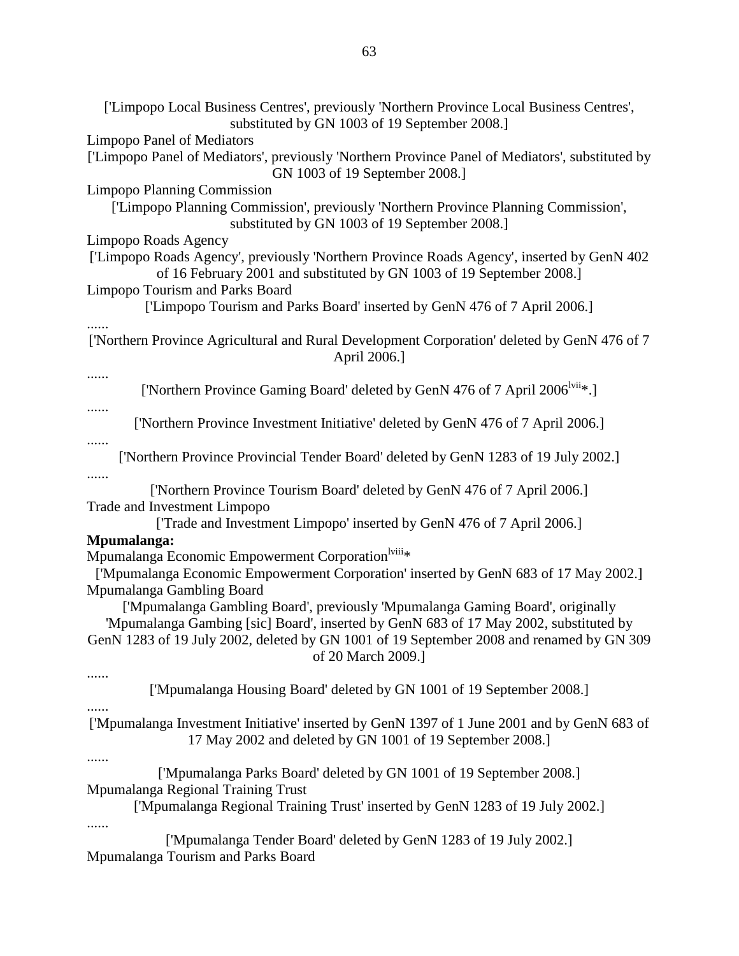| ['Limpopo Local Business Centres', previously 'Northern Province Local Business Centres',<br>substituted by GN 1003 of 19 September 2008.]                                                                                                                                                |
|-------------------------------------------------------------------------------------------------------------------------------------------------------------------------------------------------------------------------------------------------------------------------------------------|
| <b>Limpopo Panel of Mediators</b>                                                                                                                                                                                                                                                         |
| ['Limpopo Panel of Mediators', previously 'Northern Province Panel of Mediators', substituted by<br>GN 1003 of 19 September 2008.]                                                                                                                                                        |
| <b>Limpopo Planning Commission</b>                                                                                                                                                                                                                                                        |
| ['Limpopo Planning Commission', previously 'Northern Province Planning Commission',<br>substituted by GN 1003 of 19 September 2008.]                                                                                                                                                      |
| Limpopo Roads Agency                                                                                                                                                                                                                                                                      |
| ['Limpopo Roads Agency', previously 'Northern Province Roads Agency', inserted by GenN 402<br>of 16 February 2001 and substituted by GN 1003 of 19 September 2008.]                                                                                                                       |
| <b>Limpopo Tourism and Parks Board</b><br>['Limpopo Tourism and Parks Board' inserted by GenN 476 of 7 April 2006.]                                                                                                                                                                       |
| ['Northern Province Agricultural and Rural Development Corporation' deleted by GenN 476 of 7<br>April 2006.]                                                                                                                                                                              |
| ['Northern Province Gaming Board' deleted by GenN 476 of 7 April 2006 <sup>lvii</sup> *.]                                                                                                                                                                                                 |
| .<br>['Northern Province Investment Initiative' deleted by GenN 476 of 7 April 2006.]                                                                                                                                                                                                     |
| .<br>['Northern Province Provincial Tender Board' deleted by GenN 1283 of 19 July 2002.]<br>.                                                                                                                                                                                             |
| ['Northern Province Tourism Board' deleted by GenN 476 of 7 April 2006.]<br><b>Trade and Investment Limpopo</b>                                                                                                                                                                           |
| ['Trade and Investment Limpopo' inserted by GenN 476 of 7 April 2006.]<br>Mpumalanga:                                                                                                                                                                                                     |
| Mpumalanga Economic Empowerment Corporation <sup>lviii</sup> *                                                                                                                                                                                                                            |
| ['Mpumalanga Economic Empowerment Corporation' inserted by GenN 683 of 17 May 2002.]<br>Mpumalanga Gambling Board                                                                                                                                                                         |
| ['Mpumalanga Gambling Board', previously 'Mpumalanga Gaming Board', originally<br>'Mpumalanga Gambing [sic] Board', inserted by GenN 683 of 17 May 2002, substituted by<br>GenN 1283 of 19 July 2002, deleted by GN 1001 of 19 September 2008 and renamed by GN 309<br>of 20 March 2009.] |
| ['Mpumalanga Housing Board' deleted by GN 1001 of 19 September 2008.]                                                                                                                                                                                                                     |
| ['Mpumalanga Investment Initiative' inserted by GenN 1397 of 1 June 2001 and by GenN 683 of<br>17 May 2002 and deleted by GN 1001 of 19 September 2008.]                                                                                                                                  |
| ['Mpumalanga Parks Board' deleted by GN 1001 of 19 September 2008.]<br>Mpumalanga Regional Training Trust<br>['Mpumalanga Regional Training Trust' inserted by GenN 1283 of 19 July 2002.]                                                                                                |
| .<br>['Mpumalanga Tender Board' deleted by GenN 1283 of 19 July 2002.]<br>Mpumalanga Tourism and Parks Board                                                                                                                                                                              |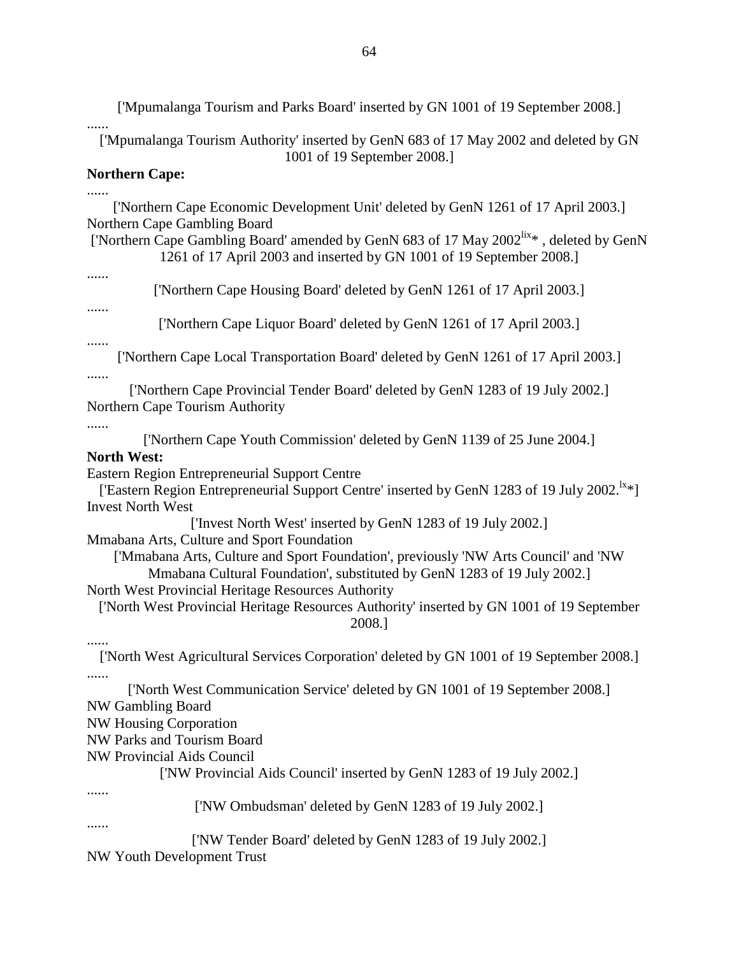['Mpumalanga Tourism and Parks Board' inserted by GN 1001 of 19 September 2008.]

...... ['Mpumalanga Tourism Authority' inserted by GenN 683 of 17 May 2002 and deleted by GN 1001 of 19 September 2008.]

## **Northern Cape:**

......

['Northern Cape Economic Development Unit' deleted by GenN 1261 of 17 April 2003.] Northern Cape Gambling Board

['Northern Cape Gambling Board' amended by GenN 683 of 17 May 2002<sup>lix\*</sup>, deleted by GenN 1261 of 17 April 2003 and inserted by GN 1001 of 19 September 2008.]

......

['Northern Cape Housing Board' deleted by GenN 1261 of 17 April 2003.]

......

['Northern Cape Liquor Board' deleted by GenN 1261 of 17 April 2003.]

......

['Northern Cape Local Transportation Board' deleted by GenN 1261 of 17 April 2003.]

......

['Northern Cape Provincial Tender Board' deleted by GenN 1283 of 19 July 2002.] Northern Cape Tourism Authority

......

['Northern Cape Youth Commission' deleted by GenN 1139 of 25 June 2004.]

## **North West:**

Eastern Region Entrepreneurial Support Centre

['Eastern Region Entrepreneurial Support Centre' inserted by GenN 1283 of 19 July 2002.<sup>lx\*</sup>] Invest North West

['Invest North West' inserted by GenN 1283 of 19 July 2002.]

Mmabana Arts, Culture and Sport Foundation

['Mmabana Arts, Culture and Sport Foundation', previously 'NW Arts Council' and 'NW Mmabana Cultural Foundation', substituted by GenN 1283 of 19 July 2002.]

North West Provincial Heritage Resources Authority

['North West Provincial Heritage Resources Authority' inserted by GN 1001 of 19 September 2008.]

......

['North West Agricultural Services Corporation' deleted by GN 1001 of 19 September 2008.] ......

['North West Communication Service' deleted by GN 1001 of 19 September 2008.] NW Gambling Board

NW Housing Corporation

NW Parks and Tourism Board

NW Provincial Aids Council

['NW Provincial Aids Council' inserted by GenN 1283 of 19 July 2002.]

......

['NW Ombudsman' deleted by GenN 1283 of 19 July 2002.]

......

['NW Tender Board' deleted by GenN 1283 of 19 July 2002.]

NW Youth Development Trust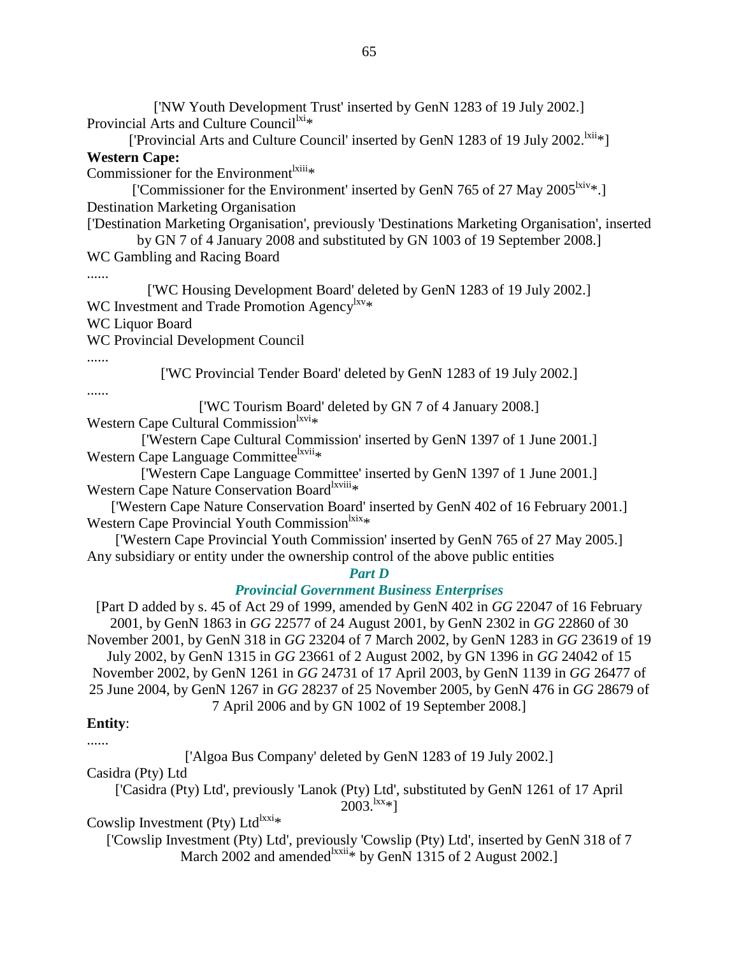['NW Youth Development Trust' inserted by GenN 1283 of 19 July 2002.] Provincial Arts and Culture Council $x_i$ 

['Provincial Arts and Culture Council' inserted by GenN 1283 of 19 July 2002.<sup>lxii</sup>\*] **Western Cape:** 

Commissioner for the Environment ${}^{l*xiii*}*$ 

['Commissioner for the Environment' inserted by GenN 765 of 27 May 2005<sup>lxiv</sup>\*.] Destination Marketing Organisation

['Destination Marketing Organisation', previously 'Destinations Marketing Organisation', inserted

by GN 7 of 4 January 2008 and substituted by GN 1003 of 19 September 2008.] WC Gambling and Racing Board

......

['WC Housing Development Board' deleted by GenN 1283 of 19 July 2002.] WC Investment and Trade Promotion Agency<sup>lxv\*</sup>

WC Liquor Board

WC Provincial Development Council

......

['WC Provincial Tender Board' deleted by GenN 1283 of 19 July 2002.]

......

['WC Tourism Board' deleted by GN 7 of 4 January 2008.]

Western Cape Cultural Commission ${}^{\text{kvi}*}$ 

['Western Cape Cultural Commission' inserted by GenN 1397 of 1 June 2001.] Western Cape Language Committee<sup>lxvii</sup>\*

['Western Cape Language Committee' inserted by GenN 1397 of 1 June 2001.] Western Cape Nature Conservation Board<sup>lxviii</sup>\*

['Western Cape Nature Conservation Board' inserted by GenN 402 of 16 February 2001.] Western Cape Provincial Youth Commission<sup>lxix</sup>\*

['Western Cape Provincial Youth Commission' inserted by GenN 765 of 27 May 2005.] Any subsidiary or entity under the ownership control of the above public entities

#### *Part D*

#### *Provincial Government Business Enterprises*

[Part D added by s. 45 of Act 29 of 1999, amended by GenN 402 in *GG* 22047 of 16 February 2001, by GenN 1863 in *GG* 22577 of 24 August 2001, by GenN 2302 in *GG* 22860 of 30 November 2001, by GenN 318 in *GG* 23204 of 7 March 2002, by GenN 1283 in *GG* 23619 of 19 July 2002, by GenN 1315 in *GG* 23661 of 2 August 2002, by GN 1396 in *GG* 24042 of 15 November 2002, by GenN 1261 in *GG* 24731 of 17 April 2003, by GenN 1139 in *GG* 26477 of 25 June 2004, by GenN 1267 in *GG* 28237 of 25 November 2005, by GenN 476 in *GG* 28679 of 7 April 2006 and by GN 1002 of 19 September 2008.]

#### **Entity**:

......

['Algoa Bus Company' deleted by GenN 1283 of 19 July 2002.]

Casidra (Pty) Ltd

['Casidra (Pty) Ltd', previously 'Lanok (Pty) Ltd', substituted by GenN 1261 of 17 April  $2003.^{\text{lxx}}$ \*]

Cowslip Investment (Pty) Ltd<sup>lxxi\*</sup>

['Cowslip Investment (Pty) Ltd', previously 'Cowslip (Pty) Ltd', inserted by GenN 318 of 7 March 2002 and amended  $\frac{dx}{dt}$  by GenN 1315 of 2 August 2002.]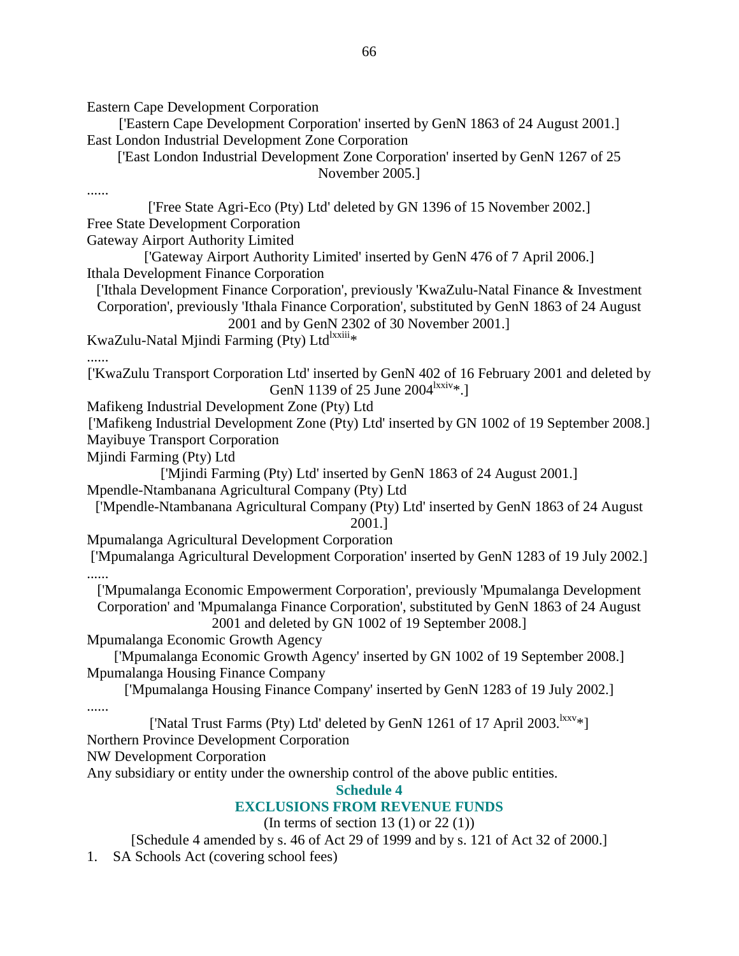Eastern Cape Development Corporation

['Eastern Cape Development Corporation' inserted by GenN 1863 of 24 August 2001.] East London Industrial Development Zone Corporation

['East London Industrial Development Zone Corporation' inserted by GenN 1267 of 25 November 2005.]

......

['Free State Agri-Eco (Pty) Ltd' deleted by GN 1396 of 15 November 2002.] Free State Development Corporation

Gateway Airport Authority Limited

['Gateway Airport Authority Limited' inserted by GenN 476 of 7 April 2006.] Ithala Development Finance Corporation

['Ithala Development Finance Corporation', previously 'KwaZulu-Natal Finance & Investment Corporation', previously 'Ithala Finance Corporation', substituted by GenN 1863 of 24 August

2001 and by GenN 2302 of 30 November 2001.]

KwaZulu-Natal Mjindi Farming (Pty) Ltd<sup>lxxiii</sup>\*

#### ......

['KwaZulu Transport Corporation Ltd' inserted by GenN 402 of 16 February 2001 and deleted by GenN 1139 of 25 June 2004<sup>lxxiv</sup>\*.]

Mafikeng Industrial Development Zone (Pty) Ltd

['Mafikeng Industrial Development Zone (Pty) Ltd' inserted by GN 1002 of 19 September 2008.] Mayibuye Transport Corporation

Mjindi Farming (Pty) Ltd

['Mjindi Farming (Pty) Ltd' inserted by GenN 1863 of 24 August 2001.]

Mpendle-Ntambanana Agricultural Company (Pty) Ltd

['Mpendle-Ntambanana Agricultural Company (Pty) Ltd' inserted by GenN 1863 of 24 August 2001.]

Mpumalanga Agricultural Development Corporation

['Mpumalanga Agricultural Development Corporation' inserted by GenN 1283 of 19 July 2002.] ......

['Mpumalanga Economic Empowerment Corporation', previously 'Mpumalanga Development Corporation' and 'Mpumalanga Finance Corporation', substituted by GenN 1863 of 24 August 2001 and deleted by GN 1002 of 19 September 2008.]

Mpumalanga Economic Growth Agency

['Mpumalanga Economic Growth Agency' inserted by GN 1002 of 19 September 2008.] Mpumalanga Housing Finance Company

['Mpumalanga Housing Finance Company' inserted by GenN 1283 of 19 July 2002.]

......

['Natal Trust Farms (Pty) Ltd' deleted by GenN 1261 of 17 April 2003.<sup>lxxv</sup>\*]

Northern Province Development Corporation

NW Development Corporation

Any subsidiary or entity under the ownership control of the above public entities.

**Schedule 4** 

# **EXCLUSIONS FROM REVENUE FUNDS**

(In terms of section 13 $(1)$  or 22 $(1)$ )

[Schedule 4 amended by s. 46 of Act 29 of 1999 and by s. 121 of Act 32 of 2000.]

1. SA Schools Act (covering school fees)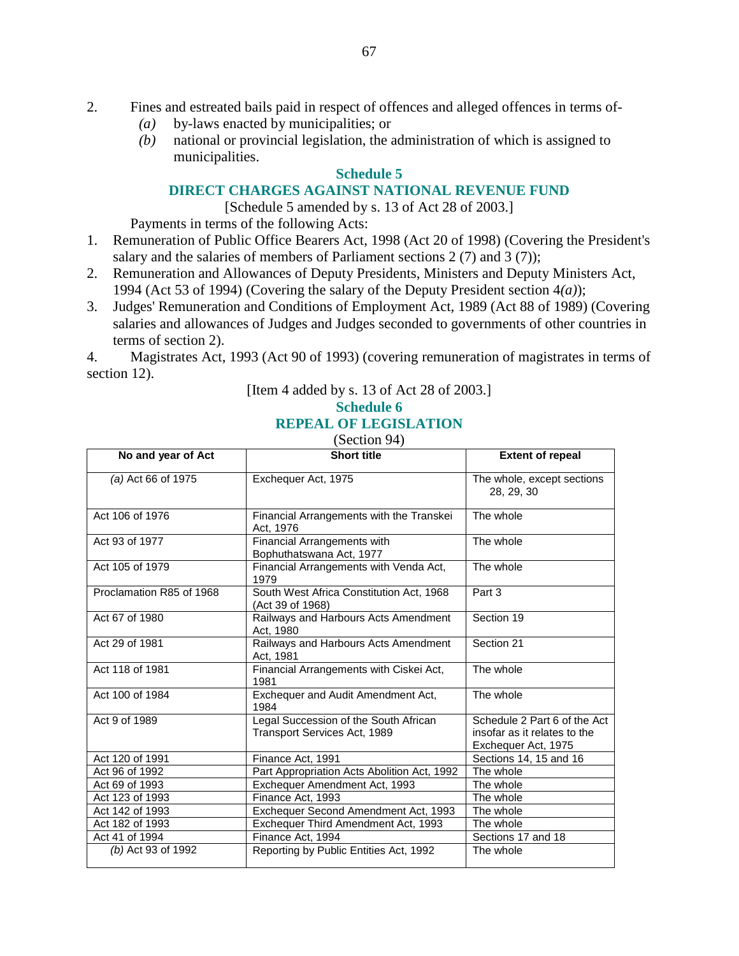- 2. Fines and estreated bails paid in respect of offences and alleged offences in terms of-
	- *(a)* by-laws enacted by municipalities; or
	- *(b)* national or provincial legislation, the administration of which is assigned to municipalities.

## **Schedule 5**

## **DIRECT CHARGES AGAINST NATIONAL REVENUE FUND**

[Schedule 5 amended by s. 13 of Act 28 of 2003.]

Payments in terms of the following Acts:

- 1. Remuneration of Public Office Bearers Act, 1998 (Act 20 of 1998) (Covering the President's salary and the salaries of members of Parliament sections 2 (7) and 3 (7));
- 2. Remuneration and Allowances of Deputy Presidents, Ministers and Deputy Ministers Act, 1994 (Act 53 of 1994) (Covering the salary of the Deputy President section 4*(a)*);
- 3. Judges' Remuneration and Conditions of Employment Act, 1989 (Act 88 of 1989) (Covering salaries and allowances of Judges and Judges seconded to governments of other countries in terms of section 2).

4. Magistrates Act, 1993 (Act 90 of 1993) (covering remuneration of magistrates in terms of section 12).

[Item 4 added by s. 13 of Act 28 of 2003.]

# **Schedule 6 REPEAL OF LEGISLATION**

(Section 94)

| No and year of Act       | Short title                                                           | <b>Extent of repeal</b>                                                             |
|--------------------------|-----------------------------------------------------------------------|-------------------------------------------------------------------------------------|
| (a) Act 66 of 1975       | Exchequer Act, 1975                                                   | The whole, except sections<br>28, 29, 30                                            |
| Act 106 of 1976          | Financial Arrangements with the Transkei<br>Act. 1976                 | The whole                                                                           |
| Act 93 of 1977           | Financial Arrangements with<br>Bophuthatswana Act, 1977               | The whole                                                                           |
| Act 105 of 1979          | Financial Arrangements with Venda Act,<br>1979                        | The whole                                                                           |
| Proclamation R85 of 1968 | South West Africa Constitution Act, 1968<br>(Act 39 of 1968)          | Part 3                                                                              |
| Act 67 of 1980           | Railways and Harbours Acts Amendment<br>Act, 1980                     | Section 19                                                                          |
| Act 29 of 1981           | Railways and Harbours Acts Amendment<br>Act, 1981                     | Section 21                                                                          |
| Act 118 of 1981          | Financial Arrangements with Ciskei Act,<br>1981                       | The whole                                                                           |
| Act 100 of 1984          | Exchequer and Audit Amendment Act,<br>1984                            | The whole                                                                           |
| Act 9 of 1989            | Legal Succession of the South African<br>Transport Services Act, 1989 | Schedule 2 Part 6 of the Act<br>insofar as it relates to the<br>Exchequer Act, 1975 |
| Act 120 of 1991          | Finance Act, 1991                                                     | Sections 14, 15 and 16                                                              |
| Act 96 of 1992           | Part Appropriation Acts Abolition Act, 1992                           | The whole                                                                           |
| Act 69 of 1993           | Exchequer Amendment Act, 1993                                         | The whole                                                                           |
| Act 123 of 1993          | Finance Act. 1993                                                     | The whole                                                                           |
| Act 142 of 1993          | Exchequer Second Amendment Act, 1993                                  | The whole                                                                           |
| Act 182 of 1993          | Exchequer Third Amendment Act, 1993                                   | The whole                                                                           |
| Act 41 of 1994           | Finance Act, 1994                                                     | Sections 17 and 18                                                                  |
| (b) Act 93 of 1992       | Reporting by Public Entities Act, 1992                                | The whole                                                                           |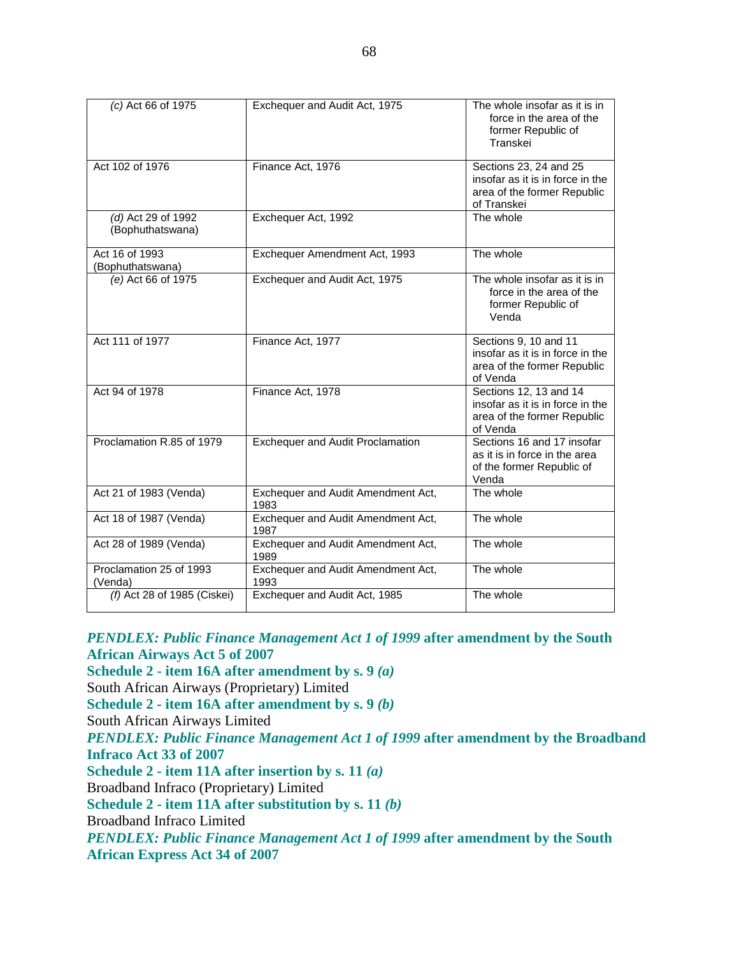| (c) Act 66 of 1975                     | Exchequer and Audit Act, 1975              | The whole insofar as it is in<br>force in the area of the<br>former Republic of<br>Transkei              |
|----------------------------------------|--------------------------------------------|----------------------------------------------------------------------------------------------------------|
| Act 102 of 1976                        | Finance Act, 1976                          | Sections 23, 24 and 25<br>insofar as it is in force in the<br>area of the former Republic<br>of Transkei |
| (d) Act 29 of 1992<br>(Bophuthatswana) | Exchequer Act, 1992                        | The whole                                                                                                |
| Act 16 of 1993<br>(Bophuthatswana)     | Exchequer Amendment Act, 1993              | The whole                                                                                                |
| (e) Act 66 of 1975                     | Exchequer and Audit Act, 1975              | The whole insofar as it is in<br>force in the area of the<br>former Republic of<br>Venda                 |
| Act 111 of 1977                        | Finance Act, 1977                          | Sections 9, 10 and 11<br>insofar as it is in force in the<br>area of the former Republic<br>of Venda     |
| Act 94 of 1978                         | Finance Act, 1978                          | Sections 12, 13 and 14<br>insofar as it is in force in the<br>area of the former Republic<br>of Venda    |
| Proclamation R.85 of 1979              | <b>Exchequer and Audit Proclamation</b>    | Sections 16 and 17 insofar<br>as it is in force in the area<br>of the former Republic of<br>Venda        |
| Act 21 of 1983 (Venda)                 | Exchequer and Audit Amendment Act,<br>1983 | The whole                                                                                                |
| Act 18 of 1987 (Venda)                 | Exchequer and Audit Amendment Act,<br>1987 | The whole                                                                                                |
| Act 28 of 1989 (Venda)                 | Exchequer and Audit Amendment Act,<br>1989 | The whole                                                                                                |
| Proclamation 25 of 1993<br>(Venda)     | Exchequer and Audit Amendment Act,<br>1993 | The whole                                                                                                |
| (f) Act 28 of 1985 (Ciskei)            | Exchequer and Audit Act, 1985              | The whole                                                                                                |

*PENDLEX: Public Finance Management Act 1 of 1999* **after amendment by the South African Airways Act 5 of 2007 Schedule 2 - item 16A after amendment by s. 9** *(a)*  South African Airways (Proprietary) Limited **Schedule 2 - item 16A after amendment by s. 9** *(b)*  South African Airways Limited *PENDLEX: Public Finance Management Act 1 of 1999* **after amendment by the Broadband Infraco Act 33 of 2007 Schedule 2 - item 11A after insertion by s. 11** *(a)*  Broadband Infraco (Proprietary) Limited **Schedule 2 - item 11A after substitution by s. 11** *(b)*  Broadband Infraco Limited *PENDLEX: Public Finance Management Act 1 of 1999* **after amendment by the South African Express Act 34 of 2007**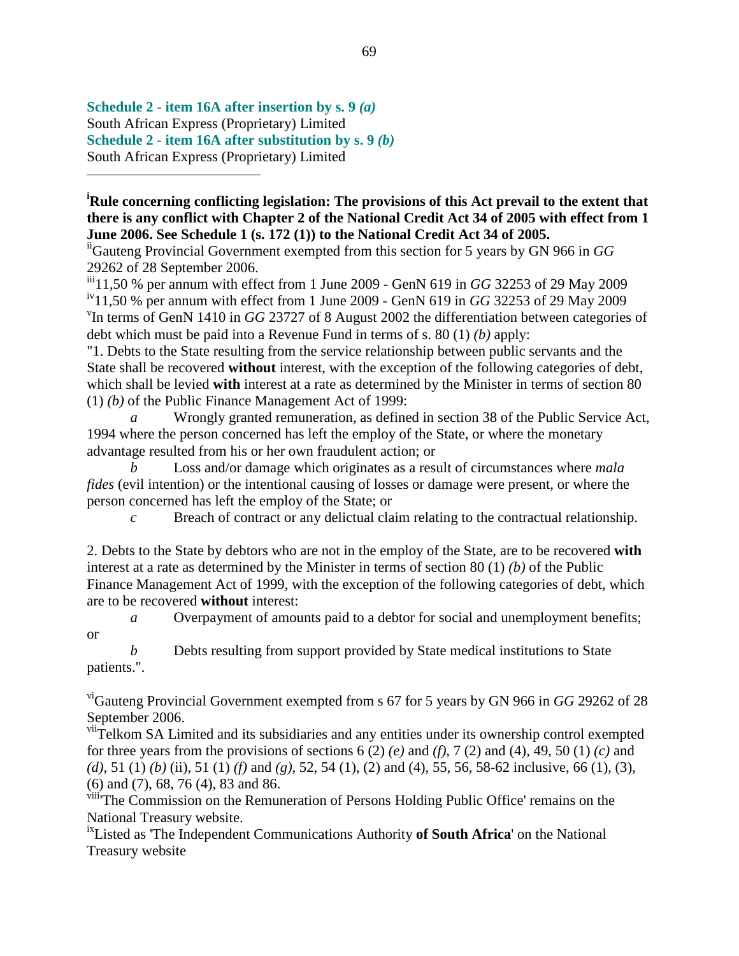**Schedule 2 - item 16A after insertion by s. 9** *(a)*  South African Express (Proprietary) Limited **Schedule 2 - item 16A after substitution by s. 9** *(b)*  South African Express (Proprietary) Limited

<u>.</u>

**<sup>i</sup>Rule concerning conflicting legislation: The provisions of this Act prevail to the extent that there is any conflict with Chapter 2 of the National Credit Act 34 of 2005 with effect from 1 June 2006. See Schedule 1 (s. 172 (1)) to the National Credit Act 34 of 2005.**

iiGauteng Provincial Government exempted from this section for 5 years by GN 966 in *GG* 29262 of 28 September 2006.

iii<sub>11,50</sub> % per annum with effect from 1 June 2009 - GenN 619 in *GG* 32253 of 29 May 2009 iv11,50 % per annum with effect from 1 June 2009 - GenN 619 in *GG* 32253 of 29 May 2009 <sup>v</sup>In terms of GenN 1410 in *GG* 23727 of 8 August 2002 the differentiation between categories of debt which must be paid into a Revenue Fund in terms of s. 80 (1) *(b)* apply:

"1. Debts to the State resulting from the service relationship between public servants and the State shall be recovered **without** interest, with the exception of the following categories of debt, which shall be levied **with** interest at a rate as determined by the Minister in terms of section 80 (1) *(b)* of the Public Finance Management Act of 1999:

*a* Wrongly granted remuneration, as defined in section 38 of the Public Service Act, 1994 where the person concerned has left the employ of the State, or where the monetary advantage resulted from his or her own fraudulent action; or

*b* Loss and/or damage which originates as a result of circumstances where *mala fides* (evil intention) or the intentional causing of losses or damage were present, or where the person concerned has left the employ of the State; or

*c* Breach of contract or any delictual claim relating to the contractual relationship.

2. Debts to the State by debtors who are not in the employ of the State, are to be recovered **with** interest at a rate as determined by the Minister in terms of section 80 (1) *(b)* of the Public Finance Management Act of 1999, with the exception of the following categories of debt, which are to be recovered **without** interest:

*a* Overpayment of amounts paid to a debtor for social and unemployment benefits; or

*b* Debts resulting from support provided by State medical institutions to State patients.".

viGauteng Provincial Government exempted from s 67 for 5 years by GN 966 in *GG* 29262 of 28 September 2006.

viiTelkom SA Limited and its subsidiaries and any entities under its ownership control exempted for three years from the provisions of sections  $6(2)$  *(e)* and *(f)*,  $7(2)$  and  $(4)$ ,  $49$ ,  $50(1)$  *(c)* and *(d)*, 51 (1) *(b)* (ii), 51 (1) *(f)* and *(g)*, 52, 54 (1), (2) and (4), 55, 56, 58-62 inclusive, 66 (1), (3), (6) and (7), 68, 76 (4), 83 and 86.

viii<sup>The</sup> Commission on the Remuneration of Persons Holding Public Office' remains on the National Treasury website.

ixListed as 'The Independent Communications Authority **of South Africa**' on the National Treasury website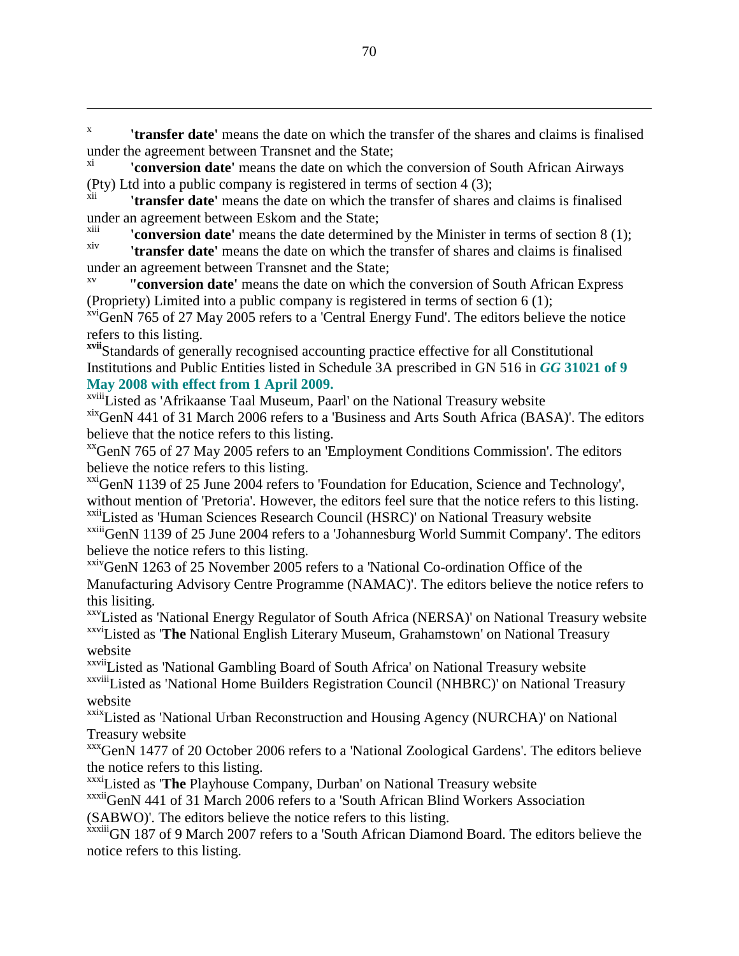x **'transfer date'** means the date on which the transfer of the shares and claims is finalised under the agreement between Transnet and the State;

**'conversion date'** means the date on which the conversion of South African Airways (Pty) Ltd into a public company is registered in terms of section 4 (3);<br> $\frac{x}{y}$ 

**'transfer date'** means the date on which the transfer of shares and claims is finalised under an agreement between Eskom and the State;<br>xiii **the State of the State of the State of the State** 

<sup>xiii</sup> **conversion date'** means the date determined by the Minister in terms of section  $8(1)$ ; xiv **'transfer date'** means the date on which the transfer of shares and claims is finalised

under an agreement between Transnet and the State;

 $\overline{a}$ 

**''conversion date'** means the date on which the conversion of South African Express (Propriety) Limited into a public company is registered in terms of section 6 (1);

 $xvi$ GenN 765 of 27 May 2005 refers to a 'Central Energy Fund'. The editors believe the notice refers to this listing.

**xvii**Standards of generally recognised accounting practice effective for all Constitutional Institutions and Public Entities listed in Schedule 3A prescribed in GN 516 in *GG* **31021 of 9 May 2008 with effect from 1 April 2009.**

xviiiListed as 'Afrikaanse Taal Museum, Paarl' on the National Treasury website

xix GenN 441 of 31 March 2006 refers to a 'Business and Arts South Africa (BASA)'. The editors believe that the notice refers to this listing.

xxGenN 765 of 27 May 2005 refers to an 'Employment Conditions Commission'. The editors believe the notice refers to this listing.

xxiGenN 1139 of 25 June 2004 refers to 'Foundation for Education, Science and Technology', without mention of 'Pretoria'. However, the editors feel sure that the notice refers to this listing. xxiiListed as 'Human Sciences Research Council (HSRC)' on National Treasury website

xxiiiGenN 1139 of 25 June 2004 refers to a 'Johannesburg World Summit Company'. The editors believe the notice refers to this listing.

xxivGenN 1263 of 25 November 2005 refers to a 'National Co-ordination Office of the Manufacturing Advisory Centre Programme (NAMAC)'. The editors believe the notice refers to this lisiting.

xxvListed as 'National Energy Regulator of South Africa (NERSA)' on National Treasury website xxviListed as '**The** National English Literary Museum, Grahamstown' on National Treasury website

xxviiListed as 'National Gambling Board of South Africa' on National Treasury website xxviiiListed as 'National Home Builders Registration Council (NHBRC)' on National Treasury website

xxixListed as 'National Urban Reconstruction and Housing Agency (NURCHA)' on National Treasury website

xxxGenN 1477 of 20 October 2006 refers to a 'National Zoological Gardens'. The editors believe the notice refers to this listing.

xxxiListed as '**The** Playhouse Company, Durban' on National Treasury website

xxxiiGenN 441 of 31 March 2006 refers to a 'South African Blind Workers Association (SABWO)'. The editors believe the notice refers to this listing.

xxxiii<sub>GN</sub> 187 of 9 March 2007 refers to a 'South African Diamond Board. The editors believe the notice refers to this listing.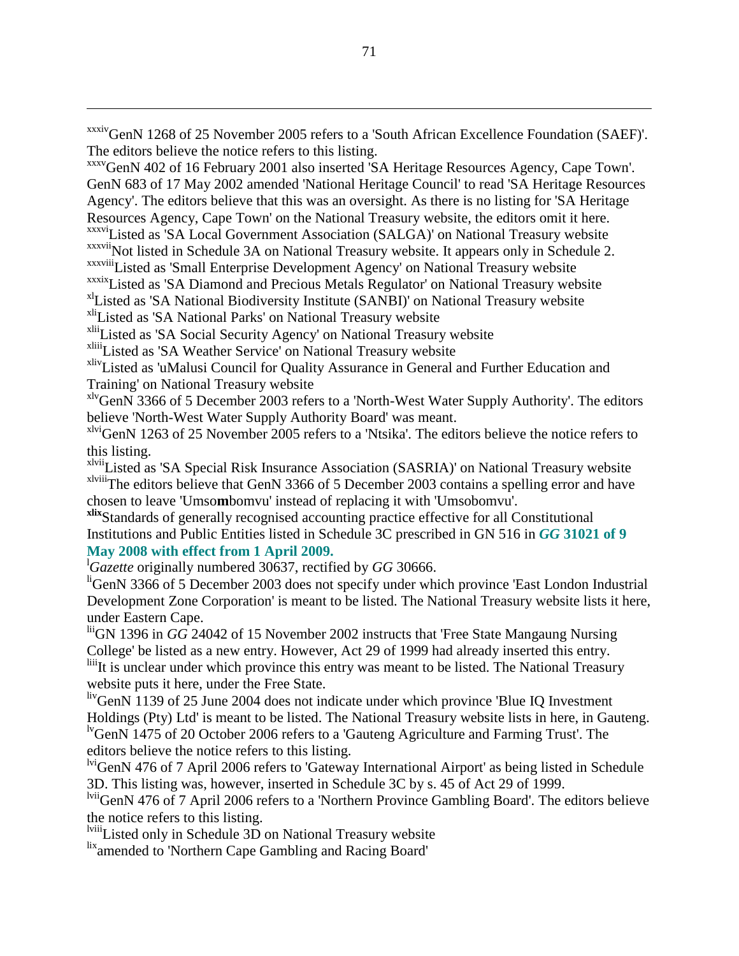xxxivGenN 1268 of 25 November 2005 refers to a 'South African Excellence Foundation (SAEF)'. The editors believe the notice refers to this listing.

xxxvGenN 402 of 16 February 2001 also inserted 'SA Heritage Resources Agency, Cape Town'. GenN 683 of 17 May 2002 amended 'National Heritage Council' to read 'SA Heritage Resources Agency'. The editors believe that this was an oversight. As there is no listing for 'SA Heritage Resources Agency, Cape Town' on the National Treasury website, the editors omit it here. xxxviListed as 'SA Local Government Association (SALGA)' on National Treasury website xxxvii Not listed in Schedule 3A on National Treasury website. It appears only in Schedule 2. xxxviiiListed as 'Small Enterprise Development Agency' on National Treasury website xxxixListed as 'SA Diamond and Precious Metals Regulator' on National Treasury website xlListed as 'SA National Biodiversity Institute (SANBI)' on National Treasury website

xliListed as 'SA National Parks' on National Treasury website

 $\overline{a}$ 

xliiListed as 'SA Social Security Agency' on National Treasury website

xliiiListed as 'SA Weather Service' on National Treasury website

xlivListed as 'uMalusi Council for Quality Assurance in General and Further Education and Training' on National Treasury website

xlvGenN 3366 of 5 December 2003 refers to a 'North-West Water Supply Authority'. The editors believe 'North-West Water Supply Authority Board' was meant.

xlviGenN 1263 of 25 November 2005 refers to a 'Ntsika'. The editors believe the notice refers to this listing.

xlviiListed as 'SA Special Risk Insurance Association (SASRIA)' on National Treasury website xlviiiThe editors believe that GenN 3366 of 5 December 2003 contains a spelling error and have chosen to leave 'Umso**m**bomvu' instead of replacing it with 'Umsobomvu'.

**xlix**Standards of generally recognised accounting practice effective for all Constitutional Institutions and Public Entities listed in Schedule 3C prescribed in GN 516 in *GG* **31021 of 9 May 2008 with effect from 1 April 2009.**

<sup>l</sup>*Gazette* originally numbered 30637, rectified by *GG* 30666.

<sup>li</sup>GenN 3366 of 5 December 2003 does not specify under which province 'East London Industrial Development Zone Corporation' is meant to be listed. The National Treasury website lists it here, under Eastern Cape.

liiGN 1396 in *GG* 24042 of 15 November 2002 instructs that 'Free State Mangaung Nursing College' be listed as a new entry. However, Act 29 of 1999 had already inserted this entry.

liiiIt is unclear under which province this entry was meant to be listed. The National Treasury website puts it here, under the Free State.

livGenN 1139 of 25 June 2004 does not indicate under which province 'Blue IQ Investment Holdings (Pty) Ltd' is meant to be listed. The National Treasury website lists in here, in Gauteng. lvGenN 1475 of 20 October 2006 refers to a 'Gauteng Agriculture and Farming Trust'. The editors believe the notice refers to this listing.

<sup>lvi</sup>GenN 476 of 7 April 2006 refers to 'Gateway International Airport' as being listed in Schedule 3D. This listing was, however, inserted in Schedule 3C by s. 45 of Act 29 of 1999.

lviiGenN 476 of 7 April 2006 refers to a 'Northern Province Gambling Board'. The editors believe the notice refers to this listing.

lviiiListed only in Schedule 3D on National Treasury website

lix<sub>amended</sub> to 'Northern Cape Gambling and Racing Board'